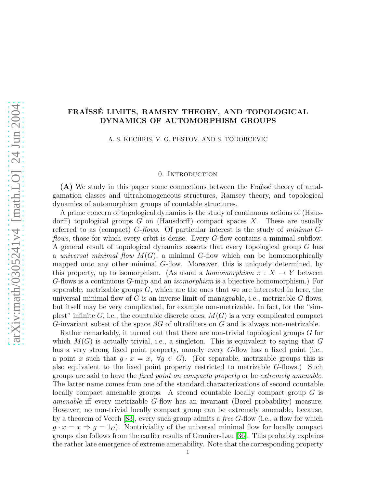# FRAÏSSÉ LIMITS, RAMSEY THEORY, AND TOPOLOGICAL DYNAMICS OF AUTOMORPHISM GROUPS

A. S. KECHRIS, V. G. PESTOV, AND S. TODORCEVIC

# 0. Introduction

 $(A)$  We study in this paper some connections between the Fraüssé theory of amalgamation classes and ultrahomogeneous structures, Ramsey theory, and topological dynamics of automorphism groups of countable structures.

A prime concern of topological dynamics is the study of continuous actions of (Hausdorff) topological groups  $G$  on (Hausdorff) compact spaces  $X$ . These are usually referred to as (compact) G-*flows*. Of particular interest is the study of *minimal* G*flows*, those for which every orbit is dense. Every G-flow contains a minimal subflow. A general result of topological dynamics asserts that every topological group G has a *universal minimal flow*  $M(G)$ , a minimal G-flow which can be homomorphically mapped onto any other minimal G-flow. Moreover, this is uniquely determined, by this property, up to isomorphism. (As usual a *homomorphism*  $\pi : X \to Y$  between G-flows is a continuous G-map and an *isomorphism* is a bijective homomorphism.) For separable, metrizable groups  $G$ , which are the ones that we are interested in here, the universal minimal flow of G is an inverse limit of manageable, i.e., metrizable  $G$ -flows, but itself may be very complicated, for example non-metrizable. In fact, for the "simplest" infinite G, i.e., the countable discrete ones,  $M(G)$  is a very complicated compact G-invariant subset of the space  $\beta G$  of ultrafilters on G and is always non-metrizable.

Rather remarkably, it turned out that there are non-trivial topological groups G for which  $M(G)$  is actually trivial, i.e., a singleton. This is equivalent to saying that G has a very strong fixed point property, namely every G-flow has a fixed point (i.e., a point x such that  $g \cdot x = x$ ,  $\forall g \in G$ ). (For separable, metrizable groups this is also equivalent to the fixed point property restricted to metrizable G-flows.) Such groups are said to have the *fixed point on compacta property* or be *extremely amenable.* The latter name comes from one of the standard characterizations of second countable locally compact amenable groups. A second countable locally compact group G is *amenable* iff every metrizable G-flow has an invariant (Borel probability) measure. However, no non-trivial locally compact group can be extremely amenable, because, by a theorem of Veech [\[83\]](#page-72-0), every such group admits a *free* G-flow (i.e., a flow for which  $g \cdot x = x \Rightarrow g = 1_G$ . Nontriviality of the universal minimal flow for locally compact groups also follows from the earlier results of Granirer-Lau [\[36\]](#page-71-0). This probably explains the rather late emergence of extreme amenability. Note that the corresponding property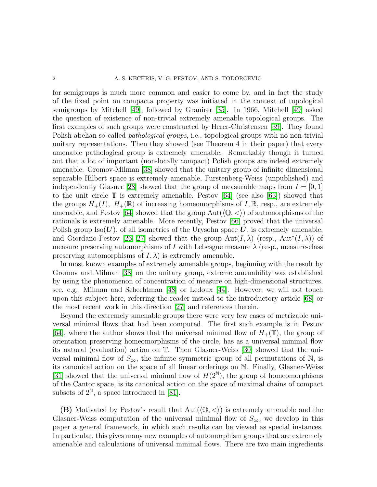for semigroups is much more common and easier to come by, and in fact the study of the fixed point on compacta property was initiated in the context of topological semigroups by Mitchell [\[49\]](#page-71-1), followed by Granirer [\[35\]](#page-71-2). In 1966, Mitchell [\[49\]](#page-71-1) asked the question of existence of non-trivial extremely amenable topological groups. The first examples of such groups were constructed by Herer-Christensen [\[39\]](#page-71-3). They found Polish abelian so-called *pathological groups*, i.e., topological groups with no non-trivial unitary representations. Then they showed (see Theorem 4 in their paper) that every amenable pathological group is extremely amenable. Remarkably though it turned out that a lot of important (non-locally compact) Polish groups are indeed extremely amenable. Gromov-Milman [\[38\]](#page-71-4) showed that the unitary group of infinite dimensional separable Hilbert space is extremely amenable, Furstenberg-Weiss (unpublished) and independently Glasner [\[28\]](#page-70-0) showed that the group of measurable maps from  $I = [0, 1]$ to the unit circle  $\mathbb T$  is extremely amenable, Pestov [\[64\]](#page-72-1) (see also [\[63\]](#page-72-2)) showed that the groups  $H_+(I)$ ,  $H_+(\mathbb{R})$  of increasing homeomorphisms of I,  $\mathbb{R}$ , resp., are extremely amenable, and Pestov [\[64\]](#page-72-1) showed that the group  $Aut(\mathbb{Q}, \langle \rangle)$  of automorphisms of the rationals is extremely amenable. More recently, Pestov [\[66\]](#page-72-3) proved that the universal Polish group  $\text{Iso}(U)$ , of all isometries of the Urysohn space U, is extremely amenable, and Giordano-Pestov [\[26,](#page-70-1) [27\]](#page-70-2) showed that the group  $Aut(I, \lambda)$  (resp.,  $Aut^*(I, \lambda))$  of measure preserving automorphisms of I with Lebesgue measure  $\lambda$  (resp., measure-class preserving automorphisms of  $I, \lambda$  is extremely amenable.

In most known examples of extremely amenable groups, beginning with the result by Gromov and Milman [\[38\]](#page-71-4) on the unitary group, extreme amenability was established by using the phenomenon of concentration of measure on high-dimensional structures, see, e.g., Milman and Schechtman [\[48\]](#page-71-5) or Ledoux [\[44\]](#page-71-6). However, we will not touch upon this subject here, referring the reader instead to the introductory article [\[68\]](#page-72-4) or the most recent work in this direction [\[27\]](#page-70-2) and references therein.

Beyond the extremely amenable groups there were very few cases of metrizable universal minimal flows that had been computed. The first such example is in Pestov [\[64\]](#page-72-1), where the author shows that the universal minimal flow of  $H_+(\mathbb{T})$ , the group of orientation preserving homeomorphisms of the circle, has as a universal minimal flow its natural (evaluation) action on T. Then Glasner-Weiss [\[30\]](#page-70-3) showed that the universal minimal flow of  $S_{\infty}$ , the infinite symmetric group of all permutations of N, is its canonical action on the space of all linear orderings on N. Finally, Glasner-Weiss [\[31\]](#page-71-7) showed that the universal minimal flow of  $H(2^{\mathbb{N}})$ , the group of homeomorphisms of the Cantor space, is its canonical action on the space of maximal chains of compact subsets of  $2^{\mathbb{N}}$ , a space introduced in [\[81\]](#page-72-5).

(B) Motivated by Pestov's result that  $Aut(\langle \mathbb{Q}, \langle \rangle)$  is extremely amenable and the Glasner-Weiss computation of the universal minimal flow of  $S_{\infty}$ , we develop in this paper a general framework, in which such results can be viewed as special instances. In particular, this gives many new examples of automorphism groups that are extremely amenable and calculations of universal minimal flows. There are two main ingredients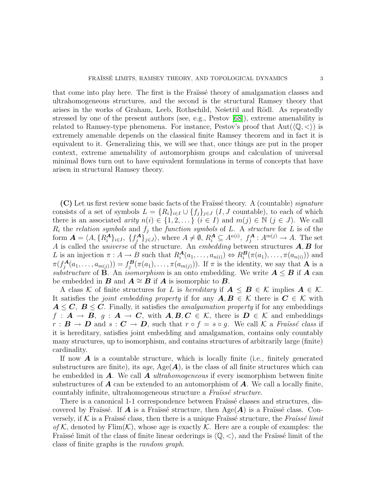that come into play here. The first is the Fraüsse theory of amalgamation classes and ultrahomogeneous structures, and the second is the structural Ramsey theory that arises in the works of Graham, Leeb, Rothschild, Ne $\check{\rm set}$ iil and Rödl. As repeatedly stressed by one of the present authors (see, e.g., Pestov [\[68\]](#page-72-4)), extreme amenability is related to Ramsey-type phenomena. For instance, Pestov's proof that  $Aut(\mathbb{Q}, \langle \rangle)$  is extremely amenable depends on the classical finite Ramsey theorem and in fact it is equivalent to it. Generalizing this, we will see that, once things are put in the proper context, extreme amenability of automorphism groups and calculation of universal minimal flows turn out to have equivalent formulations in terms of concepts that have arisen in structural Ramsey theory.

(C) Let us first review some basic facts of the Fra¨ıss´e theory. A (countable) *signature* consists of a set of symbols  $L = \{R_i\}_{i \in I} \cup \{f_j\}_{j \in J}$  (*I*, *J* countable), to each of which there is an associated *arity*  $n(i) \in \{1, 2, \dots\}$   $(i \in I)$  and  $m(j) \in \mathbb{N}$   $(j \in J)$ . We call  $R_i$  the *relation symbols* and  $f_j$  the *function symbols* of L. A *structure* for L is of the form  $\mathbf{A} = \langle A, \{R_i^{\mathbf{A}}\}_{i \in I}, \{f_j^{\mathbf{A}}\}$  $\{A_j\}_{j\in J}$ , where  $A \neq \emptyset$ ,  $R_i^{\mathbf{A}} \subseteq A^{n(i)}$ ,  $f_j^{\mathbf{A}}: A^{m(j)} \to A$ . The set A is called the *universe* of the structure. An *embedding* between structures A, B for L is an injection  $\pi : A \to B$  such that  $R_i^{\mathbf{A}}(a_1, \ldots, a_{n(i)}) \Leftrightarrow R_i^{\mathbf{B}}(\pi(a_1), \ldots, \pi(a_{n(i)}))$  and  $\pi(f_i^{\mathbf{A}})$  $f_j^{\mathbf{A}}(a_1,\ldots,a_{m(j)})) = f_j^{\mathbf{B}}$  $j^B(\pi(a_1),\ldots,\pi(a_{m(j)}))$ . If  $\pi$  is the identity, we say that **A** is a *substructure* of **B**. An *isomorphism* is an onto embedding. We write  $A \leq B$  if A can be embedded in **B** and  $A \cong B$  if **A** is isomorphic to **B**.

A class K of finite structures for L is *hereditary* if  $A \leq B \in \mathcal{K}$  implies  $A \in \mathcal{K}$ . It satisfies the *joint embedding property* if for any  $A, B \in \mathcal{K}$  there is  $C \in \mathcal{K}$  with  $A \leq C$ ,  $B \leq C$ . Finally, it satisfies the *amalgamation property* if for any embeddings  $f : A \to B$ ,  $q : A \to C$ , with  $A, B, C \in \mathcal{K}$ , there is  $D \in \mathcal{K}$  and embeddings  $r : \mathbf{B} \to \mathbf{D}$  and  $s : \mathbf{C} \to \mathbf{D}$ , such that  $r \circ f = s \circ g$ . We call K a *Fraüssé class* if it is hereditary, satisfies joint embedding and amalgamation, contains only countably many structures, up to isomorphism, and contains structures of arbitrarily large (finite) cardinality.

If now  $\boldsymbol{A}$  is a countable structure, which is locally finite (i.e., finitely generated substructures are finite), its  $age$ ,  $Age(A)$ , is the class of all finite structures which can be embedded in A. We call A *ultrahomogeneous* if every isomorphism between finite substructures of  $\boldsymbol{A}$  can be extended to an automorphism of  $\boldsymbol{A}$ . We call a locally finite, countably infinite, ultrahomogeneous structure a *Fraïssé structure*.

There is a canonical 1-1 correspondence between Fraïssé classes and structures, discovered by Fraüssé. If A is a Fraüssé structure, then  $Age(A)$  is a Fraüssé class. Conversely, if K is a Fraïssé class, then there is a unique Fraïssé structure, the *Fraïssé limit of* K, denoted by  $\text{Elim}(\mathcal{K})$ , whose age is exactly K. Here are a couple of examples: the Fraüssé limit of the class of finite linear orderings is  $\langle \mathbb{Q}, \langle \rangle$ , and the Fraüssé limit of the class of finite graphs is the *random graph*.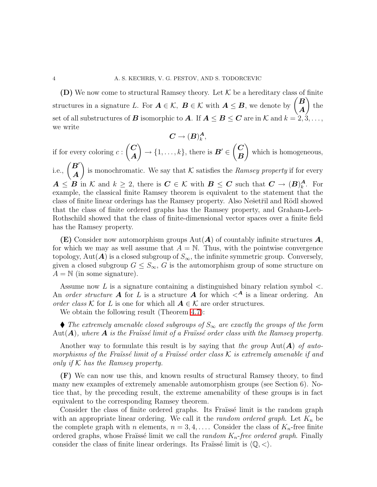(D) We now come to structural Ramsey theory. Let  $K$  be a hereditary class of finite structures in a signature L. For  $A \in \mathcal{K}$ ,  $B \in \mathcal{K}$  with  $A \leq B$ , we denote by  $\begin{pmatrix} B \\ A \end{pmatrix}$ A  $\overline{ }$ the set of all substructures of **B** isomorphic to **A**. If  $A \leq B \leq C$  are in K and  $k = 2, 3, \ldots$ , we write

$$
\boldsymbol{C}\rightarrow (\boldsymbol{B})_{k}^{\boldsymbol{A}},
$$

if for every coloring  $c$ :  $\overline{C}$ A  $\overline{ }$  $\rightarrow$  {1, ..., k}, there is **B'**  $\in$  $\overline{C}$ B  $\setminus$ which is homogeneous,  $\overline{ }$ 

i.e.,  $\left(\frac{B'}{A}\right)$ A is monochromatic. We say that  $K$  satisfies the *Ramsey property* if for every  $A \leq B$  in K and  $k \geq 2$ , there is  $C \in \mathcal{K}$  with  $B \leq C$  such that  $C \to (B)^{A}_{k}$  $\mathbf{A}_{k}$ . For example, the classical finite Ramsey theorem is equivalent to the statement that the class of finite linear orderings has the Ramsey property. Also Nešetřil and Rödl showed that the class of finite ordered graphs has the Ramsey property, and Graham-Leeb-Rothschild showed that the class of finite-dimensional vector spaces over a finite field has the Ramsey property.

**(E)** Consider now automorphism groups  $Aut(A)$  of countably infinite structures  $A$ , for which we may as well assume that  $A = N$ . Thus, with the pointwise convergence topology, Aut( $\bm{A}$ ) is a closed subgroup of  $S_{\infty}$ , the infinite symmetric group. Conversely, given a closed subgroup  $G \leq S_{\infty}$ , G is the automorphism group of some structure on  $A = N$  (in some signature).

Assume now  $L$  is a signature containing a distinguished binary relation symbol  $\lt$ . An *order structure* **A** for L is a structure **A** for which  $\leq^{\mathbf{A}}$  is a linear ordering. An *order class* K for L is one for which all  $A \in \mathcal{K}$  are order structures.

We obtain the following result (Theorem [4.7\)](#page-24-0):

 *The extremely amenable closed subgroups of* S<sup>∞</sup> *are exactly the groups of the form* Aut $(A)$ , where  $A$  is the Fraïssé limit of a Fraïssé order class with the Ramsey property.

Another way to formulate this result is by saying that *the group* Aut(A) *of automorphisms of the Fraïssé limit of a Fraïssé order class*  $K$  *is extremely amenable if and only if* K *has the Ramsey property.*

(F) We can now use this, and known results of structural Ramsey theory, to find many new examples of extremely amenable automorphism groups (see Section 6). Notice that, by the preceding result, the extreme amenability of these groups is in fact equivalent to the corresponding Ramsey theorem.

Consider the class of finite ordered graphs. Its Fraïssé limit is the random graph with an appropriate linear ordering. We call it the *random ordered graph*. Let  $K_n$  be the complete graph with n elements,  $n = 3, 4, \ldots$ . Consider the class of  $K_n$ -free finite ordered graphs, whose Fraïssé limit we call the *random*  $K_n$ -free ordered graph. Finally consider the class of finite linear orderings. Its Fraüssé limit is  $\langle \mathbb{Q}, \langle \rangle$ .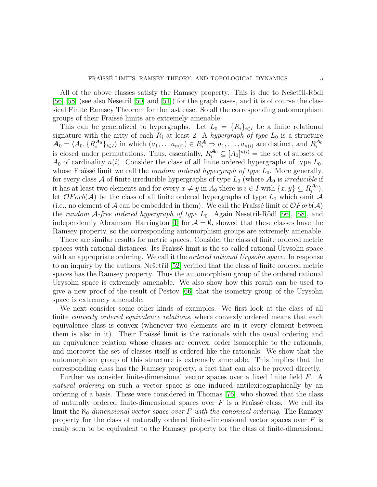All of the above classes satisfy the Ramsey property. This is due to Nešetřil-Rödl  $[56]$ , [\[58\]](#page-72-6) (see also Nešetřil [\[50\]](#page-71-9) and [\[51\]](#page-71-10)) for the graph cases, and it is of course the classical Finite Ramsey Theorem for the last case. So all the corresponding automorphism groups of their Fraïssé limits are extremely amenable.

This can be generalized to hypergraphs. Let  $L_0 = \{R_i\}_{i\in I}$  be a finite relational signature with the arity of each  $R_i$  at least 2. A *hypergraph of type*  $L_0$  is a structure  $\mathbf{A}_0 = \langle A_0, \{R_i^{\mathbf{A}_0}\}$  $\{A_0\}_{i\in I}$  in which  $(a_1, \ldots a_{n(i)}) \in R_i^{\mathbf{A}} \Rightarrow a_1, \ldots, a_{n(i)}$  are distinct, and  $R_i^{\mathbf{A}_0}$ i is closed under permutations. Thus, essentially,  $R_i^{\mathcal{A}_0} \subseteq [A_0]^{n(i)}$  = the set of subsets of  $A_0$  of cardinality  $n(i)$ . Consider the class of all finite ordered hypergraphs of type  $L_0$ , whose Fraïssé limit we call the *random ordered hypergraph of type*  $L_0$ . More generally, for every class A of finite irreducible hypergraphs of type  $L_0$  (where  $A_0$  is *irreducible* if it has at least two elements and for every  $x \neq y$  in  $A_0$  there is  $i \in I$  with  $\{x, y\} \subseteq R_i^{A_0}$  $\binom{\boldsymbol{A}_0}{i},$ let  $\mathcal{O}Forb(\mathcal{A})$  be the class of all finite ordered hypergraphs of type  $L_0$  which omit  $\mathcal A$ (i.e., no element of A can be embedded in them). We call the Fraüssé limit of  $\mathcal{O}Forb(\mathcal{A})$ the *random* A-free ordered hypergraph of type  $L_0$ . Again Nešetřil-Rödl [\[56\]](#page-71-8), [\[58\]](#page-72-6), and independently Abramson–Harrington [\[1\]](#page-69-0) for  $\mathcal{A} = \emptyset$ , showed that these classes have the Ramsey property, so the corresponding automorphism groups are extremely amenable.

There are similar results for metric spaces. Consider the class of finite ordered metric spaces with rational distances. Its Fraïssé limit is the so-called rational Urysohn space with an appropriate ordering. We call it the *ordered rational Urysohn space*. In response to an inquiry by the authors, Nešetřil [\[52\]](#page-71-11) verified that the class of finite ordered metric spaces has the Ramsey property. Thus the automorphism group of the ordered rational Urysohn space is extremely amenable. We also show how this result can be used to give a new proof of the result of Pestov [\[66\]](#page-72-3) that the isometry group of the Urysohn space is extremely amenable.

We next consider some other kinds of examples. We first look at the class of all finite *convexly ordered equivalence relations*, where convexly ordered means that each equivalence class is convex (whenever two elements are in it every element between them is also in it). Their Fraïssé limit is the rationals with the usual ordering and an equivalence relation whose classes are convex, order isomorphic to the rationals, and moreover the set of classes itself is ordered like the rationals. We show that the automorphism group of this structure is extremely amenable. This implies that the corresponding class has the Ramsey property, a fact that can also be proved directly.

Further we consider finite-dimensional vector spaces over a fixed finite field F. A *natural ordering* on such a vector space is one induced antilexicographically by an ordering of a basis. These were considered in Thomas [\[76\]](#page-72-7), who showed that the class of naturally ordered finite-dimensional spaces over  $F$  is a Fraüssé class. We call its limit the  $\aleph_0$ -dimensional vector space over F with the canonical ordering. The Ramsey property for the class of naturally ordered finite-dimensional vector spaces over  $F$  is easily seen to be equivalent to the Ramsey property for the class of finite-dimensional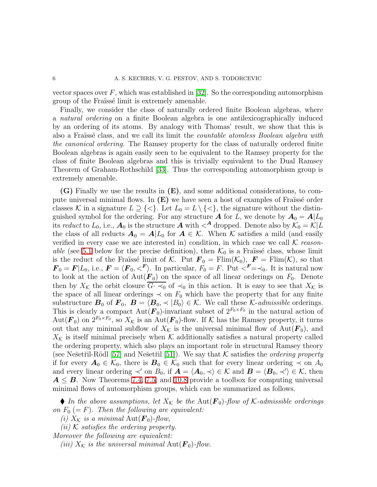vector spaces over  $F$ , which was established in [\[32\]](#page-71-12). So the corresponding automorphism group of the Fraüssé limit is extremely amenable.

Finally, we consider the class of naturally ordered finite Boolean algebras, where a *natural ordering* on a finite Boolean algebra is one antilexicographically induced by an ordering of its atoms. By analogy with Thomas' result, we show that this is also a Fra¨ıss´e class, and we call its limit the *countable atomless Boolean algebra with the canonical ordering*. The Ramsey property for the class of naturally ordered finite Boolean algebras is again easily seen to be equivalent to the Ramsey property for the class of finite Boolean algebras and this is trivially equivalent to the Dual Ramsey Theorem of Graham-Rothschild [\[33\]](#page-71-13). Thus the corresponding automorphism group is extremely amenable.

(G) Finally we use the results in (E), and some additional considerations, to compute universal minimal flows. In  $(E)$  we have seen a host of examples of Fraüssé order classes K in a signature  $L \supseteq \{<\}$ . Let  $L_0 = L \setminus \{<\}$ , the signature without the distinguished symbol for the ordering. For any structure **A** for L, we denote by  $A_0 = A|L_0$ its *reduct* to  $L_0$ , i.e.,  $\mathbf{A}_0$  is the structure  $\mathbf{A}$  with  $\lt^{\mathbf{A}}$  dropped. Denote also by  $\mathcal{K}_0 = \mathcal{K}|L$ the class of all reducts  $\mathbf{A}_0 = \mathbf{A}|L_0$  for  $\mathbf{A} \in \mathcal{K}$ . When K satisfies a mild (and easily verified in every case we are interested in) condition, in which case we call K *reasonable* (see [5.1](#page-25-0) below for the precise definition), then  $\mathcal{K}_0$  is a Fraïssé class, whose limit is the reduct of the Fraïssé limit of K. Put  $\mathbf{F}_0 = \text{Film}(\mathcal{K}_0)$ ,  $\mathbf{F} = \text{Film}(\mathcal{K})$ , so that  $\mathbf{F}_0 = \mathbf{F}|L_0$ , i.e.,  $\mathbf{F} = \langle \mathbf{F}_0, \langle \mathbf{F} \rangle$ . In particular,  $F_0 = F$ . Put  $\langle \mathbf{F} = \langle 0, 0 \rangle$ . It is natural now to look at the action of  $Aut(\mathbf{F}_0)$  on the space of all linear orderings on  $F_0$ . Denote then by  $X_K$  the orbit closure  $\overline{G \cdot \prec_0}$  of  $\prec_0$  in this action. It is easy to see that  $X_K$  is the space of all linear orderings  $\prec$  on  $F_0$  which have the property that for any finite substructure  $\mathbf{B}_0$  of  $\mathbf{F}_0$ ,  $\mathbf{B} = \langle \mathbf{B}_0, \prec |B_0 \rangle \in \mathcal{K}$ . We call these K-*admissible* orderings. This is clearly a compact  $\text{Aut}(\mathbf{F}_0)$ -invariant subset of  $2^{F_0 \times F_0}$  in the natural action of Aut $(\mathbf{F}_0)$  on  $2^{F_0 \times F_0}$ , so  $X_K$  is an Aut $(\mathbf{F}_0)$ -flow. If K has the Ramsey property, it turns out that any minimal subflow of  $X_K$  is the universal minimal flow of  $Aut(\mathbf{F}_0)$ , and  $X_{\mathcal{K}}$  is itself minimal precisely when  $\mathcal K$  additionally satisfies a natural property called the ordering property, which also plays an important role in structural Ramsey theory (see Ne $\check{\text{setri}}$ -Rödl [\[57\]](#page-71-14) and Ne $\check{\text{setri}}$  [\[51\]](#page-71-10)). We say that K satisfies the *ordering property* if for every  $A_0 \in \mathcal{K}_0$ , there is  $B_0 \in \mathcal{K}_0$  such that for every linear ordering  $\prec$  on  $A_0$ and every linear ordering  $\prec'$  on  $B_0$ , if  $\mathbf{A} = \langle \mathbf{A}_0, \prec \rangle \in \mathcal{K}$  and  $\mathbf{B} = \langle \mathbf{B}_0, \prec' \rangle \in \mathcal{K}$ , then  $A \leq B$ . Now Theorems [7.4,](#page-40-0) [7.5,](#page-41-0) and [10.8](#page-59-0) provide a toolbox for computing universal minimal flows of automorphism groups, which can be summarized as follows.

 $\blacklozenge$  *In the above assumptions, let*  $X_{\mathcal{K}}$  *be the* Aut $(\mathbf{F}_0)$ -flow of K-admissible orderings *on*  $F_0 (= F)$ *. Then the following are equivalent:* 

*(i)*  $X_{\mathcal{K}}$  *is a minimal*  $Aut(\mathbf{F}_0)$ -flow,

*(ii)* K *satisfies the ordering property.*

*Moreover the following are equivalent:*

*(iii)*  $X_K$  *is the universal minimal*  $Aut(\mathbf{F}_0)$ *-flow.*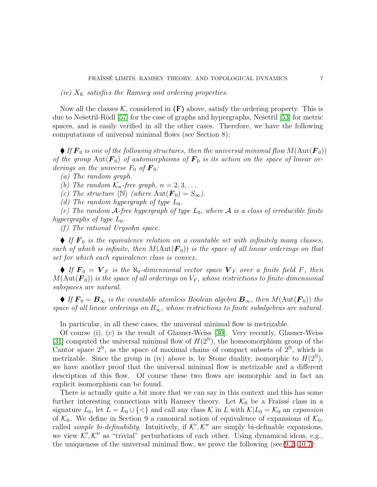*(iv)*  $X_K$  *satisfies the Ramsey and ordering properties.* 

Now all the classes  $\mathcal{K}$ , considered in  $(F)$  above, satisfy the ordering property. This is due to Nešetřil-Rödl [\[57\]](#page-71-14) for the case of graphs and hypergraphs, Nešetřil [\[53\]](#page-71-15) for metric spaces, and is easily verified in all the other cases. Therefore, we have the following computations of universal minimal flows (see Section 8):

 $\blacklozenge$  *If*  $\mathbf{F}_0$  *is one of the following structures, then the universal minimal flow*  $M(\text{Aut}(\mathbf{F}_0))$ of the group  $Aut(\mathbf{F}_0)$  of automorphisms of  $\mathbf{F}_0$  is its action on the space of linear or*derings on the universe*  $F_0$  *of*  $\mathbf{F}_0$ *:* 

*(a) The random graph.*

*(b)* The random  $\mathcal{K}_n$ -free graph,  $n = 2, 3, \ldots$ 

*(c)* The structure  $\langle N \rangle$  *(where* Aut $(\mathbf{F}_0) = S_{\infty}$ ).

*(d)* The random hypergraph of type  $L_0$ .

*(e)* The random  $A$ -free hypergraph of type  $L_0$ , where  $A$  *is a class of irreducible finite hypergraphs of type*  $L_0$ .

*(f ) The rational Urysohn space.*

 $\blacklozenge$  *If*  $F_0$  *is the equivalence relation on a countable set with infinitely many classes, each of which is infinite, then*  $M(\text{Aut}(\mathbf{F}_0))$  *is the space of all linear orderings on that set for which each equivalence class is convex.*

 $\blacklozenge$  *If*  $\mathbf{F}_0 = \mathbf{V}_F$  *is the*  $\aleph_0$ -dimensional vector space  $\mathbf{V}_F$  over a finite field F, then  $M(\text{Aut}(\mathbf{F}_0))$  is the space of all orderings on  $V_F$ , whose restrictions to finite-dimensional *subspaces are natural.*

 $\blacklozenge$  *If*  $\mathbf{F}_0 = \mathbf{B}_{\infty}$  *is the countable atomless Boolean algebra*  $\mathbf{B}_{\infty}$ *, then*  $M(\text{Aut}(\mathbf{F}_0))$  *the space of all linear orderings on*  $B_{\infty}$ *, whose restrictions to finite subalgebras are natural.* 

In particular, in all these cases, the universal minimal flow is metrizable.

Of course (i), (c) is the result of Glasner-Weiss [\[30\]](#page-70-3). Very recently, Glasner-Weiss [\[31\]](#page-71-7) computed the universal minimal flow of  $H(2^N)$ , the homeomorphism group of the Cantor space  $2^{\mathbb{N}}$ , as the space of maximal chains of compact subsets of  $2^{\mathbb{N}}$ , which is metrizable. Since the group in (iv) above is, by Stone duality, isomorphic to  $H(2^{\mathbb{N}})$ , we have another proof that the universal minimal flow is metrizable and a different description of this flow. Of course these two flows are isomorphic and in fact an explicit isomorphism can be found.

There is actually quite a bit more that we can say in this context and this has some further interesting connections with Ramsey theory. Let  $\mathcal{K}_0$  be a Fraüssé class in a signature  $L_0$ , let  $L = L_0 \cup \{ \leq \}$  and call any class K in L with  $\mathcal{K}|L_0 = \mathcal{K}_0$  an *expansion* of  $\mathcal{K}_0$ . We define in Section 9 a canonical notion of equivalence of expansions of  $\mathcal{K}_0$ , called *simple bi-definability*. Intuitively, if  $K'$ ,  $K''$  are simply bi-definable expansions, we view  $\mathcal{K}', \mathcal{K}''$  as "trivial" perturbations of each other. Using dynamical ideas, e.g., the uniqueness of the universal minimal flow, we prove the following (see [9.2,](#page-48-0) [10.7\)](#page-59-1):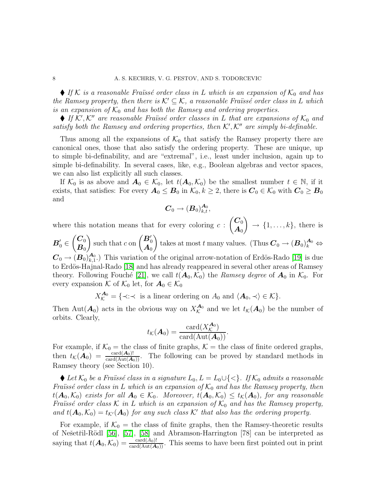$\blacklozenge$  *If* K *is a reasonable Fraïssé order class in* L *which is an expansion of*  $K_0$  *and has the Ramsey property, then there is*  $K' \subseteq K$ *, a reasonable Fraïssé order class in* L *which is an expansion of*  $K_0$  *and has both the Ramsey and ordering properties.* 

 $\blacklozenge$  *If*  $K'$ ,  $K''$  are reasonable Fraüssé order classes in L that are expansions of  $K_0$  and satisfy both the Ramsey and ordering properties, then  $K', K''$  are simply bi-definable.

Thus among all the expansions of  $\mathcal{K}_0$  that satisfy the Ramsey property there are canonical ones, those that also satisfy the ordering property. These are unique, up to simple bi-definability, and are "extremal", i.e., least under inclusion, again up to simple bi-definability. In several cases, like, e.g., Boolean algebras and vector spaces, we can also list explicitly all such classes.

If  $\mathcal{K}_0$  is as above and  $\mathbf{A}_0 \in \mathcal{K}_0$ , let  $t(\mathbf{A}_0, \mathcal{K}_0)$  be the smallest number  $t \in \mathbb{N}$ , if it exists, that satisfies: For every  $A_0 \leq B_0$  in  $\mathcal{K}_0, k \geq 2$ , there is  $C_0 \in \mathcal{K}_0$  with  $C_0 \geq B_0$ and

$$
\boldsymbol{C}_0 \to (\boldsymbol{B}_0)^{\boldsymbol{A}_0}_{k,t},
$$

where this notation means that for every coloring  $c$ :  $\overline{C_0}$  $\boldsymbol{A}_0$  $\lambda$  $\rightarrow \{1, \ldots, k\},\$  there is  $\boldsymbol{B}_0' \in$  $\overline{\mathcal{C}}_0$  $\boldsymbol{B}_0$  $\Big)$  such that c on  $\begin{pmatrix} B_0' \\ A_0 \end{pmatrix}$  $\lambda$ takes at most t many values. (Thus  $\mathbf{C}_0 \to (\mathbf{B}_0)_k^{\mathbf{A}_0} \Leftrightarrow$  $\boldsymbol{C}_0 \rightarrow (\boldsymbol{B}_0<sub>k,1}^{\boldsymbol{\lambda}_0}</sub>$ </sub>  $\mathcal{A}_{k,1}^{(A)}$ .) This variation of the original arrow-notation of Erdös-Rado [\[19\]](#page-70-4) is due to Erdös-Hajnal-Rado [\[18\]](#page-70-5) and has already reappeared in several other areas of Ramsey theory. Following Fouché [\[21\]](#page-70-6), we call  $t(A_0, \mathcal{K}_0)$  the *Ramsey degree* of  $A_0$  in  $\mathcal{K}_0$ . For every expansion K of  $\mathcal{K}_0$  let, for  $\mathbf{A}_0 \in \mathcal{K}_0$ 

 $X_{\mathcal{K}}^{\mathbf{A}_0} = \{ \prec : \prec \text{ is a linear ordering on } A_0 \text{ and } \langle \mathbf{A}_0, \prec \rangle \in \mathcal{K} \}.$ 

Then Aut $(\mathbf{A}_0)$  acts in the obvious way on  $X_{\mathcal{K}}^{\mathbf{A}_0}$  $\mathcal{A}_0^{\mathbf{A}_0}$  and we let  $t_{\mathcal{K}}(\mathbf{A}_0)$  be the number of orbits. Clearly,

$$
t_{\mathcal{K}}(\boldsymbol{A}_0) = \frac{\mathrm{card}(X_{\mathcal{K}}^{\boldsymbol{A}_0})}{\mathrm{card}(\mathrm{Aut}(\boldsymbol{A}_0))}.
$$

For example, if  $\mathcal{K}_0 =$  the class of finite graphs,  $\mathcal{K} =$  the class of finite ordered graphs, then  $t_K(\mathbf{A}_0) = \frac{\text{card}(\mathbf{A}_0)!}{\text{card}(\text{Aut}(\mathbf{A}_0))}$ . The following can be proved by standard methods in Ramsey theory (see Section 10).

◆ Let  $\mathcal{K}_0$  *be a Fraïssé class in a signature*  $L_0$ ,  $L = L_0 \cup \{<\}$ *. If*  $\mathcal{K}_0$  *admits a reasonable Fraïssé order class in* L *which is an expansion of*  $K_0$  *and has the Ramsey property, then*  $t(\mathbf{A}_0, \mathcal{K}_0)$  *exists for all*  $\mathbf{A}_0 \in \mathcal{K}_0$ *. Moreover,*  $t(\mathbf{A}_0, \mathcal{K}_0) \le t_{\mathcal{K}}(\mathbf{A}_0)$ *, for any reasonable Fraïssé order class*  $K$  *in*  $L$  *which is an expansion of*  $K_0$  *and has the Ramsey property,* and  $t(\mathbf{A}_0, \mathcal{K}_0) = t_{\mathcal{K}'}(\mathbf{A}_0)$  *for any such class*  $\mathcal{K}'$  *that also has the ordering property.* 

For example, if  $\mathcal{K}_0 =$  the class of finite graphs, then the Ramsey-theoretic results of Nešetřil-Rödl [\[56\]](#page-71-8), [\[57\]](#page-71-14), [\[58\]](#page-72-6) and Abramson-Harrington [78] can be interpreted as saying that  $t(\mathbf{A}_0, \mathcal{K}_0) = \frac{\text{card}(A_0)!}{\text{card}(\text{Aut}(\mathbf{A}_0))}$ . This seems to have been first pointed out in print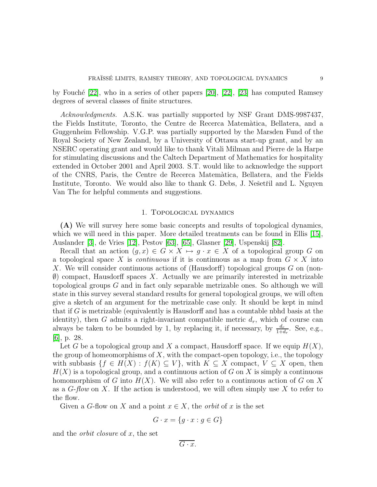by Fouch´e [\[22\]](#page-70-7), who in a series of other papers [\[20\]](#page-70-8), [\[22\]](#page-70-7), [\[23\]](#page-70-9) has computed Ramsey degrees of several classes of finite structures.

*Acknowledgments.* A.S.K. was partially supported by NSF Grant DMS-9987437, the Fields Institute, Toronto, the Centre de Recerca Matem`atica, Bellatera, and a Guggenheim Fellowship. V.G.P. was partially supported by the Marsden Fund of the Royal Society of New Zealand, by a University of Ottawa start-up grant, and by an NSERC operating grant and would like to thank Vitali Milman and Pierre de la Harpe for stimulating discussions and the Caltech Department of Mathematics for hospitality extended in October 2001 and April 2003. S.T. would like to acknowledge the support of the CNRS, Paris, the Centre de Recerca Matem`atica, Bellatera, and the Fields Institute, Toronto. We would also like to thank G. Debs, J. Nešetřil and L. Nguyen Van The for helpful comments and suggestions.

# 1. Topological dynamics

(A) We will survey here some basic concepts and results of topological dynamics, which we will need in this paper. More detailed treatments can be found in Ellis [\[15\]](#page-70-10), Auslander [\[3\]](#page-69-1), de Vries [\[12\]](#page-70-11), Pestov [\[63\]](#page-72-2), [\[65\]](#page-72-8), Glasner [\[29\]](#page-70-12), Uspenskij [\[82\]](#page-72-9).

Recall that an action  $(q, x) \in G \times X \mapsto q \cdot x \in X$  of a topological group G on a topological space X is *continuous* if it is continuous as a map from  $G \times X$  into X. We will consider continuous actions of (Hausdorff) topological groups G on (non-  $\emptyset$ ) compact, Hausdorff spaces X. Actually we are primarily interested in metrizable topological groups G and in fact only separable metrizable ones. So although we will state in this survey several standard results for general topological groups, we will often give a sketch of an argument for the metrizable case only. It should be kept in mind that if G is metrizable (equivalently is Hausdorff and has a countable nbhd basis at the identity), then G admits a right-invariant compatible metric  $d_r$ , which of course can always be taken to be bounded by 1, by replacing it, if necessary, by  $\frac{d_r}{1+d_r}$ . See, e.g., [\[6\]](#page-70-13), p. 28.

Let G be a topological group and X a compact, Hausdorff space. If we equip  $H(X)$ , the group of homeomorphisms of  $X$ , with the compact-open topology, i.e., the topology with subbasis  $\{f \in H(X) : f(K) \subseteq V\}$ , with  $K \subseteq X$  compact,  $V \subseteq X$  open, then  $H(X)$  is a topological group, and a continuous action of G on X is simply a continuous homomorphism of G into  $H(X)$ . We will also refer to a continuous action of G on X as a G-*flow* on X. If the action is understood, we will often simply use X to refer to the flow.

Given a G-flow on X and a point  $x \in X$ , the *orbit* of x is the set

$$
G \cdot x = \{ g \cdot x : g \in G \}
$$

and the *orbit closure* of x, the set

$$
\overline{G\cdot x}.
$$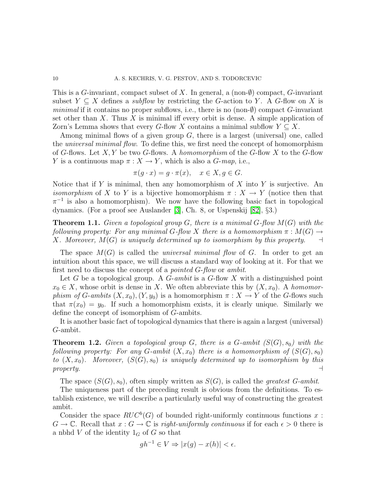This is a G-invariant, compact subset of X. In general, a (non- $\emptyset$ ) compact, G-invariant subset  $Y \subseteq X$  defines a *subflow* by restricting the G-action to Y. A G-flow on X is *minimal* if it contains no proper subflows, i.e., there is no  $(non-\emptyset)$  compact  $G$ -invariant set other than  $X$ . Thus  $X$  is minimal iff every orbit is dense. A simple application of Zorn's Lemma shows that every G-flow X contains a minimal subflow  $Y \subseteq X$ .

Among minimal flows of a given group  $G$ , there is a largest (universal) one, called the *universal minimal flow*. To define this, we first need the concept of homomorphism of G-flows. Let X, Y be two G-flows. A *homomorphism* of the G-flow X to the G-flow Y is a continuous map  $\pi : X \to Y$ , which is also a *G*-map, i.e.,

$$
\pi(g \cdot x) = g \cdot \pi(x), \quad x \in X, g \in G.
$$

Notice that if  $Y$  is minimal, then any homomorphism of  $X$  into  $Y$  is surjective. An *isomorphism* of X to Y is a bijective homomorphism  $\pi : X \to Y$  (notice then that  $\pi^{-1}$  is also a homomorphism). We now have the following basic fact in topological dynamics. (For a proof see Auslander [\[3\]](#page-69-1), Ch. 8, or Uspenskij [\[82\]](#page-72-9), §3.)

<span id="page-9-0"></span>Theorem 1.1. *Given a topological group* G*, there is a minimal* G*-flow* M(G) *with the following property: For any minimal*  $G$ -*flow*  $X$  *there is a homomorphism*  $\pi : M(G) \rightarrow X$ *. Moreover,*  $M(G)$  *is uniquely determined up to isomorphism by this property.*  $\rightarrow$ X. Moreover,  $M(G)$  is uniquely determined up to isomorphism by this property.

The space M(G) is called the *universal minimal flow* of G. In order to get an intuition about this space, we will discuss a standard way of looking at it. For that we first need to discuss the concept of a *pointed* G-*flow* or *ambit*.

Let G be a topological group. A G-ambit is a G-flow X with a distinguished point  $x_0 \in X$ , whose orbit is dense in X. We often abbreviate this by  $(X, x_0)$ . A *homomorphism of* G-*ambits*  $(X, x_0)$ ,  $(Y, y_0)$  is a homomorphism  $\pi : X \to Y$  of the G-flows such that  $\pi(x_0) = y_0$ . If such a homomorphism exists, it is clearly unique. Similarly we define the concept of isomorphism of G-ambits.

It is another basic fact of topological dynamics that there is again a largest (universal) G-ambit.

**Theorem 1.2.** *Given a topological group*  $G$ *, there is a G-ambit*  $(S(G), s_0)$  *with the following property: For any*  $G$ -ambit  $(X, x_0)$  *there is a homomorphism of*  $(S(G), s_0)$ *to*  $(X, x_0)$ *. Moreover,*  $(S(G), s_0)$  *is uniquely determined up to isomorphism by this property.* ⊣

The space  $(S(G), s_0)$ , often simply written as  $S(G)$ , is called the *greatest G-ambit*.

The uniqueness part of the preceding result is obvious from the definitions. To establish existence, we will describe a particularly useful way of constructing the greatest ambit.

Consider the space  $RUC^b(G)$  of bounded right-uniformly continuous functions x:  $G \to \mathbb{C}$ . Recall that  $x : G \to \mathbb{C}$  is *right-uniformly continuous* if for each  $\epsilon > 0$  there is a nbhd  $V$  of the identity  $1_G$  of  $G$  so that

$$
gh^{-1} \in V \Rightarrow |x(g) - x(h)| < \epsilon.
$$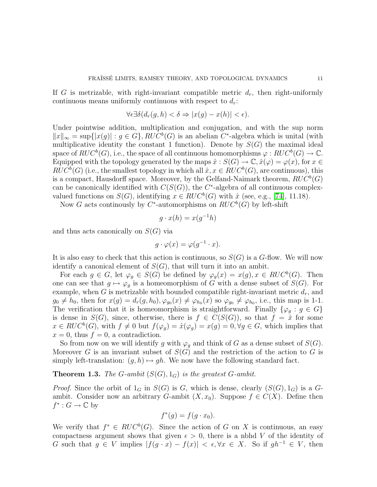If G is metrizable, with right-invariant compatible metric  $d_r$ , then right-uniformly continuous means uniformly continuous with respect to  $d_r$ :

$$
\forall \epsilon \exists \delta (d_r(g, h) < \delta \Rightarrow |x(g) - x(h)| < \epsilon).
$$

Under pointwise addition, multiplication and conjugation, and with the sup norm  $||x||_{\infty} = \sup\{|x(g)| : g \in G\}$ ,  $RUC^{b}(G)$  is an abelian  $C^*$ -algebra which is unital (with multiplicative identity the constant 1 function). Denote by  $S(G)$  the maximal ideal space of  $RUC^b(G)$ , i.e., the space of all continuous homomorphisms  $\varphi : RUC^b(G) \to \mathbb{C}$ . Equipped with the topology generated by the maps  $\hat{x}: S(G) \to \mathbb{C}, \hat{x}(\varphi) = \varphi(x)$ , for  $x \in$  $RUC^{b}(G)$  (i.e., the smallest topology in which all  $\hat{x}, x \in RUC^{b}(G)$ , are continuous), this is a compact, Hausdorff space. Moreover, by the Gelfand-Naimark theorem,  $RUC^b(G)$ can be canonically identified with  $C(S(G))$ , the C<sup>\*</sup>-algebra of all continuous complexvalued functions on  $S(G)$ , identifying  $x \in RUC^b(G)$  with  $\hat{x}$  (see, e.g., [\[74\]](#page-72-10), 11.18).

Now G acts continuously by  $C^*$ -automorphisms on  $RUC^b(G)$  by left-shift

$$
g \cdot x(h) = x(g^{-1}h)
$$

and thus acts canonically on  $S(G)$  via

$$
g \cdot \varphi(x) = \varphi(g^{-1} \cdot x).
$$

It is also easy to check that this action is continuous, so  $S(G)$  is a G-flow. We will now identify a canonical element of  $S(G)$ , that will turn it into an ambit.

For each  $g \in G$ , let  $\varphi_g \in S(G)$  be defined by  $\varphi_g(x) = x(g), x \in RUC^b(G)$ . Then one can see that  $g \mapsto \varphi_g$  is a homeomorphism of G with a dense subset of  $S(G)$ . For example, when G is metrizable with bounded compatible right-invariant metric  $d_r$ , and  $g_0 \neq h_0$ , then for  $x(g) = d_r(g, h_0), \varphi_{g_0}(x) \neq \varphi_{h_0}(x)$  so  $\varphi_{g_0} \neq \varphi_{h_0}$ , i.e., this map is 1-1. The verification that it is homeomorphism is straightforward. Finally  $\{\varphi_g : g \in G\}$ is dense in  $S(G)$ , since, otherwise, there is  $f \in C(S(G))$ , so that  $f = \hat{x}$  for some  $x \in RUC^b(G)$ , with  $f \neq 0$  but  $f(\varphi_g) = \hat{x}(\varphi_g) = x(g) = 0, \forall g \in G$ , which implies that  $x = 0$ , thus  $f = 0$ , a contradiction.

So from now on we will identify g with  $\varphi_g$  and think of G as a dense subset of  $S(G)$ . Moreover G is an invariant subset of  $S(G)$  and the restriction of the action to G is simply left-translation:  $(g, h) \mapsto gh$ . We now have the following standard fact.

# <span id="page-10-0"></span>**Theorem 1.3.** *The* G-ambit  $(S(G), 1_G)$  *is the greatest* G-ambit.

*Proof.* Since the orbit of  $1_G$  in  $S(G)$  is G, which is dense, clearly  $(S(G), 1_G)$  is a Gambit. Consider now an arbitrary G-ambit  $(X, x_0)$ . Suppose  $f \in C(X)$ . Define then  $f^*: G \to \mathbb{C}$  by

$$
f^*(g) = f(g \cdot x_0).
$$

We verify that  $f^* \in RUC^b(G)$ . Since the action of G on X is continuous, an easy compactness argument shows that given  $\epsilon > 0$ , there is a nbhd V of the identity of G such that  $g \in V$  implies  $|f(g \cdot x) - f(x)| < \epsilon, \forall x \in X$ . So if  $gh^{-1} \in V$ , then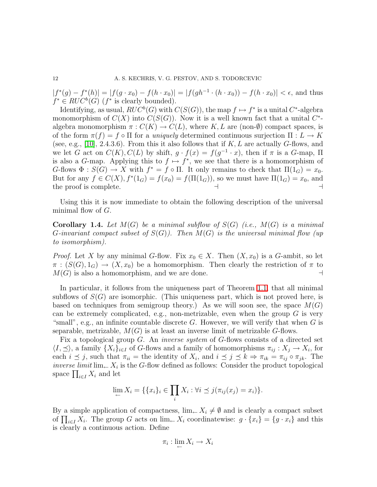$|f^*(g) - f^*(h)| = |f(g \cdot x_0) - f(h \cdot x_0)| = |f(gh^{-1} \cdot (h \cdot x_0)) - f(h \cdot x_0)| < \epsilon$ , and thus  $f^* \in RUC^b(G)$  ( $f^*$  is clearly bounded).

Identifying, as usual,  $RUC^b(G)$  with  $C(S(G))$ , the map  $f \mapsto f^*$  is a unital  $C^*$ -algebra monomorphism of  $C(X)$  into  $C(S(G))$ . Now it is a well known fact that a unital  $C^*$ algebra monomorphism  $\pi: C(K) \to C(L)$ , where K, L are (non- $\emptyset$ ) compact spaces, is of the form  $\pi(f) = f \circ \Pi$  for a *uniquely* determined continuous surjection  $\Pi: L \to K$ (see, e.g., [\[10\]](#page-70-14), 2.4.3.6). From this it also follows that if  $K, L$  are actually G-flows, and we let G act on  $C(K)$ ,  $C(L)$  by shift,  $g \cdot f(x) = f(g^{-1} \cdot x)$ , then if  $\pi$  is a G-map,  $\Pi$ is also a G-map. Applying this to  $f \mapsto f^*$ , we see that there is a homomorphism of G-flows  $\Phi : S(G) \to X$  with  $f^* = f \circ \Pi$ . It only remains to check that  $\Pi(1_G) = x_0$ . But for any  $f \in C(X)$ ,  $f^*(1_G) = f(x_0) = f(\Pi(1_G))$ , so we must have  $\Pi(1_G) = x_0$ , and the proof is complete.

Using this it is now immediate to obtain the following description of the universal minimal flow of  $G$ .

Corollary 1.4. *Let* M(G) *be a minimal subflow of* S(G) *(i.e.,* M(G) *is a minimal* G*-invariant compact subset of* S(G)*). Then* M(G) *is the universal minimal flow (up to isomorphism).*

*Proof.* Let X by any minimal G-flow. Fix  $x_0 \in X$ . Then  $(X, x_0)$  is a G-ambit, so let  $\pi : (S(G), 1_G) \to (X, x_0)$  be a homomorphism. Then clearly the restriction of  $\pi$  to  $M(G)$  is also a homomorphism, and we are done.  $M(G)$  is also a homomorphism, and we are done.

In particular, it follows from the uniqueness part of Theorem [1.1,](#page-9-0) that all minimal subflows of  $S(G)$  are isomorphic. (This uniqueness part, which is not proved here, is based on techniques from semigroup theory.) As we will soon see, the space  $M(G)$ can be extremely complicated, e.g., non-metrizable, even when the group  $G$  is very "small", e.g., an infinite countable discrete  $G$ . However, we will verify that when  $G$  is separable, metrizable,  $M(G)$  is at least an inverse limit of metrizable G-flows.

Fix a topological group G. An *inverse system* of G-flows consists of a directed set  $\langle I, \preceq \rangle$ , a family  $\{X_i\}_{i \in I}$  of G-flows and a family of homomorphisms  $\pi_{ij} : X_j \to X_i$ , for each  $i \leq j$ , such that  $\pi_{ii} =$  the identity of  $X_i$ , and  $i \leq j \leq k \Rightarrow \pi_{ik} = \pi_{ij} \circ \pi_{jk}$ . The *inverse limit*  $\lim_{\leftarrow} X_i$  is the G-flow defined as follows: Consider the product topological space  $\prod_{i\in I} X_i$  and let

$$
\lim_{i \to \infty} X_i = \{ \{x_i\}_i \in \prod_i X_i : \forall i \leq j (\pi_{ij}(x_j) = x_i) \}.
$$

By a simple application of compactness,  $\lim_{n \to \infty} X_i \neq \emptyset$  and is clearly a compact subset of  $\prod_{i\in I} X_i$ . The group G acts on  $\lim_{n\to\infty} X_i$  coordinatewise:  $g \cdot \{x_i\} = \{g \cdot x_i\}$  and this is clearly a continuous action. Define

$$
\pi_i: \lim_{\leftarrow} X_i \to X_i
$$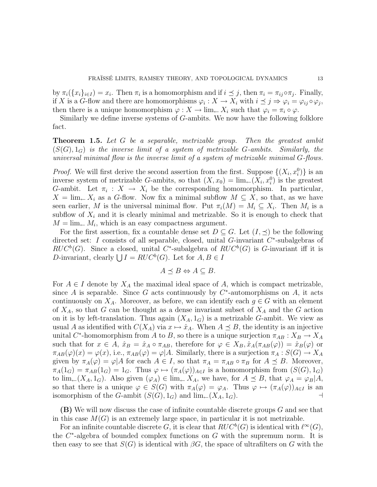by  $\pi_i({x_i}_{i\in I}) = x_i$ . Then  $\pi_i$  is a homomorphism and if  $i \preceq j$ , then  $\pi_i = \pi_{ij} \circ \pi_j$ . Finally, if X is a G-flow and there are homomorphisms  $\varphi_i: X \to X_i$  with  $i \leq j \Rightarrow \varphi_i = \varphi_{ij} \circ \varphi_j$ , then there is a unique homomorphism  $\varphi: X \to \lim_{\leftarrow} X_i$  such that  $\varphi_i = \pi_i \circ \varphi$ .

Similarly we define inverse systems of G-ambits. We now have the following folklore fact.

Theorem 1.5. *Let* G *be a separable, metrizable group. Then the greatest ambit* (S(G), 1G) *is the inverse limit of a system of metrizable* G*-ambits. Similarly, the universal minimal flow is the inverse limit of a system of metrizable minimal* G*-flows.*

*Proof.* We will first derive the second assertion from the first. Suppose  $\{(X_i, x_i^0)\}\$ is an inverse system of metrizable G-ambits, so that  $(X, x_0) = \lim_{\leftarrow} (X_i, x_i^0)$  is the greatest G-ambit. Let  $\pi_i : X \to X_i$  be the corresponding homomorphism. In particular,  $X = \lim_{k \to \infty} X_i$  as a G-flow. Now fix a minimal subflow  $M \subseteq X$ , so that, as we have seen earlier, M is the universal minimal flow. Put  $\pi_i(M) = M_i \subseteq X_i$ . Then  $M_i$  is a subflow of  $X_i$  and it is clearly minimal and metrizable. So it is enough to check that  $M = \lim_{\leftarrow} M_i$ , which is an easy compactness argument.

For the first assertion, fix a countable dense set  $D \subseteq G$ . Let  $(I, \preceq)$  be the following directed set: I consists of all separable, closed, unital  $G$ -invariant  $C^*$ -subalgebras of  $RUC^b(G)$ . Since a closed, unital C<sup>\*</sup>-subalgebra of  $RUC^b(G)$  is G-invariant iff it is D-invariant, clearly  $\bigcup I = RUC^b(G)$ . Let for  $A, B \in I$ 

$$
A \preceq B \Leftrightarrow A \subseteq B.
$$

For  $A \in I$  denote by  $X_A$  the maximal ideal space of A, which is compact metrizable, since A is separable. Since G acts continuously by  $C^*$ -automorphisms on A, it acts continuously on  $X_A$ . Moreover, as before, we can identify each  $g \in G$  with an element of  $X_A$ , so that G can be thought as a dense invariant subset of  $X_A$  and the G action on it is by left-translation. Thus again  $(X_A, 1_G)$  is a metrizable G-ambit. We view as usual A as identified with  $C(X_A)$  via  $x \mapsto \hat{x}_A$ . When  $A \preceq B$ , the identity is an injective unital  $C^*$ -homomorphism from A to B, so there is a unique surjection  $\pi_{AB}: X_B \to X_A$ such that for  $x \in A$ ,  $\hat{x}_B = \hat{x}_A \circ \pi_{AB}$ , therefore for  $\varphi \in X_B$ ,  $\hat{x}_A(\pi_{AB}(\varphi)) = \hat{x}_B(\varphi)$  or  $\pi_{AB}(\varphi)(x) = \varphi(x)$ , i.e.,  $\pi_{AB}(\varphi) = \varphi|A$ . Similarly, there is a surjection  $\pi_A : S(G) \to X_A$ given by  $\pi_A(\varphi) = \varphi | A$  for each  $A \in I$ , so that  $\pi_A = \pi_{AB} \circ \pi_B$  for  $A \preceq B$ . Moreover,  $\pi_A(1_G) = \pi_{AB}(1_G) = 1_G$ . Thus  $\varphi \mapsto (\pi_A(\varphi))_{A \in I}$  is a homomorphism from  $(S(G), 1_G)$ to  $\lim_{\leftarrow}(X_A, 1_G)$ . Also given  $(\varphi_A) \in \lim_{\leftarrow} X_A$ , we have, for  $A \preceq B$ , that  $\varphi_A = \varphi_B | A$ , so that there is a unique  $\varphi \in S(G)$  with  $\pi_A(\varphi) = \varphi_A$ . Thus  $\varphi \mapsto (\pi_A(\varphi))_{A \in I}$  is an isomorphism of the G-ambit  $(S(G), 1_G)$  and  $\lim_{\leftarrow}(X_A, 1_G)$ .

(B) We will now discuss the case of infinite countable discrete groups G and see that in this case  $M(G)$  is an extremely large space, in particular it is not metrizable.

For an infinite countable discrete G, it is clear that  $RUC^b(G)$  is identical with  $\ell^{\infty}(G)$ , the  $C^*$ -algebra of bounded complex functions on  $G$  with the supremum norm. It is then easy to see that  $S(G)$  is identical with  $\beta G$ , the space of ultrafilters on G with the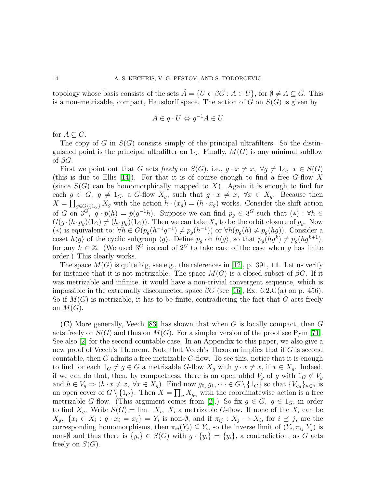topology whose basis consists of the sets  $A = \{U \in \beta G : A \in U\}$ , for  $\emptyset \neq A \subseteq G$ . This is a non-metrizable, compact, Hausdorff space. The action of G on  $S(G)$  is given by

$$
A \in g \cdot U \Leftrightarrow g^{-1}A \in U
$$

for  $A \subseteq G$ .

The copy of G in  $S(G)$  consists simply of the principal ultrafilters. So the distinguished point is the principal ultrafilter on  $1_G$ . Finally,  $M(G)$  is any minimal subflow of  $\beta G$ .

First we point out that G acts freely on  $S(G)$ , i.e.,  $g \cdot x \neq x$ ,  $\forall g \neq 1_G$ ,  $x \in S(G)$ (this is due to Ellis [\[14\]](#page-70-15)). For that it is of course enough to find a free  $G$ -flow X (since  $S(G)$  can be homomorphically mapped to X). Again it is enough to find for each  $g \in G$ ,  $g \neq 1_G$ , a G-flow  $X_g$ , such that  $g \cdot x \neq x$ ,  $\forall x \in X_g$ . Because then  $X = \prod_{g \in G \setminus \{1_G\}} X_g$  with the action  $h \cdot (x_g) = (h \cdot x_g)$  works. Consider the shift action of G on  $3^G$ ,  $g \cdot p(h) = p(g^{-1}h)$ . Suppose we can find  $p_g \in 3^G$  such that  $(*) : \forall h \in \mathbb{R}$  $G(g \cdot (h \cdot p_g)(1_G) \neq (h \cdot p_g)(1_G))$ . Then we can take  $X_g$  to be the orbit closure of  $p_g$ . Now (\*) is equivalent to:  $\forall h \in G(p_g(h^{-1}g^{-1}) \neq p_g(h^{-1}))$  or  $\forall h(p_g(h) \neq p_g(hg))$ . Consider a coset  $h\langle g \rangle$  of the cyclic subgroup  $\langle g \rangle$ . Define  $p_g$  on  $h\langle g \rangle$ , so that  $p_g(hg^k) \neq p_g(hg^{k+1}),$ for any  $k \in \mathbb{Z}$ . (We used  $3^{\tilde{G}}$  instead of  $2^G$  to take care of the case when q has finite order.) This clearly works.

The space  $M(G)$  is quite big, see e.g., the references in [\[12\]](#page-70-11), p. 391, 11. Let us verify for instance that it is not metrizable. The space  $M(G)$  is a closed subset of  $\beta G$ . If it was metrizable and infinite, it would have a non-trivial convergent sequence, which is impossible in the extremally disconnected space  $\beta G$  (see [\[16\]](#page-70-16), Ex. 6.2.G(a) on p. 456). So if  $M(G)$  is metrizable, it has to be finite, contradicting the fact that G acts freely on  $M(G)$ .

(C) More generally, Veech [\[83\]](#page-72-0) has shown that when G is locally compact, then G acts freely on  $S(G)$  and thus on  $M(G)$ . For a simpler version of the proof see Pym [\[71\]](#page-72-11). See also [\[2\]](#page-69-2) for the second countable case. In an Appendix to this paper, we also give a new proof of Veech's Theorem. Note that Veech's Theorem implies that if G is second countable, then  $G$  admits a free metrizable  $G$ -flow. To see this, notice that it is enough to find for each  $1_G \neq g \in G$  a metrizable G-flow  $X_g$  with  $g \cdot x \neq x$ , if  $x \in X_g$ . Indeed, if we can do that, then, by compactness, there is an open nbhd  $V_g$  of g with  $1_G \notin V_g$ and  $h \in V_g \Rightarrow (h \cdot x \neq x, \ \forall x \in X_g)$ . Find now  $g_0, g_1, \dots \in G \setminus \{1_G\}$  so that  $\{V_{g_n}\}_{n \in \mathbb{N}}$  is an open cover of  $G \setminus \{1_G\}$ . Then  $X = \prod_n X_{g_n}$  with the coordinatewise action is a free metrizable G-flow. (This argument comes from [\[2\]](#page-69-2).) So fix  $g \in G$ ,  $g \in 1_G$ , in order to find  $X_g$ . Write  $S(G) = \lim_{k \to \infty} X_i$ ,  $X_i$  a metrizable G-flow. If none of the  $X_i$  can be  $X_g$ ,  $\{x_i \in X_i : g \cdot x_i = x_i\} = Y_i$  is non- $\emptyset$ , and if  $\pi_{ij} : X_j \to X_i$ , for  $i \leq j$ , are the corresponding homomorphisms, then  $\pi_{ij}(Y_j) \subseteq Y_i$ , so the inverse limit of  $(Y_i, \pi_{ij} | Y_j)$  is non-Ø and thus there is  $\{y_i\} \in S(G)$  with  $g \cdot \{y_i\} = \{y_i\}$ , a contradiction, as G acts freely on  $S(G)$ .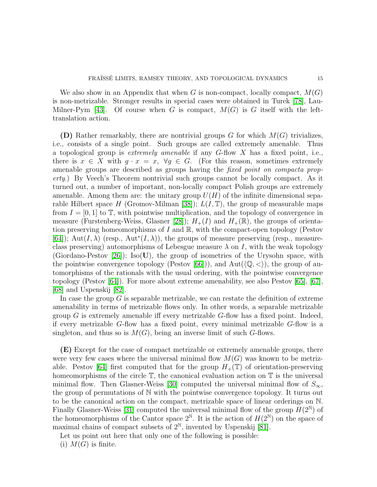We also show in an Appendix that when G is non-compact, locally compact,  $M(G)$ is non-metrizable. Stronger results in special cases were obtained in Turek [\[78\]](#page-72-12), Lau-Milner-Pym [\[43\]](#page-71-16). Of course when G is compact,  $M(G)$  is G itself with the lefttranslation action.

(D) Rather remarkably, there are nontrivial groups G for which  $M(G)$  trivializes, i.e., consists of a single point. Such groups are called extremely amenable. Thus a topological group is *extremely amenable* if any G-flow X has a fixed point, i.e., there is  $x \in X$  with  $g \cdot x = x$ ,  $\forall g \in G$ . (For this reason, sometimes extremely amenable groups are described as groups having the *fixed point on compacta property*.) By Veech's Theorem nontrivial such groups cannot be locally compact. As it turned out, a number of important, non-locally compact Polish groups are extremely amenable. Among them are: the unitary group  $U(H)$  of the infinite dimensional sepa-rable Hilbert space H (Gromov-Milman [\[38\]](#page-71-4));  $L(I, \mathbb{T})$ , the group of measurable maps from  $I = [0, 1]$  to  $\mathbb{T}$ , with pointwise multiplication, and the topology of convergence in measure (Furstenberg-Weiss, Glasner [\[28\]](#page-70-0));  $H_+(I)$  and  $H_+(\mathbb{R})$ , the groups of orientation preserving homeomorphisms of I and  $\mathbb{R}$ , with the compact-open topology (Pestov [\[64\]](#page-72-1)); Aut(I,  $\lambda$ ) (resp., Aut<sup>\*</sup>(I,  $\lambda$ )), the groups of measure preserving (resp., measureclass preserving) automorphisms of Lebesgue measure  $\lambda$  on I, with the weak topology (Giordano-Pestov [\[26\]](#page-70-1)); Iso(U), the group of isometries of the Urysohn space, with the pointwise convergence topology (Pestov [\[66\]](#page-72-3))), and  $Aut(\langle \mathbb{Q}, \langle \rangle)$ , the group of automorphisms of the rationals with the usual ordering, with the pointwise convergence topology (Pestov [\[64\]](#page-72-1)). For more about extreme amenability, see also Pestov [\[65\]](#page-72-8), [\[67\]](#page-72-13), [\[68\]](#page-72-4) and Uspenskij [\[82\]](#page-72-9).

In case the group  $G$  is separable metrizable, we can restate the definition of extreme amenability in terms of metrizable flows only. In other words, a separable metrizable group  $G$  is extremely amenable iff every metrizable  $G$ -flow has a fixed point. Indeed, if every metrizable G-flow has a fixed point, every minimal metrizable G-flow is a singleton, and thus so is  $M(G)$ , being an inverse limit of such G-flows.

(E) Except for the case of compact metrizable or extremely amenable groups, there were very few cases where the universal minimal flow  $M(G)$  was known to be metriz-able. Pestov [\[64\]](#page-72-1) first computed that for the group  $H_+(\mathbb{T})$  of orientation-preserving homeomorphisms of the circle  $\mathbb{T}$ , the canonical evaluation action on  $\mathbb{T}$  is the universal minimal flow. Then Glasner-Weiss [\[30\]](#page-70-3) computed the universal minimal flow of  $S_{\infty}$ , the group of permutations of N with the pointwise convergence topology. It turns out to be the canonical action on the compact, metrizable space of linear orderings on N. Finally Glasner-Weiss [\[31\]](#page-71-7) computed the universal minimal flow of the group  $H(2^{\mathbb{N}})$  of the homeomorphisms of the Cantor space  $2^{\mathbb{N}}$ . It is the action of  $H(2^{\mathbb{N}})$  on the space of maximal chains of compact subsets of  $2^{\mathbb{N}}$ , invented by Uspenskij [\[81\]](#page-72-5).

Let us point out here that only one of the following is possible:

(i)  $M(G)$  is finite.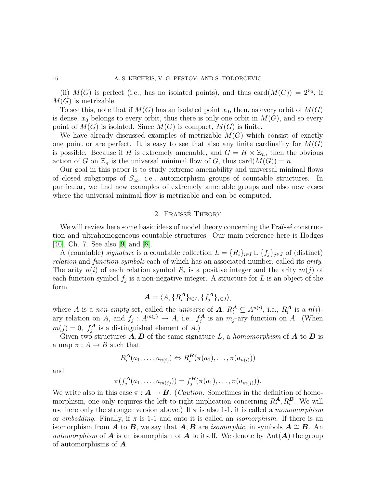(ii)  $M(G)$  is perfect (i.e., has no isolated points), and thus card $(M(G)) = 2^{\aleph_0}$ , if  $M(G)$  is metrizable.

To see this, note that if  $M(G)$  has an isolated point  $x_0$ , then, as every orbit of  $M(G)$ is dense,  $x_0$  belongs to every orbit, thus there is only one orbit in  $M(G)$ , and so every point of  $M(G)$  is isolated. Since  $M(G)$  is compact,  $M(G)$  is finite.

We have already discussed examples of metrizable  $M(G)$  which consist of exactly one point or are perfect. It is easy to see that also any finite cardinality for  $M(G)$ is possible. Because if H is extremely amenable, and  $G = H \times \mathbb{Z}_n$ , then the obvious action of G on  $\mathbb{Z}_n$  is the universal minimal flow of G, thus card $(M(G)) = n$ .

Our goal in this paper is to study extreme amenability and universal minimal flows of closed subgroups of  $S_{\infty}$ , i.e., automorphism groups of countable structures. In particular, we find new examples of extremely amenable groups and also new cases where the universal minimal flow is metrizable and can be computed.

# 2. Fraïssé Theory

We will review here some basic ideas of model theory concerning the Fraissé construction and ultrahomogeneous countable structures. Our main reference here is Hodges [\[40\]](#page-71-17), Ch. 7. See also [\[9\]](#page-70-17) and [\[8\]](#page-70-18).

A (countable) *signature* is a countable collection  $L = \{R_i\}_{i \in I} \cup \{f_j\}_{j \in J}$  of (distinct) *relation* and *function symbols* each of which has an associated number, called its *arity*. The arity  $n(i)$  of each relation symbol  $R_i$  is a positive integer and the arity  $m(j)$  of each function symbol  $f_j$  is a non-negative integer. A structure for L is an object of the form

$$
\mathbf{A} = \langle A, \{R_i^{\mathbf{A}}\}_{i \in I}, \{f_j^{\mathbf{A}}\}_{j \in J} \rangle,
$$

where A is a *non-empty* set, called the *universe* of  $A, R_i^A \subseteq A^{n(i)}$ , i.e.,  $R_i^A$  is a  $n(i)$ ary relation on A, and  $f_j: A^{m(j)} \to A$ , i.e.,  $f_j^A$  $j^A$  is an  $m_j$ -ary function on A. (When  $m(j) = 0, f_j^A$  is a distinguished element of A.)

Given two structures  $A, B$  of the same signature L, a *homomorphism* of  $A$  to  $B$  is a map  $\pi : A \to B$  such that

$$
R_i^{\mathbf{A}}(a_1,\ldots,a_{n(i)}) \Leftrightarrow R_i^{\mathbf{B}}(\pi(a_1),\ldots,\pi(a_{n(i)}))
$$

and

$$
\pi(f_j^{\mathbf{A}}(a_1,\ldots,a_{m(j)}))=f_j^{\mathbf{B}}(\pi(a_1),\ldots,\pi(a_{m(j)})).
$$

We write also in this case  $\pi : \mathbf{A} \to \mathbf{B}$ . (*Caution*. Sometimes in the definition of homomorphism, one only requires the left-to-right implication concerning  $R_i^{\mathbf{A}}, R_i^{\mathbf{B}}$ . We will use here only the stronger version above.) If  $\pi$  is also 1-1, it is called a *monomorphism* or *embedding*. Finally, if π is 1-1 and onto it is called an *isomorphism*. If there is an isomorphism from **A** to **B**, we say that  $\mathbf{A}, \mathbf{B}$  are *isomorphic*, in symbols  $\mathbf{A} \cong \mathbf{B}$ . An *automorphism* of **A** is an isomorphism of **A** to itself. We denote by  $\text{Aut}(A)$  the group of automorphisms of A.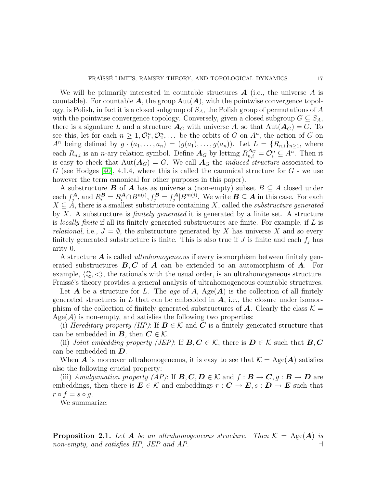We will be primarily interested in countable structures  $\boldsymbol{A}$  (i.e., the universe  $\boldsymbol{A}$  is countable). For countable  $A$ , the group Aut $(A)$ , with the pointwise convergence topology, is Polish, in fact it is a closed subgroup of  $S_A$ , the Polish group of permutations of A with the pointwise convergence topology. Conversely, given a closed subgroup  $G \subseteq S_A$ , there is a signature L and a structure  $A_G$  with universe A, so that  $Aut(A_G) = G$ . To see this, let for each  $n \geq 1, \mathcal{O}_1^n, \mathcal{O}_2^n, \ldots$  be the orbits of G on  $A^n$ , the action of G on  $A^n$  being defined by  $g \cdot (a_1, \ldots, a_n) = (g(a_1), \ldots, g(a_n))$ . Let  $L = \{R_{n,i}\}_{n \ge 1}$ , where each  $R_{n,i}$  is an *n*-ary relation symbol. Define  $A_G$  by letting  $R_{n,i}^{A_G} = \mathcal{O}_i^n \subseteq A^n$ . Then it is easy to check that  $Aut(A_G) = G$ . We call  $A_G$  the *induced structure* associated to G (see Hodges [\[40\]](#page-71-17), 4.1.4, where this is called the canonical structure for  $G$  - we use however the term canonical for other purposes in this paper).

A substructure **B** of **A** has as universe a (non-empty) subset  $B \subseteq A$  closed under each  $f_i^{\mathbf{A}}$  $k_i^A$ , and  $R_i^B = R_i^A \cap B^{n(i)}$ ,  $f_j^B = f_j^A$  $\mathbb{Z}_j^{\mathbf{A}}|B^{m(j)}$ . We write  $\mathbf{B} \subseteq \mathbf{A}$  in this case. For each  $X \subseteq A$ , there is a smallest substructure containing X, called the *substructure generated* by X. A substructure is *finitely generated* it is generated by a finite set. A structure is *locally finite* if all its finitely generated substructures are finite. For example, if L is *relational*, i.e.,  $J = \emptyset$ , the substructure generated by X has universe X and so every finitely generated substructure is finite. This is also true if  $J$  is finite and each  $f_j$  has arity 0.

A structure A is called *ultrahomogeneous* if every isomorphism between finitely generated substructures  $\bm{B}, \bm{C}$  of  $\bm{A}$  can be extended to an automorphism of  $\bm{A}$ . For example,  $\langle \mathbb{Q}, \langle \rangle$ , the rationals with the usual order, is an ultrahomogeneous structure. Fraissé's theory provides a general analysis of ultrahomogeneous countable structures.

Let  $A$  be a structure for L. The *age* of A,  $Age(A)$  is the collection of all finitely generated structures in L that can be embedded in  $\bf{A}$ , i.e., the closure under isomorphism of the collection of finitely generated substructures of A. Clearly the class  $\mathcal{K} =$  $Age(\mathcal{A})$  is non-empty, and satisfies the following two properties:

(i) *Hereditary property (HP)*: If  $B \in \mathcal{K}$  and C is a finitely generated structure that can be embedded in  $B$ , then  $C \in \mathcal{K}$ .

(ii) *Joint embedding property (JEP)*: If  $B, C \in \mathcal{K}$ , there is  $D \in \mathcal{K}$  such that  $B, C$ can be embedded in D.

When **A** is moreover ultrahomogeneous, it is easy to see that  $\mathcal{K} = \text{Age}(A)$  satisfies also the following crucial property:

(iii) *Amalgamation property (AP)*: If  $B, C, D \in \mathcal{K}$  and  $f : B \to C, g : B \to D$  are embeddings, then there is  $E \in \mathcal{K}$  and embeddings  $r : \mathbf{C} \to \mathbf{E}, s : \mathbf{D} \to \mathbf{E}$  such that  $r \circ f = s \circ g$ .

We summarize:

**Proposition 2.1.** Let  $A$  be an ultrahomogeneous structure. Then  $K = \text{Age}(A)$  is *non-empty, and satisfies HP, JEP and AP.*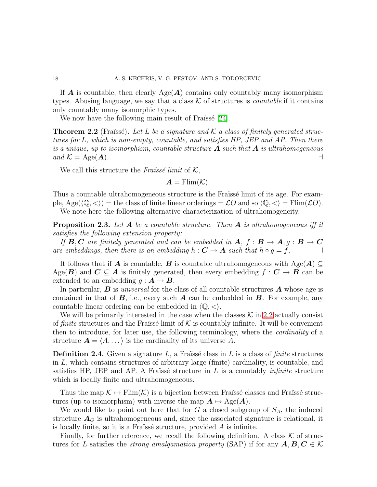If **A** is countable, then clearly  $Age(A)$  contains only countably many isomorphism types. Abusing language, we say that a class  $K$  of structures is *countable* if it contains only countably many isomorphic types.

We now have the following main result of Fraüssé  $[24]$ .

<span id="page-17-0"></span>**Theorem 2.2** (Fraïssé). Let L be a signature and  $\mathcal{K}$  a class of finitely generated struc*tures for* L*, which is non-empty, countable, and satisfies HP, JEP and AP. Then there is a unique, up to isomorphism, countable structure* A *such that* A *is ultrahomogeneous*  $\mathcal{A} = \text{Age}(\boldsymbol{A})$ .

We call this structure the *Fraüssé limit* of  $K$ ,

$$
\boldsymbol{A} = \mathrm{Elim}(\mathcal{K}).
$$

Thus a countable ultrahomogeneous structure is the Fraïssé limit of its age. For example,  $Age(\langle \mathbb{Q}, \langle \rangle) =$  the class of finite linear orderings  $= \mathcal{L}O$  and so  $\langle \mathbb{Q}, \langle \rangle =$  Flim( $\mathcal{L}O$ ). We note here the following alternative characterization of ultrahomogeneity.

<span id="page-17-1"></span>Proposition 2.3. *Let* A *be a countable structure. Then* A *is ultrahomogeneous iff it satisfies the following extension property:*

*If B*, *C* are finitely generated and can be embedded in *A*,  $f : B \to A$ ,  $g : B \to C$ <br>e embeddings, then there is an embedding  $h : C \to A$  such that  $h \circ q = f$ . *are embeddings, then there is an embedding*  $h: \mathbf{C} \to \mathbf{A}$  *such that*  $h \circ g = f$ .

It follows that if **A** is countable, **B** is countable ultrahomogeneous with  $\text{Age}(A) \subseteq$ Age( $\mathbf{B}$ ) and  $\mathbf{C} \subseteq \mathbf{A}$  is finitely generated, then every embedding  $f: \mathbf{C} \to \mathbf{B}$  can be extended to an embedding  $g : A \rightarrow B$ .

In particular, B is *universal* for the class of all countable structures A whose age is contained in that of  $\bf{B}$ , i.e., every such  $\bf{A}$  can be embedded in  $\bf{B}$ . For example, any countable linear ordering can be embedded in  $\langle \mathbb{Q}, \langle \rangle$ .

We will be primarily interested in the case when the classes  $\mathcal K$  in [2.2](#page-17-0) actually consist of *finite* structures and the Fraïsse limit of  $K$  is countably infinite. It will be convenient then to introduce, for later use, the following terminology, where the *cardinality* of a structure  $\mathbf{A} = \langle A, \dots \rangle$  is the cardinality of its universe A.

**Definition 2.4.** Given a signature L, a Fraïssé class in L is a class of *finite* structures in  $L$ , which contains structures of arbitrary large (finite) cardinality, is countable, and satisfies HP, JEP and AP. A Fraïssé structure in L is a countably *infinite* structure which is locally finite and ultrahomogeneous.

Thus the map  $\mathcal{K} \mapsto \text{Elim}(\mathcal{K})$  is a bijection between Fraïssé classes and Fraïssé structures (up to isomorphism) with inverse the map  $A \mapsto \text{Age}(A)$ .

We would like to point out here that for G a closed subgroup of  $S_A$ , the induced structure  $A_G$  is ultrahomogeneous and, since the associated signature is relational, it is locally finite, so it is a Fraïssé structure, provided  $A$  is infinite.

Finally, for further reference, we recall the following definition. A class  $K$  of structures for L satisfies the *strong amalgamation property* (SAP) if for any  $A, B, C \in \mathcal{K}$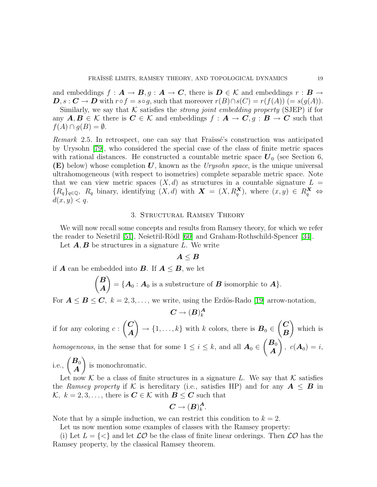and embeddings  $f: \mathbf{A} \to \mathbf{B}, g: \mathbf{A} \to \mathbf{C}$ , there is  $\mathbf{D} \in \mathcal{K}$  and embeddings  $r: \mathbf{B} \to$  $\mathbf{D}, s : \mathbf{C} \to \mathbf{D}$  with  $r \circ f = s \circ g$ , such that moreover  $r(B) \cap s(C) = r(f(A))$  (=  $s(g(A))$ .

Similarly, we say that  $K$  satisfies the *strong joint embedding property* (SJEP) if for any  $A, B \in \mathcal{K}$  there is  $C \in \mathcal{K}$  and embeddings  $f : A \to C, g : B \to C$  such that  $f(A) \cap g(B) = \emptyset.$ 

*Remark* 2.5. In retrospect, one can say that Fraïssé's construction was anticipated by Urysohn [\[79\]](#page-72-14), who considered the special case of the class of finite metric spaces with rational distances. He constructed a countable metric space  $U_0$  (see Section 6, (E) below) whose completion U, known as the *Urysohn space*, is the unique universal ultrahomogeneous (with respect to isometries) complete separable metric space. Note that we can view metric spaces  $(X, d)$  as structures in a countable signature  $L =$  ${R_q}_{q \in \mathbb{Q}}$ ,  $R_q$  binary, identifying  $(X, d)$  with  $\boldsymbol{X} = (X, R_q^{\boldsymbol{X}})$ , where  $(x, y) \in R_q^{\boldsymbol{X}}$   $\Leftrightarrow$  $d(x, y) < q$ .

# 3. Structural Ramsey Theory

We will now recall some concepts and results from Ramsey theory, for which we refer the reader to Nešetřil [\[51\]](#page-71-10), Nešetřil-Rödl [\[60\]](#page-72-15) and Graham-Rothschild-Spencer [\[34\]](#page-71-18).

Let  $A, B$  be structures in a signature L. We write

# $A \leq B$

if **A** can be embedded into **B**. If  $A \leq B$ , we let

$$
\begin{pmatrix} B \\ A \end{pmatrix} = \{A_0 : A_0 \text{ is a substructure of } B \text{ isomorphic to } A\}.
$$

For  $A \leq B \leq C$ ,  $k = 2, 3, \ldots$ , we write, using the Erdös-Rado [\[19\]](#page-70-4) arrow-notation,

$$
\pmb{C}\to (\pmb{B})^{\pmb{A}}_k
$$

if for any coloring  $c$ :  $\overline{C}$ A  $\lambda$  $\rightarrow$  {1, ..., k} with k colors, there is  $B_0 \in$  $\overline{C}$ B  $\lambda$ which is  $\sqrt{\boldsymbol{B}_0}$ V.

*homogeneous*, in the sense that for some  $1 \leq i \leq k$ , and all  $A_0 \in$ A  $, c(\mathbf{A}_0) = i,$  $\lambda$ 

i.e.,  $\left(\frac{B_0}{4}\right)$ A is monochromatic.

Let now K be a class of finite structures in a signature L. We say that K satisfies the *Ramsey property* if K is hereditary (i.e., satisfies HP) and for any  $A \leq B$  in  $\mathcal{K}, k = 2, 3, \ldots$ , there is  $\mathbf{C} \in \mathcal{K}$  with  $\mathbf{B} \leq \mathbf{C}$  such that

$$
\boldsymbol{C}\rightarrow (\boldsymbol{B})_{k}^{\boldsymbol{A}}.
$$

Note that by a simple induction, we can restrict this condition to  $k = 2$ .

Let us now mention some examples of classes with the Ramsey property:

(i) Let  $L = \{ \langle \rangle \}$  and let  $\mathcal{LO}$  be the class of finite linear orderings. Then  $\mathcal{LO}$  has the Ramsey property, by the classical Ramsey theorem.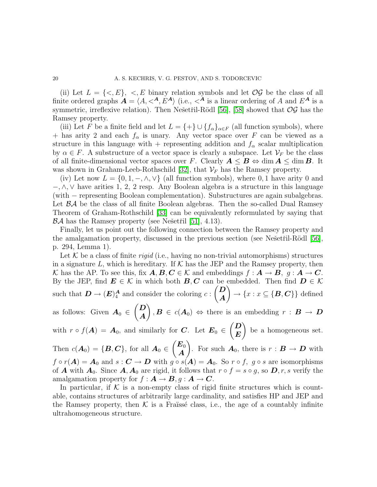(ii) Let  $L = \{ \langle E \rangle, \langle E \rangle, \langle E \rangle \}$  in any relation symbols and let  $\mathcal{O} \mathcal{G}$  be the class of all finite ordered graphs  $\mathbf{A} = \langle A, \langle A, E^{\mathbf{A}} \rangle$  (i.e.,  $\langle A \rangle$  is a linear ordering of A and  $E^{\mathbf{A}}$  is a symmetric, irreflexive relation). Then Nešetřil-Rödl [\[56\]](#page-71-8), [\[58\]](#page-72-6) showed that  $\mathcal{OG}$  has the Ramsey property.

(iii) Let F be a finite field and let  $L = \{+\}\cup \{f_{\alpha}\}_{{\alpha \in F}}$  (all function symbols), where + has arity 2 and each  $f_{\alpha}$  is unary. Any vector space over F can be viewed as a structure in this language with + representing addition and  $f_{\alpha}$  scalar multiplication by  $\alpha \in F$ . A substructure of a vector space is clearly a subspace. Let  $\mathcal{V}_F$  be the class of all finite-dimensional vector spaces over F. Clearly  $A \leq B \Leftrightarrow \dim A \leq \dim B$ . It was shown in Graham-Leeb-Rothschild [\[32\]](#page-71-12), that  $V_F$  has the Ramsey property.

(iv) Let now  $L = \{0, 1, -, \wedge, \vee\}$  (all function symbols), where 0, 1 have arity 0 and  $-\lambda$ ,  $\vee$  have arities 1, 2, 2 resp. Any Boolean algebra is a structure in this language (with − representing Boolean complementation). Substructures are again subalgebras. Let  $\beta \mathcal{A}$  be the class of all finite Boolean algebras. Then the so-called Dual Ramsey Theorem of Graham-Rothschild [\[33\]](#page-71-13) can be equivalently reformulated by saying that  $\mathcal{B}A$  has the Ramsey property (see Nešetřil [\[51\]](#page-71-10), 4.13).

Finally, let us point out the following connection between the Ramsey property and the amalgamation property, discussed in the previous section (see Nešetřil-Rödl [\[56\]](#page-71-8), p. 294, Lemma 1).

Let  $K$  be a class of finite *rigid* (i.e., having no non-trivial automorphisms) structures in a signature L, which is hereditary. If  $K$  has the JEP and the Ramsey property, then K has the AP. To see this, fix  $A, B, C \in \mathcal{K}$  and embeddings  $f : A \to B$ ,  $g : A \to C$ . By the JEP, find  $E \in \mathcal{K}$  in which both  $B, C$  can be embedded. Then find  $D \in \mathcal{K}$ such that  $\mathbf{D} \to (\mathbf{E})_4^{\mathbf{A}}$  and consider the coloring  $c$ :  $\overline{D}$ A  $\setminus$  $\rightarrow \{x : x \subseteq \{\mathbf{B}, \mathbf{C}\}\}\$ defined as follows: Given  $A_0 \in$  $\overline{D}$ A  $\setminus$  $, \mathbf{B} \in c(\mathbf{A}_0) \Leftrightarrow$  there is an embedding  $r : \mathbf{B} \to \mathbf{D}$ with  $r \circ f(A) = A_0$ , and similarly for C. Let  $E_0 \in$  $\overline{D}$ E  $\lambda$ be a homogeneous set. Then  $c(\boldsymbol{A}_0) = \{\boldsymbol{B}, \boldsymbol{C}\},\$  for all  $\boldsymbol{A}_0 \in$  $\angle E_0$ A  $\setminus$ . For such  $\mathbf{A}_0$ , there is  $r : \mathbf{B} \to \mathbf{D}$  with  $f \circ r(A) = A_0$  and  $s : C \to D$  with  $g \circ s(A) = A_0$ . So  $r \circ f$ ,  $g \circ s$  are isomorphisms of **A** with  $A_0$ . Since  $A, A_0$  are rigid, it follows that  $r \circ f = s \circ g$ , so  $D, r, s$  verify the amalgamation property for  $f : A \rightarrow B, g : A \rightarrow C$ .

In particular, if  $K$  is a non-empty class of rigid finite structures which is countable, contains structures of arbitrarily large cardinality, and satisfies HP and JEP and the Ramsey property, then  $K$  is a Fraïssé class, i.e., the age of a countably infinite ultrahomogeneous structure.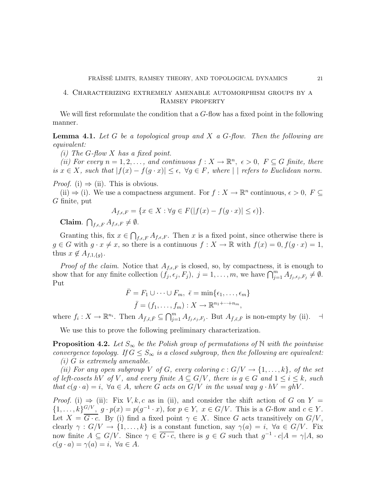# 4. Characterizing extremely amenable automorphism groups by a Ramsey property

<span id="page-20-0"></span>We will first reformulate the condition that a G-flow has a fixed point in the following manner.

Lemma 4.1. *Let* G *be a topological group and* X *a* G*-flow. Then the following are equivalent:*

*(i) The* G*-flow* X *has a fixed point.*

(*ii*) For every  $n = 1, 2, \ldots$ , and continuous  $f: X \to \mathbb{R}^n$ ,  $\epsilon > 0$ ,  $F \subseteq G$  finite, there *is*  $x \in X$ *, such that*  $|f(x) - f(g \cdot x)| \le \epsilon$ ,  $\forall g \in F$ *, where*  $| \cdot |$  *refers to Euclidean norm.* 

*Proof.* (i)  $\Rightarrow$  (ii). This is obvious.

(ii)  $\Rightarrow$  (i). We use a compactness argument. For  $f: X \to \mathbb{R}^n$  continuous,  $\epsilon > 0$ ,  $F \subseteq$ G finite, put

$$
A_{f,\epsilon,F} = \{ x \in X : \forall g \in F(|f(x) - f(g \cdot x)| \le \epsilon) \}.
$$

Claim.  $\bigcap_{f,\epsilon,F} A_{f,\epsilon,F} \neq \emptyset$ .

Granting this, fix  $x \in \bigcap_{f,\epsilon,F} A_{f,\epsilon,F}$ . Then x is a fixed point, since otherwise there is  $g \in G$  with  $g \cdot x \neq x$ , so there is a continuous  $f : X \to \mathbb{R}$  with  $f(x) = 0, f(g \cdot x) = 1$ , thus  $x \notin A_{f,1,\lbrace q \rbrace}$ .

*Proof of the claim.* Notice that  $A_{f,\epsilon,F}$  is closed, so, by compactness, it is enough to show that for any finite collection  $(f_j, \epsilon_j, F_j)$ ,  $j = 1, \ldots, m$ , we have  $\bigcap_{j=1}^m A_{f_j, \epsilon_j, F_j} \neq \emptyset$ . Put

$$
\bar{F} = F_1 \cup \cdots \cup F_m, \ \bar{\epsilon} = \min\{\epsilon_1, \ldots, \epsilon_m\}
$$

$$
\bar{f} = (f_1, \ldots, f_m) : X \to \mathbb{R}^{n_1 + \cdots + n_m},
$$

where  $f_i: X \to \mathbb{R}^{n_i}$ . Then  $A_{\bar{f}, \bar{\epsilon}, \bar{F}} \subseteq \bigcap_{j=1}^m A_{f_j, \epsilon_j, F_j}$ . But  $A_{\bar{f}, \bar{\epsilon}, \bar{F}}$  is non-empty by (ii).  $\exists$ 

We use this to prove the following preliminary characterization.

<span id="page-20-1"></span>**Proposition 4.2.** Let  $S_{\infty}$  be the Polish group of permutations of N with the pointwise *convergence topology. If*  $G \leq S_{\infty}$  *is a closed subgroup, then the following are equivalent: (i)* G *is extremely amenable.*

*(ii) For any open subgroup* V *of* G, every coloring  $c: G/V \rightarrow \{1, ..., k\}$ , of the set *of left-cosets* hV *of* V, and every finite  $A \subseteq G/V$ , there is  $g \in G$  and  $1 \leq i \leq k$ , such *that*  $c(g \cdot a) = i$ ,  $\forall a \in A$ , where G acts on  $G/V$  *in the usual way*  $g \cdot hV = ghV$ .

*Proof.* (i)  $\Rightarrow$  (ii): Fix V, k, c as in (ii), and consider the shift action of G on Y =  $\{1,\ldots,k\}\frac{G/V}{\sigma}$ ,  $g \cdot p(x) = p(g^{-1} \cdot x)$ , for  $p \in Y$ ,  $x \in G/V$ . This is a G-flow and  $c \in Y$ . Let  $X = \overline{G \cdot c}$ . By (i) find a fixed point  $\gamma \in X$ . Since G acts transitively on  $G/V$ , clearly  $\gamma : G/V \to \{1, ..., k\}$  is a constant function, say  $\gamma(a) = i$ ,  $\forall a \in G/V$ . Fix now finite  $A \subseteq G/V$ . Since  $\gamma \in \overline{G \cdot c}$ , there is  $g \in G$  such that  $g^{-1} \cdot c|A = \gamma|A$ , so  $c(q \cdot a) = \gamma(a) = i, \ \forall a \in A.$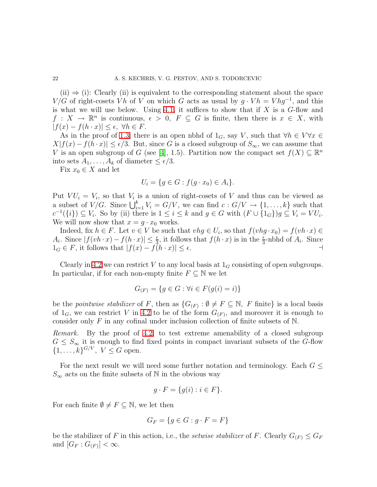$(ii) \Rightarrow (i)$ : Clearly (ii) is equivalent to the corresponding statement about the space  $V/G$  of right-cosets Vh of V on which G acts as usual by  $g \cdot V h = V h g^{-1}$ , and this is what we will use below. Using [4.1,](#page-20-0) it suffices to show that if  $X$  is a  $G$ -flow and  $f: X \to \mathbb{R}^n$  is continuous,  $\epsilon > 0$ ,  $F \subseteq G$  is finite, then there is  $x \in X$ , with  $|f(x) - f(h \cdot x)| \leq \epsilon, \ \forall h \in F.$ 

As in the proof of [1.3,](#page-10-0) there is an open nbhd of  $1_G$ , say V, such that  $\forall h \in V \forall x \in$  $X|f(x) - f(h \cdot x)| \leq \epsilon/3$ . But, since G is a closed subgroup of  $S_{\infty}$ , we can assume that V is an open subgroup of G (see [\[4\]](#page-70-20), 1.5). Partition now the compact set  $f(X) \subseteq \mathbb{R}^n$ into sets  $A_1, \ldots, A_k$  of diameter  $\leq \epsilon/3$ .

Fix  $x_0 \in X$  and let

$$
U_i = \{ g \in G : f(g \cdot x_0) \in A_i \}.
$$

Put  $VU_i = V_i$ , so that  $V_i$  is a union of right-cosets of V and thus can be viewed as a subset of  $V/G$ . Since  $\bigcup_{i=1}^k V_i = G/V$ , we can find  $c : G/V \to \{1, \ldots, k\}$  such that  $c^{-1}(\{i\}) \subseteq V_i$ . So by (ii) there is  $1 \leq i \leq k$  and  $g \in G$  with  $(F \cup \{1_G\})g \subseteq V_i = VU_i$ . We will now show that  $x = g \cdot x_0$  works.

Indeed, fix  $h \in F$ . Let  $v \in V$  be such that  $vhg \in U_i$ , so that  $f(vhg \cdot x_0) = f(vh \cdot x) \in$  $A_i$ . Since  $|f(vh \cdot x) - f(h \cdot x)| \leq \frac{\epsilon}{3}$ , it follows that  $f(h \cdot x)$  is in the  $\frac{\epsilon}{3}$ -nbhd of  $A_i$ . Since  $1_G \in F$ , it follows that  $|f(x) - f(h \cdot x)| \le \epsilon$ .

Clearly in [4.2](#page-20-1) we can restrict V to any local basis at  $1_G$  consisting of open subgroups. In particular, if for each non-empty finite  $F \subseteq \mathbb{N}$  we let

$$
G_{(F)} = \{ g \in G : \forall i \in F(g(i) = i) \}
$$

be the *pointwise stabilizer* of F, then as  $\{G_{(F)} : \emptyset \neq F \subseteq \mathbb{N}, F \text{ finite}\}\$ is a local basis of  $1_G$ , we can restrict V in [4.2](#page-20-1) to be of the form  $G_{(F)}$ , and moreover it is enough to consider only  $F$  in any cofinal under inclusion collection of finite subsets of  $N$ .

*Remark.* By the proof of [4.2,](#page-20-1) to test extreme amenability of a closed subgroup  $G \leq S_{\infty}$  it is enough to find fixed points in compact invariant subsets of the G-flow  $\{1, ..., k\}^{G/V}, V \leq G$  open.

For the next result we will need some further notation and terminology. Each  $G \leq$  $S_{\infty}$  acts on the finite subsets of N in the obvious way

$$
g \cdot F = \{ g(i) : i \in F \}.
$$

For each finite  $\emptyset \neq F \subseteq \mathbb{N}$ , we let then

$$
G_F = \{ g \in G : g \cdot F = F \}
$$

be the stabilizer of F in this action, i.e., the *setwise stabilizer* of F. Clearly  $G_F \leq G_F$ and  $[G_F:G_{(F)}]<\infty$ .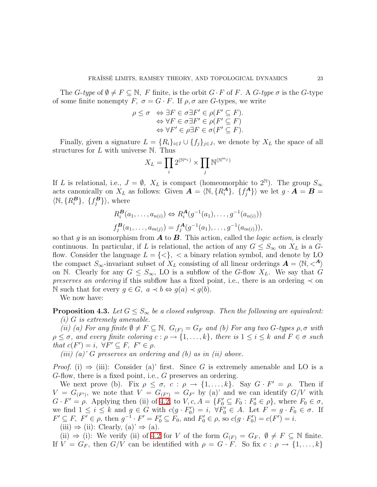The G-type of  $\emptyset \neq F \subseteq \mathbb{N}$ , F finite, is the orbit  $G \cdot F$  of F. A G-type  $\sigma$  is the G-type of some finite nonempty F,  $\sigma = G \cdot F$ . If  $\rho, \sigma$  are G-types, we write

$$
\rho \leq \sigma \Leftrightarrow \exists F \in \sigma \exists F' \in \rho(F' \subseteq F).
$$
  
\n
$$
\Leftrightarrow \forall F \in \sigma \exists F' \in \rho(F' \subseteq F)
$$
  
\n
$$
\Leftrightarrow \forall F' \in \rho \exists F \in \sigma(F' \subseteq F).
$$

Finally, given a signature  $L = \{R_i\}_{i \in I} \cup \{f_j\}_{j \in J}$ , we denote by  $X_L$  the space of all structures for  $L$  with universe  $\mathbb N$ . Thus

$$
X_L=\prod_i 2^{(\mathbb{N}^{n_i})}\times \prod_j \mathbb{N}^{(\mathbb{N}^{m_j})}
$$

If L is relational, i.e.,  $J = \emptyset$ ,  $X_L$  is compact (homeomorphic to  $2^{\mathbb{N}}$ ). The group  $S_{\infty}$ acts canonically on  $X_L$  as follows: Given  $\mathbf{A} = \langle \mathbb{N}, \{R_i^{\mathbf{A}}\}, \{f_j^{\mathbf{A}}\}\rangle$  $\langle A_j^A \rangle$  we let  $g \cdot \mathbf{A} = \mathbf{B} =$  $\langle \mathbb{N}, \{R_i^{\mathbf{B}}\}, \{f_j^{\mathbf{B}}\} \rangle$ , where

$$
R_i^{\mathbf{B}}(a_1,\ldots,a_{n(i)}) \Leftrightarrow R_i^{\mathbf{A}}(g^{-1}(a_1),\ldots,g^{-1}(a_{n(i)}))
$$
  

$$
f_j^{\mathbf{B}}(a_1,\ldots,a_{m(j)}) = f_j^{\mathbf{A}}(g^{-1}(a_1),\ldots,g^{-1}(a_{m(i)})),
$$

so that g is an isomorphism from A to B. This action, called the *logic action*, is clearly continuous. In particular, if L is relational, the action of any  $G \leq S_{\infty}$  on  $X_L$  is a Gflow. Consider the language  $L = \{ \langle \rangle \}$ ,  $\langle \rangle$  a binary relation symbol, and denote by LO the compact  $S_{\infty}$ -invariant subset of  $X_L$  consisting of all linear orderings  $\mathbf{A} = \langle \mathbb{N}, \langle A \rangle$ on N. Clearly for any  $G \leq S_{\infty}$ , LO is a subflow of the G-flow  $X_L$ . We say that G *preserves an ordering* if this subflow has a fixed point, i.e., there is an ordering  $\prec$  on N such that for every  $g \in G$ ,  $a \prec b \Leftrightarrow g(a) \prec g(b)$ .

We now have:

<span id="page-22-0"></span>**Proposition 4.3.** Let  $G \leq S_{\infty}$  be a closed subgroup. Then the following are equivalent: *(i)* G *is extremely amenable.*

*(ii) (a) For any finite*  $\emptyset \neq F \subseteq \mathbb{N}$ ,  $G_{(F)} = G_F$  *and (b) For any two*  $G$ -types  $\rho$ ,  $\sigma$  *with*  $\rho \leq \sigma$ , and every finite coloring  $c : \rho \to \{1, \ldots, k\}$ , there is  $1 \leq i \leq k$  and  $F \in \sigma$  such *that*  $c(F') = i$ ,  $\forall F' \subseteq F$ ,  $F' \in \rho$ .

*(iii) (a)'* G *preserves an ordering and (b) as in (ii) above.*

*Proof.* (i)  $\Rightarrow$  (iii): Consider (a)' first. Since G is extremely amenable and LO is a G-flow, there is a fixed point, i.e., G preserves an ordering.

We next prove (b). Fix  $\rho \leq \sigma$ ,  $c : \rho \to \{1, \ldots, k\}$ . Say  $G \cdot F' = \rho$ . Then if  $V = G_{(F')}$ , we note that  $V = G_{(F')} = G_{F'}$  by (a)' and we can identify  $G/V$  with  $G \cdot F' = \rho$ . Applying then (ii) of [4.2,](#page-20-1) to  $V, c, A = \{F'_0 \subseteq F_0 : F'_0 \in \rho\}$ , where  $F_0 \in \sigma$ , we find  $1 \leq i \leq k$  and  $g \in G$  with  $c(g \cdot F_0') = i$ ,  $\forall F_0' \in A$ . Let  $F = g \cdot F_0 \in \sigma$ . If  $F' \subseteq F, F' \in \rho, \text{ then } g^{-1} \cdot F' = F'_0 \subseteq F_0, \text{ and } F'_0 \in \rho, \text{ so } c(g \cdot F'_0) = c(F') = i.$ 

(iii)  $\Rightarrow$  (ii): Clearly, (a)'  $\Rightarrow$  (a).

(ii)  $\Rightarrow$  (i): We verify (ii) of [4.2](#page-20-1) for V of the form  $G_{(F)} = G_F$ ,  $\emptyset \neq F \subseteq \mathbb{N}$  finite. If  $V = G_F$ , then  $G/V$  can be identified with  $\rho = G \cdot F$ . So fix  $c : \rho \to \{1, \ldots, k\}$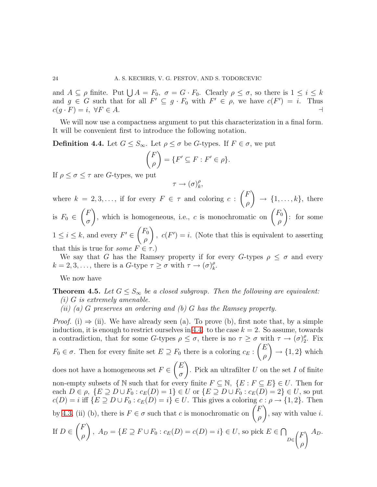and  $A \subseteq \rho$  finite. Put  $\bigcup A = F_0$ ,  $\sigma = G \cdot F_0$ . Clearly  $\rho \leq \sigma$ , so there is  $1 \leq i \leq k$ and  $g \in G$  such that for all  $F' \subseteq g \cdot F_0$  with  $F' \in \rho$ , we have  $c(F') = i$ . Thus  $c(q \cdot F) = i, \ \forall F \in A.$ 

<span id="page-23-0"></span>We will now use a compactness argument to put this characterization in a final form. It will be convenient first to introduce the following notation.

**Definition 4.4.** Let  $G \leq S_{\infty}$ . Let  $\rho \leq \sigma$  be G-types. If  $F \in \sigma$ , we put

$$
\binom{F}{\rho} = \{ F' \subseteq F : F' \in \rho \}.
$$

If  $\rho \leq \sigma \leq \tau$  are G-types, we put

$$
\tau \to (\sigma)_k^\rho,
$$

where  $k = 2, 3, \ldots$ , if for every  $F \in \tau$  and coloring  $c$ :  $\sqrt{F}$ ρ  $\lambda$  $\rightarrow \{1, \ldots, k\},\$  there is  $F_0 \in$  $\sqrt{F}$ σ ), which is homogeneous, i.e., c is monochromatic on  $\begin{pmatrix} F_0 \\ 0 \end{pmatrix}$ ρ  $\lambda$ : for some  $1 \leq i \leq k$ , and every  $F' \in$  $\sqrt{F_0}$ ρ  $\setminus$ ,  $c(F') = i$ . (Note that this is equivalent to asserting

that this is true for *some*  $F \in \tau$ .)

We say that G has the Ramsey property if for every G-types  $\rho \leq \sigma$  and every  $k = 2, 3, \ldots$ , there is a  $G$ -type  $\tau \geq \sigma$  with  $\tau \to (\sigma)_k^{\rho}$  $_{k}^{\rho}.$ 

We now have

<span id="page-23-1"></span>**Theorem 4.5.** Let  $G \leq S_{\infty}$  be a closed subgroup. Then the following are equivalent: *(i)* G *is extremely amenable.*

*(ii) (a)* G *preserves an ordering and (b)* G *has the Ramsey property.*

*Proof.* (i)  $\Rightarrow$  (ii). We have already seen (a). To prove (b), first note that, by a simple induction, it is enough to restrict ourselves in [4.4.](#page-23-0) to the case  $k = 2$ . So assume, towards a contradiction, that for some G-types  $\rho \leq \sigma$ , there is no  $\tau \geq \sigma$  with  $\tau \to (\sigma)_2^{\rho}$  $_{2}^{\rho}$ . Fix  $F_0 \in \sigma$ . Then for every finite set  $E \supseteq F_0$  there is a coloring  $c_E$ :  $\sqrt{E}$ ρ  $\lambda$  $\rightarrow$  {1, 2} which does not have a homogeneous set  $F \in$  $\sqrt{E}$ σ  $\lambda$ . Pick an ultrafilter  $U$  on the set  $I$  of finite non-empty subsets of N such that for every finite  $F \subseteq N$ ,  $\{E : F \subseteq E\} \in U$ . Then for each  $D \in \rho$ ,  $\{E \supseteq D \cup F_0 : c_E(D) = 1\} \in U$  or  $\{E \supseteq D \cup F_0 : c_E(D) = 2\} \in U$ , so put  $c(D) = i$  iff  $\{E \supseteq D \cup F_0 : c_E(D) = i\} \in U$ . This gives a coloring  $c : \rho \to \{1, 2\}$ . Then by [4.3,](#page-22-0) (ii) (b), there is  $F \in \sigma$  such that c is monochromatic on  $\begin{pmatrix} F \\ \rho \end{pmatrix}$ ρ  $\overline{ }$ , say with value  $i$ . If  $D \in$  $\sqrt{F}$ ρ  $\lambda$ ,  $A_D = \{E \supseteq F \cup F_0 : c_E(D) = c(D) = i\} \in U$ , so pick  $E \in \bigcap$ D∈  $\sqrt{ }$  $\left(\frac{F}{g}\right)$ ρ  $\sqrt{2}$  $\mathbf{I}$  $A_D.$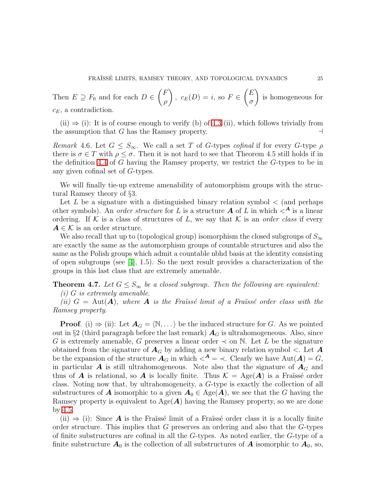Then  $E \supseteq F_0$  and for each  $D \in$  $\sqrt{F}$ ρ  $\lambda$ ,  $c_E(D) = i$ , so  $F \in$  $\sqrt{E}$ σ  $\lambda$ is homogeneous for  $c_E$ , a contradiction.

(ii)  $\Rightarrow$  (i): It is of course enough to verify (b) of [4.3](#page-22-0) (ii), which follows trivially from e assumption that G has the Ramsey property. the assumption that  $G$  has the Ramsey property.

*Remark* 4.6. Let  $G \leq S_{\infty}$ . We call a set T of G-types *cofinal* if for every G-type  $\rho$ there is  $\sigma \in T$  with  $\rho \leq \sigma$ . Then it is not hard to see that Theorem 4.5 still holds if in the definition [4.4](#page-23-0) of G having the Ramsey property, we restrict the G-types to be in any given cofinal set of G-types.

We will finally tie-up extreme amenability of automorphism groups with the structural Ramsey theory of §3.

Let L be a signature with a distinguished binary relation symbol  $\lt$  (and perhaps other symbols). An *order structure* for L is a structure  $\bf{A}$  of L in which  $\lt^{\bf{A}}$  is a linear ordering. If  $K$  is a class of structures of L, we say that  $K$  is an *order class* if every  $A \in \mathcal{K}$  is an order structure.

We also recall that up to (topological group) isomorphism the closed subgroups of  $S_{\infty}$ are exactly the same as the automorphism groups of countable structures and also the same as the Polish groups which admit a countable nbhd basis at the identity consisting of open subgroups (see  $[4]$ , 1.5). So the next result provides a characterization of the groups in this last class that are extremely amenable.

# <span id="page-24-0"></span>**Theorem 4.7.** *Let*  $G \leq S_{\infty}$  *be a closed subgroup. Then the following are equivalent:*

*(i)* G *is extremely amenable.*

*(ii)*  $G = \text{Aut}(A)$ *, where* A *is the Fraïssé limit of a Fraïssé order class with the Ramsey property.*

**Proof.** (i)  $\Rightarrow$  (ii): Let  $A_G = \langle \mathbb{N}, \dots \rangle$  be the induced structure for G. As we pointed out in §2 (third paragraph before the last remark)  $A_G$  is ultrahomogeneous. Also, since G is extremely amenable, G preserves a linear order  $\prec$  on N. Let L be the signature obtained from the signature of  $A_G$  by adding a new binary relation symbol  $\lt$ . Let A be the expansion of the structure  $\mathbf{A}_G$  in which  $\leq^{\mathbf{A}} = \leq$ . Clearly we have  $\text{Aut}(\mathbf{A}) = G$ , in particular  $\boldsymbol{A}$  is still ultrahomogeneous. Note also that the signature of  $\boldsymbol{A}_G$  and thus of **A** is relational, so **A** is locally finite. Thus  $\mathcal{K} = \text{Age}(A)$  is a Fraüssé order class. Noting now that, by ultrahomogeneity, a G-type is exactly the collection of all substructures of **A** isomorphic to a given  $A_0 \in \text{Age}(A)$ , we see that the G having the Ramsey property is equivalent to  $Age(A)$  having the Ramsey property, so we are done by [4.5.](#page-23-1)

(ii)  $\Rightarrow$  (i): Since **A** is the Fraüsse limit of a Fraüsse order class it is a locally finite order structure. This implies that  $G$  preserves an ordering and also that the  $G$ -types of finite substructures are cofinal in all the  $G$ -types. As noted earlier, the  $G$ -type of a finite substructure  $A_0$  is the collection of all substructures of A isomorphic to  $A_0$ , so,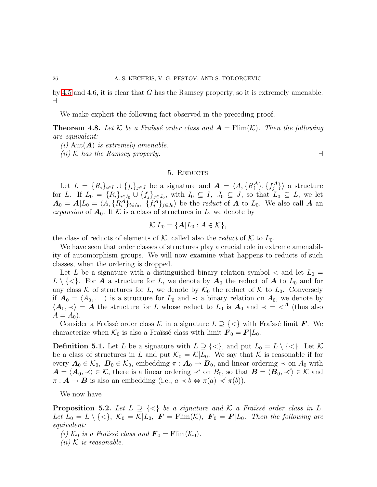by [4.5](#page-23-1) and 4.6, it is clear that G has the Ramsey property, so it is extremely amenable. ⊣

We make explicit the following fact observed in the preceding proof.

**Theorem 4.8.** Let K be a Fraüssé order class and  $A = \text{Elim}(K)$ . Then the following *are equivalent:*

*(i)* Aut(A) *is extremely amenable.*

*(ii)* K *has the Ramsey property.* ⊣

# 5. REDUCTS

Let  $L = {R_i}_{i \in I} \cup {f_i}_{j \in J}$  be a signature and  $\mathbf{A} = \langle A, {R_i^{\mathbf{A}}}, {f_j^{\mathbf{A}}} \rangle$  $\langle A_j \rangle$  a structure for L. If  $L_0 = \{R_i\}_{i\in I_0} \cup \{f_j\}_{j\in J_0}$ , with  $I_0 \subseteq I$ ,  $J_0 \subseteq J$ , so that  $L_0 \subseteq L$ , we let  $A_0 = A | L_0 = \langle A, \{R_i^A\}_{i \in I_0}, \{f_j^A\}_{j \in J_0} \rangle$  be the *reduct* of A to  $L_0$ . We also call A an *expansion* of  $A_0$ . If K is a class of structures in L, we denote by

$$
\mathcal{K}|L_0 = \{ \mathbf{A}|L_0 : A \in \mathcal{K} \},\
$$

the class of reducts of elements of  $K$ , called also the *reduct* of  $K$  to  $L_0$ .

We have seen that order classes of structures play a crucial role in extreme amenability of automorphism groups. We will now examine what happens to reducts of such classes, when the ordering is dropped.

Let L be a signature with a distinguished binary relation symbol  $\lt$  and let  $L_0 =$  $L \setminus \{\langle \rangle\}$ . For **A** a structure for L, we denote by  $A_0$  the reduct of **A** to  $L_0$  and for any class K of structures for L, we denote by  $\mathcal{K}_0$  the reduct of K to  $L_0$ . Conversely if  $A_0 = \langle A_0, \ldots \rangle$  is a structure for  $L_0$  and  $\prec$  a binary relation on  $A_0$ , we denote by  $\langle A_0, \prec \rangle = A$  the structure for L whose reduct to  $L_0$  is  $A_0$  and  $\prec = \prec^A$  (thus also  $A = A_0$ .

<span id="page-25-0"></span>Consider a Fraïssé order class K in a signature  $L \supseteq \{<\}$  with Fraïssé limit F. We characterize when  $\mathcal{K}_0$  is also a Fraïssé class with limit  $\mathbf{F}_0 = \mathbf{F}|L_0$ .

**Definition 5.1.** Let L be a signature with  $L \supseteq {\langle} \langle \rangle$ , and put  $L_0 = L \setminus {\langle} \langle \rangle$ . Let K be a class of structures in L and put  $\mathcal{K}_0 = \mathcal{K}|L_0$ . We say that K is reasonable if for every  $A_0 \in \mathcal{K}_0$ ,  $B_0 \in \mathcal{K}_0$ , embedding  $\pi : A_0 \to B_0$ , and linear ordering  $\prec$  on  $A_0$  with  $\mathbf{A} = \langle \mathbf{A}_0, \prec \rangle \in \mathcal{K}$ , there is a linear ordering  $\prec'$  on  $B_0$ , so that  $\mathbf{B} = \langle \mathbf{B}_0, \prec' \rangle \in \mathcal{K}$  and  $\pi: \mathbf{A} \to \mathbf{B}$  is also an embedding (i.e.,  $a \prec b \Leftrightarrow \pi(a) \prec' \pi(b)$ ).

We now have

**Proposition 5.2.** Let  $L \supseteq \{ \leq \}$  be a signature and K a Fraïssé order class in L. Let  $L_0 = L \setminus \{<\}, \; \mathcal{K}_0 = \mathcal{K}|L_0, \; \mathbf{F} = \text{Flim}(\mathcal{K}), \; \mathbf{F}_0 = \mathbf{F}|L_0$ . Then the following are *equivalent:*

- *(i)*  $\mathcal{K}_0$  *is a Fraüssé class and*  $\mathbf{F}_0 = \text{Flim}(\mathcal{K}_0)$ .
- $(ii)$  K *is reasonable.*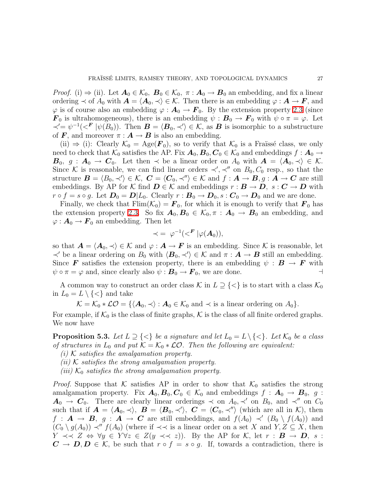*Proof.* (i)  $\Rightarrow$  (ii). Let  $A_0 \in \mathcal{K}_0$ ,  $B_0 \in \mathcal{K}_0$ ,  $\pi : A_0 \to B_0$  an embedding, and fix a linear ordering  $\prec$  of  $A_0$  with  $\mathbf{A} = \langle \mathbf{A}_0, \prec \rangle \in \mathcal{K}$ . Then there is an embedding  $\varphi : \mathbf{A} \to \mathbf{F}$ , and  $\varphi$  is of course also an embedding  $\varphi : A_0 \to F_0$ . By the extension property [2.3](#page-17-1) (since  $\mathbf{F}_0$  is ultrahomogeneous), there is an embedding  $\psi : \mathbf{B}_0 \to \mathbf{F}_0$  with  $\psi \circ \pi = \varphi$ . Let  $\prec' = \psi^{-1}(\ll' F |\psi(B_0))$ . Then  $\mathbf{B} = \langle \mathbf{B}_0, \prec' \rangle \in \mathcal{K}$ , as **B** is isomorphic to a substructure of F, and moreover  $\pi : A \to B$  is also an embedding.

(ii)  $\Rightarrow$  (i): Clearly  $\mathcal{K}_0 = \text{Age}(\mathbf{F}_0)$ , so to verify that  $\mathcal{K}_0$  is a Fraïssé class, we only need to check that  $\mathcal{K}_0$  satisfies the AP. Fix  $\mathbf{A}_0$ ,  $\mathbf{B}_0$ ,  $\mathbf{C}_0 \in \mathcal{K}_0$  and embeddings  $f : \mathbf{A}_0 \to$  $B_0, g : A_0 \to C_0$ . Let then  $\prec$  be a linear order on  $A_0$  with  $A = \langle A_0, \prec \rangle \in \mathcal{K}$ . Since K is reasonable, we can find linear orders  $\prec', \prec''$  on  $B_0, C_0$  resp., so that the structure  $\mathbf{B} = \langle B_0, \prec' \rangle \in \mathcal{K}, \ \mathbf{C} = \langle \mathbf{C}_0, \prec'' \rangle \in \mathcal{K} \text{ and } f : \mathbf{A} \to \mathbf{B}, g : \mathbf{A} \to \mathbf{C} \text{ are still}$ embeddings. By AP for K find  $D \in \mathcal{K}$  and embeddings  $r : B \to D$ ,  $s : C \to D$  with  $r \circ f = s \circ g$ . Let  $D_0 = D|L_0$ . Clearly  $r : B_0 \to D_0$ ,  $s : C_0 \to D_0$  and we are done.

Finally, we check that  $\text{Elim}(\mathcal{K}_0) = \mathbf{F}_0$ , for which it is enough to verify that  $\mathbf{F}_0$  has the extension property [2.3.](#page-17-1) So fix  $A_0, B_0 \in \mathcal{K}_0, \pi : A_0 \to B_0$  an embedding, and  $\varphi: \mathbf{A}_0 \to \mathbf{F}_0$  an embedding. Then let

$$
\prec = \varphi^{-1}(<^{\pmb{F}}|\varphi(\pmb{A}_0)),
$$

so that  $A = \langle A_0, \prec \rangle \in \mathcal{K}$  and  $\varphi : A \to F$  is an embedding. Since K is reasonable, let  $\prec'$  be a linear ordering on  $B_0$  with  $\langle B_0, \prec' \rangle \in \mathcal{K}$  and  $\pi : A \to B$  still an embedding. Since **F** satisfies the extension property, there is an embedding  $\psi : \mathbf{B} \to \mathbf{F}$  with  $\psi \circ \pi = \varphi$  and, since clearly also  $\psi : \mathbf{B}_0 \to \mathbf{F}_0$ , we are done.  $\psi \circ \pi = \varphi$  and, since clearly also  $\psi : \mathbf{B}_0 \to \mathbf{F}_0$ , we are done.

A common way to construct an order class K in  $L \supseteq \{<\}$  is to start with a class  $\mathcal{K}_0$ in  $L_0 = L \setminus \{<\}$  and take

 $\mathcal{K} = \mathcal{K}_0 * \mathcal{LO} = \{ \langle \mathbf{A}_0, \prec \rangle : \mathbf{A}_0 \in \mathcal{K}_0 \text{ and } \prec \text{ is a linear ordering on } A_0 \}.$ 

<span id="page-26-0"></span>For example, if  $\mathcal{K}_0$  is the class of finite graphs,  $\mathcal K$  is the class of all finite ordered graphs. We now have

**Proposition 5.3.** Let  $L \supseteq {\{\leq\}}$  *be a signature and let*  $L_0 = L \setminus {\{\leq\}}$ *. Let*  $\mathcal{K}_0$  *be a class of structures in*  $L_0$  *and put*  $K = K_0 * \mathcal{L}O$ . Then the following are equivalent:

- *(i)* K *satisfies the amalgamation property.*
- *(ii)* K *satisfies the strong amalgamation property.*
- *(iii)*  $K_0$  *satisfies the strong amalgamation property.*

*Proof.* Suppose that K satisfies AP in order to show that  $K_0$  satisfies the strong amalgamation property. Fix  $A_0, B_0, C_0 \in \mathcal{K}_0$  and embeddings  $f : A_0 \to B_0$ , g:  $A_0 \rightarrow C_0$ . There are clearly linear orderings  $\prec$  on  $A_0$ ,  $\prec'$  on  $B_0$ , and  $\prec''$  on  $C_0$ such that if  $\mathbf{A} = \langle \mathbf{A}_0, \prec \rangle$ ,  $\mathbf{B} = \langle \mathbf{B}_0, \prec' \rangle$ ,  $\mathbf{C} = \langle \mathbf{C}_0, \prec'' \rangle$  (which are all in K), then  $f: \mathbf{A} \to \mathbf{B}, g: \mathbf{A} \to \mathbf{C}$  are still embeddings, and  $f(A_0) \prec' (B_0 \setminus f(A_0))$  and  $(C_0 \setminus g(A_0)) \prec'' f(A_0)$  (where if  $\prec \prec$  is a linear order on a set X and  $Y, Z \subseteq X$ , then  $Y \prec\prec Z \Leftrightarrow \forall y \in Y \forall z \in Z(y \prec\prec z)$ . By the AP for K, let  $r : \mathbf{B} \to \mathbf{D}$ , s:  $C \to D, D \in \mathcal{K}$ , be such that  $r \circ f = s \circ g$ . If, towards a contradiction, there is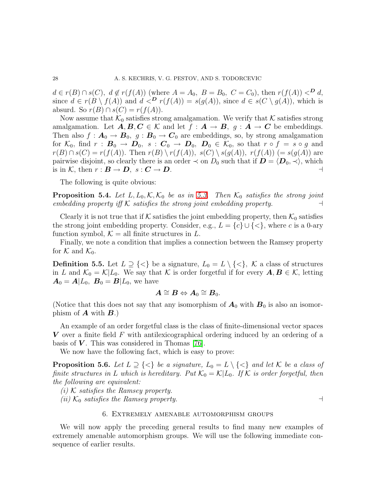$d \in r(B) \cap s(C)$ ,  $d \notin r(f(A))$  (where  $A = A_0$ ,  $B = B_0$ ,  $C = C_0$ ), then  $r(f(A)) <^D d$ , since  $d \in r(B \setminus f(A))$  and  $d <sup>D</sup> r(f(A)) = s(g(A))$ , since  $d \in s(C \setminus g(A))$ , which is absurd. So  $r(B) \cap s(C) = r(f(A)).$ 

Now assume that  $\mathcal{K}_0$  satisfies strong amalgamation. We verify that K satisfies strong amalgamation. Let  $A, B, C \in \mathcal{K}$  and let  $f : A \to B$ ,  $g : A \to C$  be embeddings. Then also  $f: A_0 \to B_0$ ,  $g: B_0 \to C_0$  are embeddings, so, by strong amalgamation for  $\mathcal{K}_0$ , find  $r : \mathbf{B}_0 \to \mathbf{D}_0$ ,  $s : \mathbf{C}_0 \to \mathbf{D}_0$ ,  $\mathbf{D}_0 \in \mathcal{K}_0$ , so that  $r \circ f = s \circ g$  and  $r(B) \cap s(C) = r(f(A))$ . Then  $r(B) \setminus r(f(A))$ ,  $s(C) \setminus s(g(A))$ ,  $r(f(A))$  (=  $s(g(A))$ ) are pairwise disjoint, so clearly there is an order  $\prec$  on  $D_0$  such that if  $\mathbf{D} = \langle \mathbf{D}_0, \prec \rangle$ , which is in  $\mathcal{K}$ , then  $r : \mathbf{B} \to \mathbf{D}$ ,  $s : \mathbf{C} \to \mathbf{D}$ . is in K, then  $r : \mathbf{B} \to \mathbf{D}$ ,  $s : \mathbf{C} \to \mathbf{D}$ .

The following is quite obvious:

**Proposition 5.4.** *Let*  $L, L_0, \mathcal{K}, \mathcal{K}_0$  *be as in [5.3.](#page-26-0) Then*  $\mathcal{K}_0$  *satisfies the strong joint embedding property.*  $\Box$ *embedding property iff* K *satisfies the strong joint embedding property.* ⊣

Clearly it is not true that if K satisfies the joint embedding property, then  $\mathcal{K}_0$  satisfies the strong joint embedding property. Consider, e.g.,  $L = \{c\} \cup \{<\},\$  where c is a 0-ary function symbol,  $\mathcal{K} =$  all finite structures in L.

<span id="page-27-1"></span>Finally, we note a condition that implies a connection between the Ramsey property for  $K$  and  $\mathcal{K}_0$ .

**Definition 5.5.** Let  $L \supseteq \{<\}$  be a signature,  $L_0 = L \setminus \{<\}$ ,  $K$  a class of structures in L and  $\mathcal{K}_0 = \mathcal{K}|L_0$ . We say that K is order forgetful if for every  $\mathbf{A}, \mathbf{B} \in \mathcal{K}$ , letting  $A_0 = A | L_0, B_0 = B | L_0$ , we have

$$
\boldsymbol{A} \cong \boldsymbol{B} \Leftrightarrow \boldsymbol{A}_0 \cong \boldsymbol{B}_0.
$$

(Notice that this does not say that any isomorphism of  $A_0$  with  $B_0$  is also an isomorphism of  $\bm{A}$  with  $\bm{B}$ .)

An example of an order forgetful class is the class of finite-dimensional vector spaces  $V$  over a finite field F with antilexicographical ordering induced by an ordering of a basis of  $V$ . This was considered in Thomas [\[76\]](#page-72-7).

We now have the following fact, which is easy to prove:

<span id="page-27-2"></span>**Proposition 5.6.** Let  $L \supseteq \{<\}$  be a signature,  $L_0 = L \setminus \{<\}$  and let K be a class of *finite structures in* L *which is hereditary.* Put  $\mathcal{K}_0 = \mathcal{K}|L_0$ . If  $\mathcal{K}$  *is order forgetful, then the following are equivalent:*

*(i)* K *satisfies the Ramsey property.*

 $(iii)$  K<sub>0</sub> *satisfies the Ramsey property.*  $\Box$ 

### 6. Extremely amenable automorphism groups

<span id="page-27-0"></span>We will now apply the preceding general results to find many new examples of extremely amenable automorphism groups. We will use the following immediate consequence of earlier results.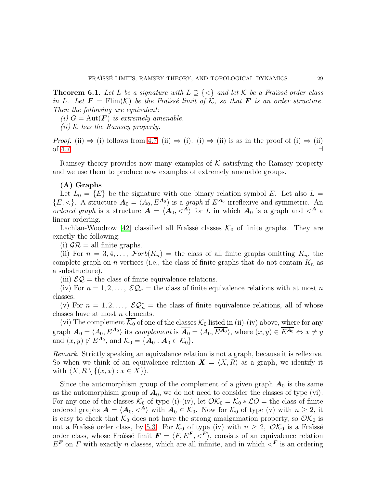**Theorem 6.1.** Let L be a signature with  $L \supseteq {\langle} \langle \rangle$  and let K be a Fraïssé order class *in* L. Let  $\mathbf{F} = \text{Flim}(\mathcal{K})$  *be the Fraüssé limit of*  $\mathcal{K}$ *, so that*  $\mathbf{F}$  *is an order structure. Then the following are equivalent:*

*(i)*  $G = \text{Aut}(\mathbf{F})$  *is extremely amenable.* 

*(ii)* K *has the Ramsey property.*

*Proof.* (ii)  $\Rightarrow$  (i) follows from [4.7,](#page-24-0) (ii)  $\Rightarrow$  (i). (i)  $\Rightarrow$  (ii) is as in the proof of (i)  $\Rightarrow$  (ii) of 4.7. of [4.7.](#page-24-0)  $\Box$  →  $\Box$ 

Ramsey theory provides now many examples of  $K$  satisfying the Ramsey property and we use them to produce new examples of extremely amenable groups.

# (A) Graphs

Let  $L_0 = \{E\}$  be the signature with one binary relation symbol E. Let also  $L =$  ${E, <}$ . A structure  $A_0 = (A_0, E^{A_0})$  is a *graph* if  $E^{A_0}$  irreflexive and symmetric. An *ordered graph* is a structure  $\vec{A} = \langle \vec{A}_0, \langle \vec{A} \rangle$  for L in which  $A_0$  is a graph and  $\langle A \rangle$ linear ordering.

Lachlan-Woodrow [\[42\]](#page-71-19) classified all Fraüssé classes  $\mathcal{K}_0$  of finite graphs. They are exactly the following:

(i)  $\mathcal{G}\mathcal{R} =$  all finite graphs.

(ii) For  $n = 3, 4, \ldots$ ,  $\mathcal{F}orb(K_n) =$  the class of all finite graphs omitting  $K_n$ , the complete graph on n vertices (i.e., the class of finite graphs that do not contain  $K_n$  as a substructure).

(iii)  $\mathcal{EQ}$  = the class of finite equivalence relations.

(iv) For  $n = 1, 2, ..., \mathcal{EQ}_n$  = the class of finite equivalence relations with at most n classes.

(v) For  $n = 1, 2, ..., \mathcal{EQ}_{n}^{*}$  = the class of finite equivalence relations, all of whose classes have at most  $n$  elements.

(vi) The complement  $\overline{\mathcal{K}_0}$  of one of the classes  $\mathcal{K}_0$  listed in (ii)-(iv) above, where for any graph  $\mathbf{A}_0 = \langle A_0, E^{\mathbf{A}_0} \rangle$  its *complement* is  $\overline{\mathbf{A}_0} = \langle A_0, \overline{E^{\mathbf{A}_0}} \rangle$ , where  $(x, y) \in \overline{E^{\mathbf{A}_0}} \Leftrightarrow x \neq y$ and  $(x, y) \notin E^{\mathbf{A}_0}$ , and  $\overline{\mathcal{K}_0} = {\overline{\mathbf{A}_0} : \mathbf{A}_0 \in \mathcal{K}_0}.$ 

*Remark*. Strictly speaking an equivalence relation is not a graph, because it is reflexive. So when we think of an equivalence relation  $\mathbf{X} = \langle X, R \rangle$  as a graph, we identify it with  $\langle X, R \setminus \{(x, x) : x \in X\}\rangle$ .

Since the automorphism group of the complement of a given graph  $A_0$  is the same as the automorphism group of  $A_0$ , we do not need to consider the classes of type (vi). For any one of the classes  $\mathcal{K}_0$  of type (i)-(iv), let  $\mathcal{O}\mathcal{K}_0 = \mathcal{K}_0 * \mathcal{L}O =$  the class of finite ordered graphs  $\mathbf{A} = \langle \mathbf{A}_0, \langle \mathbf{A} \rangle$  with  $\mathbf{A}_0 \in \mathcal{K}_0$ . Now for  $\mathcal{K}_0$  of type (v) with  $n \geq 2$ , it is easy to check that  $\mathcal{K}_0$  does not have the strong amalgamation property, so  $\mathcal{O}\mathcal{K}_0$  is not a Fraïssé order class, by [5.3.](#page-26-0) For  $\mathcal{K}_0$  of type (iv) with  $n \geq 2$ ,  $\mathcal{O} \mathcal{K}_0$  is a Fraïssé order class, whose Fraüssé limit  $\mathbf{F} = \langle F, E^{\mathbf{F}}, \langle \overline{F} \rangle$ , consists of an equivalence relation  $E^{\textbf{F}}$  on F with exactly n classes, which are all infinite, and in which  $\lt^{\textbf{F}}$  is an ordering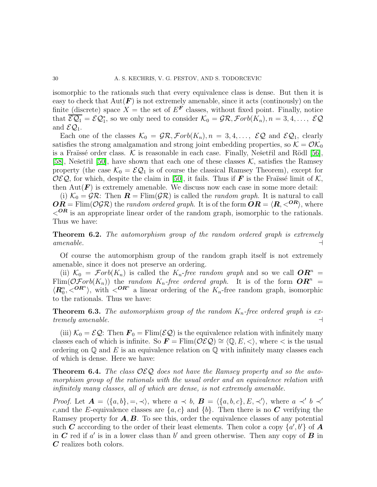isomorphic to the rationals such that every equivalence class is dense. But then it is easy to check that  $Aut(F)$  is not extremely amenable, since it acts (continously) on the finite (discrete) space  $X =$  the set of  $E^F$  classes, without fixed point. Finally, notice that  $\overline{\mathcal{EQ}_1} = \mathcal{EQ}_1^*$ , so we only need to consider  $\mathcal{K}_0 = \mathcal{GR}, \mathcal{F}orb(K_n), n = 3, 4, \ldots, \mathcal{EQ}$ and  $\mathcal{EQ}_1$ .

Each one of the classes  $\mathcal{K}_0 = \mathcal{GR}, \mathcal{F}orb(K_n), n = 3, 4, \ldots, \mathcal{EQ}$  and  $\mathcal{EQ}_1$ , clearly satisfies the strong amalgamation and strong joint embedding properties, so  $\mathcal{K} = \mathcal{O} \mathcal{K}_0$ is a Fraïssé order class.  $K$  is reasonable in each case. Finally, Nešetřil and Rödl [\[56\]](#page-71-8), [\[58\]](#page-72-6), Nešetřil [\[50\]](#page-71-9), have shown that each one of these classes  $K$ , satisfies the Ramsey property (the case  $\mathcal{K}_0 = \mathcal{EQ}_1$  is of course the classical Ramsey Theorem), except for OEQ, for which, despite the claim in [\[50\]](#page-71-9), it fails. Thus if **F** is the Fraüssé limit of K, then  $Aut(F)$  is extremely amenable. We discuss now each case in some more detail:

(i)  $\mathcal{K}_0 = \mathcal{G}\mathcal{R}$ : Then  $\mathbf{R} = \text{Elim}(\mathcal{G}\mathcal{R})$  is called the *random graph*. It is natural to call  $OR = \text{Elim}(\mathcal{OGR})$  the *random ordered graph*. It is of the form  $\overline{OR} = \langle R, \langle^{OR} \rangle$ , where  $\langle$ <sup>OR</sup> is an appropriate linear order of the random graph, isomorphic to the rationals. Thus we have:

<span id="page-29-0"></span>Theorem 6.2. *The automorphism group of the random ordered graph is extremely amenable.* ⊣

Of course the automorphism group of the random graph itself is not extremely amenable, since it does not preserve an ordering.

(ii)  $\mathcal{K}_0 = \mathcal{F}orb(K_n)$  is called the  $K_n$ -free random graph and so we call  $\mathbf{OR}^n =$  $Flim(\mathcal{OF}orb(K_n))$  the *random*  $K_n$ -free ordered graph. It is of the form  $\mathbf{OR}^n =$  $\langle \mathbf{R}_0^n, \langle \mathbf{O}\mathbf{R}^n \rangle$ , with  $\langle \mathbf{O}\mathbf{R}^n \rangle$  a linear ordering of the  $K_n$ -free random graph, isomorphic to the rationals. Thus we have:

**Theorem 6.3.** The automorphism group of the random  $K_n$ -free ordered graph is ex*tremely amenable.* ⊣

(iii)  $\mathcal{K}_0 = \mathcal{E} \mathcal{Q}$ : Then  $\mathbf{F}_0 = \text{Elim}(\mathcal{E} \mathcal{Q})$  is the equivalence relation with infinitely many classes each of which is infinite. So  $\mathbf{F} = \text{Flim}(\mathcal{OEQ}) \cong \langle \mathbb{Q}, E, \langle \rangle$ , where  $\langle \rangle$  is the usual ordering on  $\mathbb Q$  and E is an equivalence relation on  $\mathbb Q$  with infinitely many classes each of which is dense. Here we have:

Theorem 6.4. *The class* OEQ *does not have the Ramsey property and so the automorphism group of the rationals with the usual order and an equivalence relation with infinitely many classes, all of which are dense, is not extremely amenable.*

*Proof.* Let  $\mathbf{A} = \langle \{a, b\}, =, \prec \rangle$ , where  $a \prec b$ ,  $\mathbf{B} = \langle \{a, b, c\}, E, \prec' \rangle$ , where  $a \prec' b \prec'$ c, and the E-equivalence classes are  $\{a, c\}$  and  $\{b\}$ . Then there is no C verifying the Ramsey property for  $A, B$ . To see this, order the equivalence classes of any potential such C acccording to the order of their least elements. Then color a copy  $\{a', b'\}$  of A in  $C$  red if a' is in a lower class than b' and green otherwise. Then any copy of  $B$  in C realizes both colors.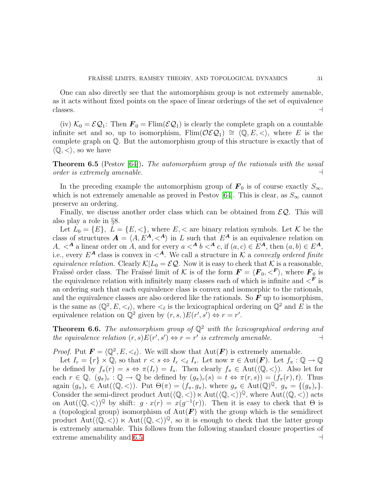One can also directly see that the automorphism group is not extremely amenable, as it acts without fixed points on the space of linear orderings of the set of equivalence classes.  $\rightarrow$ 

(iv)  $\mathcal{K}_0 = \mathcal{EQ}_1$ : Then  $\mathbf{F}_0 = \text{Elim}(\mathcal{EQ}_1)$  is clearly the complete graph on a countable infinite set and so, up to isomorphism, Flim( $\mathcal{O}\mathcal{E}\mathcal{Q}_1$ ) ≅  $\langle \mathbb{Q}, E, \langle \cdot \rangle$ , where E is the complete graph on Q. But the automorphism group of this structure is exactly that of  $\langle \mathbb{Q}, \langle \rangle$ , so we have

<span id="page-30-0"></span>Theorem 6.5 (Pestov [\[64\]](#page-72-1)). *The automorphism group of the rationals with the usual order is extremely amenable.* ⊣

In the preceding example the automorphism group of  $\mathbf{F}_0$  is of course exactly  $S_{\infty}$ , which is not extremely amenable as proved in Pestov [\[64\]](#page-72-1). This is clear, as  $S_{\infty}$  cannot preserve an ordering.

Finally, we discuss another order class which can be obtained from  $\mathcal{EQ}$ . This will also play a role in §8.

Let  $L_0 = \{E\}, L = \{E, \leq\}$ , where  $E, \leq$  are binary relation symbols. Let K be the class of structures  $\mathbf{A} = \langle A, E^{\mathbf{A}}, \langle A \rangle$  in L such that  $E^{\mathbf{A}}$  is an equivalence relation on A,  $\lt^A$  a linear order on A, and for every  $a \lt^A b \lt^A c$ , if  $(a, c) \in E^A$ , then  $(a, b) \in E^A$ , i.e., every  $E^{\mathbf{A}}$  class is convex in  $\langle \mathbf{A}, \mathbf{W} \rangle$  call a structure in  $\mathcal{K}$  a *convexly ordered finite equivalence relation.* Clearly  $\mathcal{K}|L_0 = \mathcal{E}\mathcal{Q}$ . Now it is easy to check that K is a reasonable, Fraïssé order class. The Fraïssé limit of K is of the form  $\mathbf{F} = \langle \mathbf{F}_0, \langle \mathbf{F} \rangle$ , where  $\mathbf{F}_0$  is the equivalence relation with infinitely many classes each of which is infinite and  $\langle F \rangle$  is an ordering such that each equivalence class is convex and isomorphic to the rationals, and the equivalence classes are also ordered like the rationals. So  $\bm{F}$  up to isomorphism, is the same as  $\langle \mathbb{Q}^2, E, \langle \xi \rangle$ , where  $\langle \xi \rangle$  is the lexicographical ordering on  $\mathbb{Q}^2$  and E is the equivalence relation on  $\mathbb{Q}^2$  given by  $(r, s, )E(r', s') \Leftrightarrow r = r'.$ 

**Theorem 6.6.** *The automorphism group of*  $\mathbb{Q}^2$  *with the lexicographical ordering and the equivalence relation*  $(r, s)E(r', s') \Leftrightarrow r = r'$  *is extremely amenable.*  $\rightarrow$ 

*Proof.* Put  $\mathbf{F} = \langle \mathbb{Q}^2, E, \langle \cdot \rangle$ . We will show that  $\text{Aut}(\mathbf{F})$  is extremely amenable.

<span id="page-30-1"></span>Let  $I_r = \{r\} \times \mathbb{Q}$ , so that  $r < s \Leftrightarrow I_r <_\ell I_s$ . Let now  $\pi \in \text{Aut}(\mathbf{F})$ . Let  $f_\pi : \mathbb{Q} \to \mathbb{Q}$ be defined by  $f_{\pi}(r) = s \Leftrightarrow \pi(I_r) = I_s$ . Then clearly  $f_{\pi} \in \text{Aut}(\langle \mathbb{Q}, \langle \rangle)$ . Also let for each  $r \in \mathbb{Q}$ ,  $(g_{\pi})_r : \mathbb{Q} \to \mathbb{Q}$  be defined by  $(g_{\pi})_r(s) = t \Leftrightarrow \pi(r, s) = (f_{\pi}(r), t)$ . Thus again  $(g_{\pi})_r \in \text{Aut}(\langle \mathbb{Q}, \langle \rangle)$ . Put  $\Theta(\pi) = (f_{\pi}, g_{\pi})$ , where  $g_{\pi} \in \text{Aut}(\mathbb{Q})^{\mathbb{Q}}$ ,  $g_{\pi} = \{(g_{\pi})_r\}.$ Consider the semi-direct product  $Aut(\langle \mathbb{Q}, \langle \rangle) \ltimes Aut(\langle \mathbb{Q}, \langle \rangle) \mathbb{Q}$ , where  $Aut(\langle \mathbb{Q}, \langle \rangle)$  acts on Aut $(\langle \mathbb{Q}, \lt \rangle)^{\mathbb{Q}}$  by shift:  $g \cdot x(r) = x(g^{-1}(r))$ . Then it is easy to check that  $\Theta$  is a (topological group) isomorphism of  $Aut(F)$  with the group which is the semidirect product  $Aut(\langle \mathbb{Q}, \langle \rangle) \ltimes Aut(\langle \mathbb{Q}, \langle \rangle)^{\mathbb{Q}}$ , so it is enough to check that the latter group is extremely amenable. This follows from the following standard closure properties of extreme amenability and [6.5.](#page-30-0) ⊣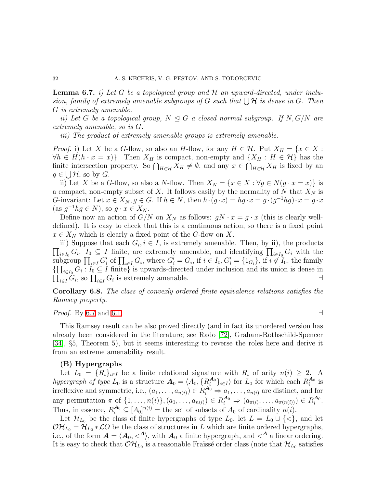Lemma 6.7. *i) Let* G *be a topological group and* H *an upward-directed, under inclu* $sion, family of extremely amenable subgroups of G such that  $\bigcup \mathcal{H}$  is dense in G. Then$ G *is extremely amenable.*

*ii)* Let G be a topological group,  $N \trianglelefteq G$  a closed normal subgroup. If  $N, G/N$  are *extremely amenable, so is* G*.*

*iii) The product of extremely amenable groups is extremely amenable.*

*Proof.* i) Let X be a G-flow, so also an H-flow, for any  $H \in \mathcal{H}$ . Put  $X_H = \{x \in X :$  $\forall h \in H(h \cdot x = x)$ . Then  $X_H$  is compact, non-empty and  $\{X_H : H \in \mathcal{H}\}\$  has the finite intersection property. So  $\bigcap_{H \in \mathcal{H}} X_H \neq \emptyset$ , and any  $x \in \bigcap_{H \in \mathcal{H}} X_H$  is fixed by an  $g \in \bigcup \mathcal{H}$ , so by  $G$ .

ii) Let X be a G-flow, so also a N-flow. Then  $X_N = \{x \in X : \forall g \in N(g \cdot x = x)\}\$ is a compact, non-empty subset of X. It follows easily by the normality of N that  $X_N$  is G-invariant: Let  $x \in X_N$ ,  $g \in G$ . If  $h \in N$ , then  $h \cdot (g \cdot x) = hg \cdot x = g \cdot (g^{-1}hg) \cdot x = g \cdot x$  $(\text{as } g^{-1}hg \in N), \text{ so } g \cdot x \in X_N.$ 

Define now an action of  $G/N$  on  $X_N$  as follows:  $gN \cdot x = g \cdot x$  (this is clearly welldefined). It is easy to check that this is a continuous action, so there is a fixed point  $x \in X_N$  which is clearly a fixed point of the G-flow on X.

iii) Suppose that each  $G_i, i \in I$ , is extremely amenable. Then, by ii), the products  $\prod_{i\in I_0} G_i$ ,  $I_0 \subseteq I$  finite, are extremely amenable, and identifying  $\prod_{i\in I_0} G_i$  with the subgroup  $\prod_{i\in I} G'_i$  of  $\prod_{i\in I} G_i$ , where  $G'_i = G_i$ , if  $i \in I_0$ ,  $G'_i = \{1_{G_i}\}\$ , if  $i \notin I_0$ , the family  ${\{\prod_{i\in I_0} G_i : I_0 \subseteq I \text{ finite}\}}$  is upwards-directed under inclusion and its union is dense in  $\prod_{i\in I} G_i$ , so  $\prod_{i\in I} G_i$  is extremely amenable.

Corollary 6.8. *The class of convexly ordered finite equivalence relations satisfies the Ramsey property.*

*Proof.* By [6.7](#page-30-1) and [6.1.](#page-27-0)  $\Box$ 

This Ramsey result can be also proved directly (and in fact its unordered version has already been considered in the literature; see Rado [\[72\]](#page-72-16), Graham-Rothschild-Spencer [\[34\]](#page-71-18), §5, Theorem 5), but it seems interesting to reverse the roles here and derive it from an extreme amenability result.

## (B) Hypergraphs

Let  $L_0 = \{R_i\}_{i\in I}$  be a finite relational signature with  $R_i$  of arity  $n(i) \geq 2$ . A *hypergraph of type*  $L_0$  is a structure  $\mathbf{A}_0 = \langle A_0, \{R_i^{\mathbf{A}_0}\}\rangle$  $\{A_0\}_{i\in I}$  for  $L_0$  for which each  $R_i^{A_0}$  $_i^{\mathbf{A}_0}$  is irreflexive and symmetric, i.e.,  $(a_1, \ldots, a_{n(i)}) \in R_1^{A_0} \Rightarrow a_1, \ldots, a_{n(i)}$  are distinct, and for any permutation  $\pi$  of  $\{1, ..., n(i)\}, (a_1, ..., a_{n(i)}) \in R_1^{A_0} \Rightarrow (a_{\pi(i)}, ..., a_{\pi(n(i))}) \in R_i^{A_0}$  $\frac{\boldsymbol{A}_0}{i}$  . Thus, in essence,  $R_i^{A_0} \subseteq [A_0]^{n(i)}$  = the set of subsets of  $A_0$  of cardinality  $n(i)$ .

Let  $\mathcal{H}_{L_0}$  be the class of finite hypergraphs of type  $L_0$ , let  $L = L_0 \cup \{<\}$ , and let  $\mathcal{O}H_{L_0} = \mathcal{H}_{L_0} * \mathcal{L}O$  be the class of structures in L which are finite ordered hypergraphs, i.e., of the form  $\mathbf{A} = \langle \mathbf{A}_0, \langle \mathbf{A} \rangle$ , with  $\mathbf{A}_0$  a finite hypergraph, and  $\langle \mathbf{A} \rangle$  a linear ordering. It is easy to check that  $\mathcal{O}\mathcal{H}_{L_0}$  is a reasonable Fraïssé order class (note that  $\mathcal{H}_{L_0}$  satisfies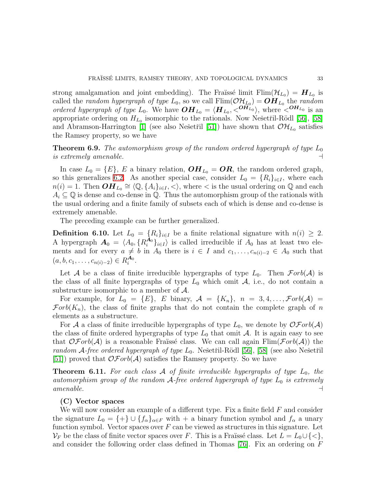strong amalgamation and joint embedding). The Fraüssé limit  $\text{Elim}(\mathcal{H}_{L_0}) = H_{L_0}$  is called the *random hypergraph of type*  $L_0$ , so we call  $\text{Elim}(\mathcal{O}\mathcal{H}_{L_0}) = \mathbf{OH}_{L_0}$  the *random ordered hypergraph of type*  $L_0$ . We have  $\boldsymbol{OH}_{L_0} = \langle \boldsymbol{H}_{L_0}, \langle \boldsymbol{O}\overline{H}_{L_0}^0 \rangle$ , where  $\langle \boldsymbol{OH}_{L_0}$  is an appropriate ordering on  $H_{L_0}$  isomorphic to the rationals. Now Nešetr̃il-Rödl [\[56\]](#page-71-8), [\[58\]](#page-72-6) and Abramson-Harrington [\[1\]](#page-69-0) (see also Nešetřil [\[51\]](#page-71-10)) have shown that  $\mathcal{OH}_{L_0}$  satisfies the Ramsey property, so we have

**Theorem 6.9.** *The automorphism group of the random ordered hypergraph of type*  $L_0$ *is extremely amenable.* ⊣

In case  $L_0 = \{E\}$ , E a binary relation,  $\boldsymbol{OH}_{L_0} = \boldsymbol{OR}$ , the random ordered graph, so this generalizes [6.2.](#page-29-0) As another special case, consider  $L_0 = \{R_i\}_{i \in I}$ , where each  $n(i) = 1$ . Then  $\boldsymbol{OH}_{L_0} \cong \langle \mathbb{Q}, \{A_i\}_{i \in I} \rangle$ , where  $\langle$  is the usual ordering on  $\mathbb{Q}$  and each  $A_i \subseteq \mathbb{Q}$  is dense and co-dense in  $\mathbb{Q}$ . Thus the automorphism group of the rationals with the usual ordering and a finite family of subsets each of which is dense and co-dense is extremely amenable.

The preceding example can be further generalized.

**Definition 6.10.** Let  $L_0 = \{R_i\}_{i \in I}$  be a finite relational signature with  $n(i) \geq 2$ . A hypergraph  $\mathbf{A}_0 = \langle A_0, \{R_i^{\mathbf{A}_0}\}\rangle$  $\binom{A_0}{i}$ <sub>i∈I</sub> is called irreducible if  $A_0$  has at least two elements and for every  $a \neq b$  in  $A_0$  there is  $i \in I$  and  $c_1, \ldots, c_{n(i)-2} \in A_0$  such that  $(a, b, c_1, \ldots, c_{n(i)-2}) \in R_i^{A_0}$  $\frac{\boldsymbol{A}_0}{i}$  .

Let A be a class of finite irreducible hypergraphs of type  $L_0$ . Then  $\mathcal{F}orb(\mathcal{A})$  is the class of all finite hypergraphs of type  $L_0$  which omit  $A$ , i.e., do not contain a substructure isomorphic to a member of A.

For example, for  $L_0 = \{E\}$ , E binary,  $\mathcal{A} = \{K_n\}$ ,  $n = 3, 4, \ldots, \mathcal{F}orb(\mathcal{A})$  $\mathcal{F}orb(K_n)$ , the class of finite graphs that do not contain the complete graph of n elements as a substructure.

For A a class of finite irreducible hypergraphs of type  $L_0$ , we denote by  $\mathcal{OF}orb(\mathcal{A})$ the class of finite ordered hypergraphs of type  $L_0$  that omit A. It is again easy to see that  $\mathcal{O}Forb(\mathcal{A})$  is a reasonable Fraïssé class. We can call again Flim( $\mathcal{F}orb(\mathcal{A})$ ) the *random* A-free ordered hypergraph of type  $L_0$ . Nešetřil-Rödl [\[56\]](#page-71-8), [\[58\]](#page-72-6) (see also Nešetřil [\[51\]](#page-71-10)) proved that  $\mathcal{OF}orb(\mathcal{A})$  satisfies the Ramsey property. So we have

**Theorem 6.11.** For each class  $\mathcal A$  of finite irreducible hypergraphs of type  $L_0$ , the *automorphism group of the random*  $A$ -free ordered hypergraph of type  $L_0$  *is extremely amenable. amenable.* ⊣

### (C) Vector spaces

We will now consider an example of a different type. Fix a finite field  $F$  and consider the signature  $L_0 = \{+\}\cup \{f_\alpha\}_{\alpha \in F}$  with  $+$  a binary function symbol and  $f_\alpha$  a unary function symbol. Vector spaces over  $F$  can be viewed as structures in this signature. Let  $\mathcal{V}_F$  be the class of finite vector spaces over F. This is a Fraïssé class. Let  $L = L_0 \cup \{ \leq \},$ and consider the following order class defined in Thomas [\[76\]](#page-72-7). Fix an ordering on F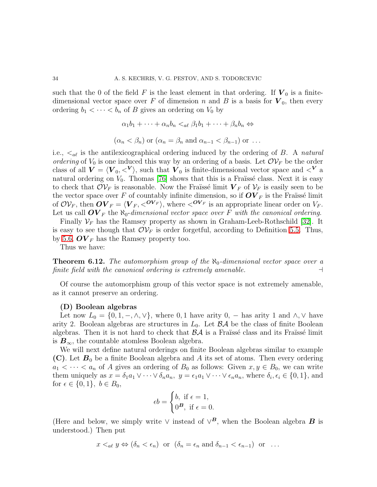such that the 0 of the field F is the least element in that ordering. If  $V_0$  is a finitedimensional vector space over F of dimension n and B is a basis for  $V_0$ , then every ordering  $b_1 < \cdots < b_n$  of B gives an ordering on  $V_0$  by

$$
\alpha_1b_1+\cdots+\alpha_nb_n <_{a\ell}\beta_1b_1+\cdots+\beta_nb_n \Leftrightarrow
$$

$$
(\alpha_n < \beta_n)
$$
 or  $(\alpha_n = \beta_n$  and  $\alpha_{n-1} < \beta_{n-1}$ ) or ...

i.e.,  $\langle a_\ell \rangle$  is the antilexicographical ordering induced by the ordering of B. A *natural ordering* of  $V_0$  is one induced this way by an ordering of a basis. Let  $\mathcal{O}V_F$  be the order class of all  $V = \langle V_0, \langle V \rangle$ , such that  $V_0$  is finite-dimensional vector space and  $\langle V \rangle$  a natural ordering on  $V_0$ . Thomas [\[76\]](#page-72-7) shows that this is a Fraïssé class. Next it is easy to check that  $\mathcal{O}V_F$  is reasonable. Now the Fraüssé limit  $V_F$  of  $V_F$  is easily seen to be the vector space over F of countably infinite dimension, so if  $\mathbf{O}V_F$  is the Fraüssé limit of  $\mathcal{O}V_F$ , then  $\mathbf{O}V_F = \langle \mathbf{V}_F, \langle \mathbf{O}V_F \rangle$ , where  $\langle \mathbf{O}V_F \rangle$  is an appropriate linear order on  $V_F$ . Let us call  $OV_F$  the  $\aleph_0$ -dimensional vector space over F with the canonical ordering.

Finally  $\mathcal{V}_F$  has the Ramsey property as shown in Graham-Leeb-Rothschild [\[32\]](#page-71-12). It is easy to see though that  $\mathcal{O}V_F$  is order forgetful, according to Definition [5.5.](#page-27-1) Thus, by [5.6,](#page-27-2)  $\boldsymbol{OV}_F$  has the Ramsey property too.

Thus we have:

**Theorem 6.12.** *The automorphism group of the*  $\aleph_0$ -dimensional vector space over a finite field with the canonical ordering is extremely amenable. *finite field with the canonical ordering is extremely amenable.* 

Of course the automorphism group of this vector space is not extremely amenable, as it cannot preserve an ordering.

### (D) Boolean algebras

Let now  $L_0 = \{0, 1, -, \wedge, \vee\}$ , where 0, 1 have arity 0, – has arity 1 and  $\wedge$ ,  $\vee$  have arity 2. Boolean algebras are structures in  $L_0$ . Let  $\beta \mathcal{A}$  be the class of finite Boolean algebras. Then it is not hard to check that  $\beta\mathcal{A}$  is a Fraïssé class and its Fraïssé limit is  $B_{\infty}$ , the countable atomless Boolean algebra.

We will next define natural orderings on finite Boolean algebras similar to example (C). Let  $B_0$  be a finite Boolean algebra and A its set of atoms. Then every ordering  $a_1 < \cdots < a_n$  of A gives an ordering of  $B_0$  as follows: Given  $x, y \in B_0$ , we can write them uniquely as  $x = \delta_1 a_1 \vee \cdots \vee \delta_n a_n$ ,  $y = \epsilon_1 a_1 \vee \cdots \vee \epsilon_n a_n$ , where  $\delta_i, \epsilon_i \in \{0, 1\}$ , and for  $\epsilon \in \{0, 1\}, b \in B_0$ ,

$$
\epsilon b = \begin{cases} b, \text{ if } \epsilon = 1, \\ 0^{\textbf{\textit{B}}}, \text{ if } \epsilon = 0. \end{cases}
$$

(Here and below, we simply write  $\vee$  instead of  $\vee^B$ , when the Boolean algebra **B** is understood.) Then put

 $x \le_{al} y \Leftrightarrow (\delta_n \le \epsilon_n)$  or  $(\delta_n = \epsilon_n \text{ and } \delta_{n-1} \le \epsilon_{n-1})$  or ...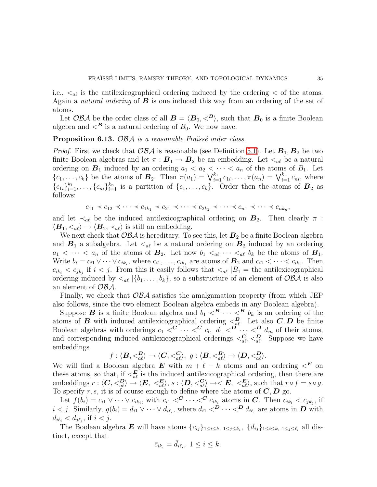i.e.,  $\langle \zeta_{\alpha \ell} \rangle$  is the antilexicographical ordering induced by the ordering  $\langle \zeta \rangle$  of the atoms. Again a *natural ordering* of B is one induced this way from an ordering of the set of atoms.

Let OBA be the order class of all  $B = \langle B_0, \langle B \rangle$ , such that  $B_0$  is a finite Boolean algebra and  $\langle B \rangle$  is a natural ordering of  $B_0$ . We now have:

Proposition 6.13. OBA *is a reasonable Fraïssé order class*.

*Proof.* First we check that  $\mathcal{OBA}$  is reasonable (see Definition [5.1\)](#page-25-0). Let  $\mathbf{B}_1, \mathbf{B}_2$  be two finite Boolean algebras and let  $\pi : \mathbf{B}_1 \to \mathbf{B}_2$  be an embedding. Let  $\langle a_\ell \rangle$  be a natural ordering on  $\mathbf{B}_1$  induced by an ordering  $a_1 < a_2 < \cdots < a_n$  of the atoms of  $B_1$ . Let  $\{c_1, \ldots, c_k\}$  be the atoms of  $\mathbf{B}_2$ . Then  $\pi(a_1) = \bigvee_{i=1}^{k_1} c_{1i}, \ldots, \pi(a_n) = \bigvee_{i=1}^{k_n} c_{ni}$ , where  ${c_{1i}}_{i=1}^{k_1}, \ldots, {c_{ni}}_{i=1}^{k_n}$  is a partition of  ${c_1, \ldots, c_k}$ . Order then the atoms of  $B_2$  as follows:

$$
c_{11} \prec c_{12} \prec \cdots \prec c_{1k_1} \prec c_{21} \prec \cdots \prec c_{2k_2} \prec \cdots \prec c_{n1} \prec \cdots \prec c_{nk_n},
$$

and let  $\prec_{a\ell}$  be the induced antilexicographical ordering on  $\mathbf{B}_2$ . Then clearly  $\pi$ :  $\langle \mathbf{B}_1, \langle \mathbf{a}_\ell \rangle \to \langle \mathbf{B}_2, \langle \mathbf{a}_\ell \rangle$  is still an embedding.

We next check that  $\mathcal{OBA}$  is hereditary. To see this, let  $\mathbf{B}_2$  be a finite Boolean algebra and  $B_1$  a subalgebra. Let  $\lt_{a\ell}$  be a natural ordering on  $B_2$  induced by an ordering  $a_1 < \cdots < a_n$  of the atoms of  $B_2$ . Let now  $b_1 <_{a\ell} \cdots <_{a\ell} b_k$  be the atoms of  $B_1$ . Write  $b_i = c_{i1} \vee \cdots \vee c_{ik_i}$ , where  $c_{i1}, \ldots, c_{ik_1}$  are atoms of  $B_2$  and  $c_{i1} < \cdots < c_{ik_i}$ . Then  $c_{ik_i} < c_{jk_j}$  if  $i < j$ . From this it easily follows that  $\langle \xi_{al} | B_1 \rangle =$  the antilexicographical ordering induced by  $\langle a_k | \{b_1, \ldots, b_k\} \rangle$ , so a substructure of an element of  $\mathcal{OBA}$  is also an element of OBA.

Finally, we check that  $\mathcal{OBA}$  satisfies the amalgamation property (from which JEP also follows, since the two element Boolean algebra embeds in any Boolean algebra).

Suppose **B** is a finite Boolean algebra and  $b_1 <sup>B</sup> \cdots <sup>B</sup> b_k$  is an ordering of the atoms of **B** with induced antilexicographical ordering  $\leq_{a\ell}^B$ . Let also **C**, **D** be finite Boolean algebras with orderings  $c_1 \leq C \cdots \leq C_{l_1} d_1 \leq D \cdots \leq D_{m} d_m$  of their atoms, and corresponding induced antilexicographical orderings  $\langle \frac{C}{a\ell}, \langle \frac{D}{a\ell}, \hat{\phi} \rangle$ . Suppose we have embeddings

$$
f: \langle \mathbf{B}, \langle \mathbf{B}^{\mathbf{B}}_{a\ell} \rangle \to \langle \mathbf{C}, \langle \mathbf{C}^{\mathbf{C}}_{a\ell} \rangle, \ g: \langle \mathbf{B}, \langle \mathbf{B}^{\mathbf{B}}_{a\ell} \rangle \to \langle \mathbf{D}, \langle \mathbf{D}^{\mathbf{B}}_{a\ell} \rangle.
$$

We will find a Boolean algebra  $\boldsymbol{E}$  with  $m + \ell - k$  atoms and an ordering  $\lt^{\boldsymbol{E}}$  on these atoms, so that, if  $\langle E_{a\ell} \rangle$  is the induced antilexicographical ordering, then there are embeddings  $r : \langle C, \langle B\rangle \stackrel{\alpha}{\rightarrow} \langle E, \langle E\rangle, s : \langle D, \langle C\rangle \rightarrow \langle E, \langle E\rangle, s \rangle)$ , such that  $r \circ f = s \circ g$ . To specify r, s, it is of course enough to define where the atoms of  $C, D$  go.

Let  $f(b_i) = c_{i1} \vee \cdots \vee c_{ik_i}$ , with  $c_{i1} <^{\mathbf{C}} \cdots <^{\mathbf{C}} c_{ik_i}$  atoms in  $\mathbf{C}$ . Then  $c_{ik_i} < c_{jk_j}$ , if  $i < j$ . Similarly,  $g(b_i) = d_{i1} \vee \cdots \vee d_{i\ell_i}$ , where  $d_{i1} <sup>D</sup> \cdots <sup>D</sup> d_{i\ell_i}$  are atoms in  $D$  with  $d_{i\ell_i} < d_{j\ell_j}$ , if  $i < j$ .

The Boolean algebra E will have atoms  $\{\bar{c}_{ij}\}_{1\leq i\leq k, 1\leq j\leq k_i}$ ,  $\{\bar{d}_{ij}\}_{1\leq i\leq k, 1\leq j\leq \ell_i}$  all distinct, except that

$$
\bar{c}_{ik_i} = \bar{d}_{i\ell_i}, \ 1 \leq i \leq k.
$$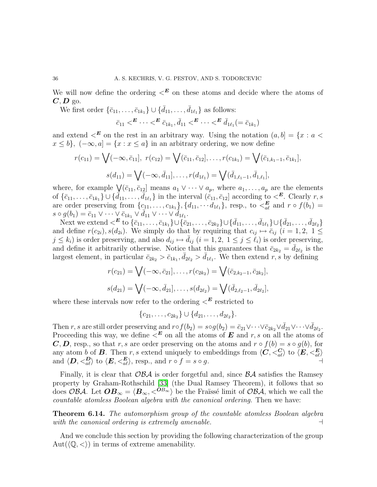We will now define the ordering  $\lt^E$  on these atoms and decide where the atoms of  $C, D$  go.

We first order  $\{\bar{c}_{11}, \ldots, \bar{c}_{1k_1}\} \cup \{\bar{d}_{11}, \ldots, \bar{d}_{1\ell_1}\}\$ as follows:

$$
\bar{c}_{11} <^{\mathbf{E}} \cdots <^{\mathbf{E}} \bar{c}_{1k_1}, \bar{d}_{11} <^{\mathbf{E}} \cdots <^{\mathbf{E}} \bar{d}_{1\ell_1} (= \bar{c}_{1k_1})
$$

and extend  $\lt^E$  on the rest in an arbitrary way. Using the notation  $(a, b] = \{x : a \lt \lt$  $x \leq b$ ,  $(-\infty, a] = \{x : x \leq a\}$  in an arbitrary ordering, we now define

$$
r(c_{11}) = \bigvee(-\infty, \bar{c}_{11}], r(c_{12}) = \bigvee(\bar{c}_{11}, \bar{c}_{12}], \dots, r(c_{1k_1}) = \bigvee(\bar{c}_{1,k_1-1}, \bar{c}_{1k_1}],
$$

$$
s(d_{11}) = \bigvee(-\infty, \bar{d}_{11}], \dots, r(d_{1\ell_1}) = \bigvee(\bar{d}_{1,\ell_1-1}, \bar{d}_{1,\ell_1}],
$$

where, for example  $\underline{V}(\bar{c}_{11}, \bar{c}_{12}]$  means  $a_1 \vee \cdots \vee a_p$ , where  $a_1, \ldots, a_p$  are the elements of  $\{\bar{c}_{11}, \ldots, \bar{c}_{1k_1}\} \cup \{\bar{d}_{11}, \ldots, \bar{d}_{1\ell_1}\}\$  in the interval  $(\bar{c}_{11}, \bar{c}_{12}]$  according to  $\lt^E$ . Clearly  $r, s$ are order preserving from  $\{c_{11}, \ldots, c_{1k_1}\}\$ ,  $\{d_{11}, \ldots, d_{1\ell_1}\}\$ , resp., to  $\lt^{\mathbf{E}}_{a\ell}$  and  $r \circ f(b_1) =$  $s \circ g(b_1) = \bar{c}_{11} \vee \cdots \vee \bar{c}_{1k_1} \vee \bar{d}_{11} \vee \cdots \vee \bar{d}_{1\ell_1}.$ 

Next we extend  $\langle E \text{ to } \{\bar{c}_{11}, \ldots, \bar{c}_{1k_1}\} \cup \{\bar{c}_{21}, \ldots, \bar{c}_{2k_2}\} \cup \{\bar{d}_{11}, \ldots, \bar{d}_{1\ell_1}\} \cup \{\bar{d}_{21}, \ldots, \bar{d}_{2\ell_2}\}\$ and define  $r(c_{2i}), s(d_{2i})$ . We simply do that by requiring that  $c_{ij} \mapsto \bar{c}_{ij}$   $(i = 1, 2, 1 \leq j \leq n)$  $j \leq k_i$ ) is order preserving, and also  $d_{ij} \mapsto \bar{d}_{ij}$   $(i = 1, 2, 1 \leq j \leq \ell_i)$  is order preserving, and define it arbitrarily otherwise. Notice that this guarantees that  $\bar{c}_{2k_2} = \bar{d}_{2\ell_2}$  is the largest element, in particular  $\bar{c}_{2k_2} > \bar{c}_{1k_1}, \bar{d}_{2\ell_2} > \bar{d}_{1\ell_1}$ . We then extend r, s by defining

$$
r(c_{21}) = \bigvee(-\infty, \bar{c}_{21}], \dots, r(c_{2k_2}) = \bigvee(\bar{c}_{2,k_2-1}, \bar{c}_{2k_2}],
$$
  

$$
s(d_{21}) = \bigvee(-\infty, \bar{d}_{21}], \dots, s(d_{2\ell_2}) = \bigvee(\bar{d}_{2,\ell_2-1}, \bar{d}_{2\ell_2}],
$$

where these intervals now refer to the ordering  $\lt^E$  restricted to

 ${c_{21}, \ldots, c_{2k_2}} \cup {d_{21}, \ldots, d_{2\ell_2}}.$ 

Then r, s are still order preserving and  $r \circ f(b_2) = s \circ g(b_2) = \bar{c}_{21} \vee \cdots \vee \bar{c}_{2k_2} \vee \bar{d}_{21} \vee \cdots \vee \bar{d}_{2\ell_2}$ . Proceeding this way, we define  $\leq^E$  on all the atoms of E and r, s on all the atoms of C, D, resp., so that r, s are order preserving on the atoms and  $r \circ f(b) = s \circ g(b)$ , for any atom b of **B**. Then r, s extend uniquely to embeddings from  $\langle C, \langle C_g \rangle$  to  $\langle E, \langle E_g \rangle$ and  $\langle \mathbf{D}, \langle \mathbf{D}_a \rangle$  to  $\langle \mathbf{E}, \langle \mathbf{E}_a \rangle$ , resp., and  $r \circ f = s \circ g$ .

Finally, it is clear that  $\mathcal{OBA}$  is order forgetful and, since  $\mathcal{BA}$  satisfies the Ramsey property by Graham-Rothschild [\[33\]](#page-71-13) (the Dual Ramsey Theorem), it follows that so does OBA. Let  $OB_{\infty} = \langle B_{\infty}, \langle^{OB_{\infty}} \rangle$  be the Fraüssé limit of OBA, which we call the *countable atomless Boolean algebra with the canonical ordering*. Then we have:

Theorem 6.14. *The automorphism group of the countable atomless Boolean algebra with the canonical ordering is extremely amenable.* ⊣

And we conclude this section by providing the following characterization of the group Aut $(\langle \mathbb{Q}, \langle \rangle)$  in terms of extreme amenability.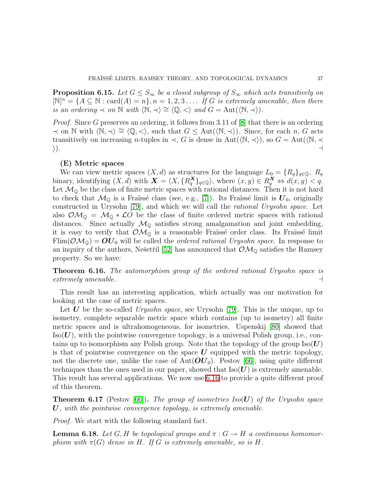**Proposition 6.15.** *Let*  $G \leq S_{\infty}$  *be a closed subgroup of*  $S_{\infty}$  *which acts transitively on*  $[N]^n = \{A \subseteq \mathbb{N} : \text{card}(A) = n\}, n = 1, 2, 3, \ldots$  *If* G *is extremely amenable, then there is an ordering*  $\prec$  *on*  $\mathbb N$  *with*  $\langle \mathbb N, \prec \rangle \cong \langle \mathbb Q, \prec \rangle$  *and*  $G = \text{Aut}(\langle \mathbb N, \prec \rangle)$ *.* 

*Proof.* Since G preserves an ordering, it follows from 3.11 of [\[8\]](#page-70-0) that there is an ordering  $\prec$  on N with  $\langle \mathbb{N}, \prec \rangle \cong \langle \mathbb{Q}, \prec \rangle$ , such that  $G \leq \text{Aut}(\langle \mathbb{N}, \prec \rangle)$ . Since, for each n, G acts transitively on increasing *n*-tuples in  $\prec$ , G is dense in Aut( $\langle \mathbb{N}, \prec \rangle$ ), so  $G = \text{Aut}(\langle \mathbb{N}, \prec \rangle)$ . i). ⊣

# (E) Metric spaces

We can view metric spaces  $(X, d)$  as structures for the language  $L_0 = \{R_q\}_{q \in \mathbb{Q}}$ ,  $R_q$ binary, identifying  $(X, d)$  with  $\mathbf{X} = \langle X, \{R_q^{\mathbf{X}}\}_{q \in \mathbb{Q}}\rangle$ , where  $(x, y) \in R_q^{\mathbf{X}} \Leftrightarrow d(x, y) < q$ . Let  $\mathcal{M}_{\mathbb{Q}}$  be the class of finite metric spaces with rational distances. Then it is not hard to check that  $\mathcal{M}_{\mathbb{Q}}$  is a Fraïssé class (see, e.g., [\[7\]](#page-70-1)). Its Fraïssé limit is  $\mathbf{U}_0$ , originally constructed in Urysohn [\[79\]](#page-72-0), and which we will call the *rational Urysohn space*. Let also  $\mathcal{O}M_{\mathbb{Q}} = \mathcal{M}_{\mathbb{Q}} * \mathcal{L}O$  be the class of finite ordered metric spaces with rational distances. Since actually  $\mathcal{M}_{\mathbb{Q}}$  satisfies strong amalgamation and joint embedding, it is easy to verify that  $\mathcal{OM}_{\mathbb{Q}}$  is a reasonable Fraïssé order class. Its Fraïssé limit  $\text{Elim}(\mathcal{OM}_0) = \mathbf{OU}_0$  will be called the *ordered rational Urysohn space*. In response to an inquiry of the authors, Nešetřil [\[52\]](#page-71-0) has announced that  $\mathcal{OM}_{\mathbb{Q}}$  satisfies the Ramsey property. So we have:

<span id="page-36-0"></span>Theorem 6.16. *The automorphism group of the ordered rational Urysohn space is extremely amenable.* ⊣

This result has an interesting application, which actually was our motivation for looking at the case of metric spaces.

Let U be the so-called *Urysohn space*, see Urysohn [\[79\]](#page-72-0). This is the unique, up to isometry, complete separable metric space which contains (up to isometry) all finite metric spaces and is ultrahomogeneous, for isometries. Uspenskij [\[80\]](#page-72-1) showed that  $\text{Iso}(U)$ , with the pointwise convergence topology, is a universal Polish group, i.e., contains up to isomorphism any Polish group. Note that the topology of the group  $\text{Iso}(U)$ is that of pointwise convergence on the space  $\boldsymbol{U}$  equipped with the metric topology, not the discrete one, unlike the case of  $Aut(OU_0)$ . Pestov [\[66\]](#page-72-2), using quite different techniques than the ones used in our paper, showed that  $\text{Iso}(\boldsymbol{U})$  is extremely amenable. This result has several applications. We now use [6.16](#page-36-0) to provide a quite different proof of this theorem.

Theorem 6.17 (Pestov [\[66\]](#page-72-2)). *The group of isometries Iso*(U) *of the Urysohn space* U*, with the pointwise convergence topology, is extremely amenable.*

<span id="page-36-1"></span>*Proof.* We start with the following standard fact.

**Lemma 6.18.** Let G, H be topological groups and  $\pi$ :  $G \rightarrow H$  a continuous homomor*phism with*  $\pi(G)$  *dense in* H. If G *is extremely amenable, so is* H.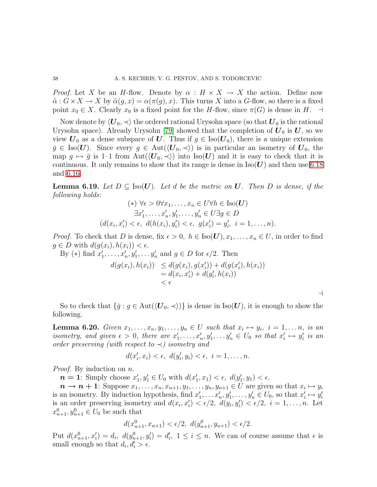*Proof.* Let X be an H-flow. Denote by  $\alpha : H \times X \to X$  the action. Define now  $\tilde{\alpha}: G \times X \to X$  by  $\tilde{\alpha}(g, x) = \alpha(\pi(g), x)$ . This turns X into a G-flow, so there is a fixed point  $x_0 \in X$ . Clearly  $x_0$  is a fixed point for the H-flow, since  $\pi(G)$  is dense in H.  $\dashv$ 

Now denote by  $\langle U_0, \prec \rangle$  the ordered rational Urysohn space (so that  $U_0$  is the rational Urysohn space). Already Urysohn [\[79\]](#page-72-0) showed that the completion of  $U_0$  is  $U$ , so we view  $U_0$  as a dense subspace of U. Thus if  $g \in \text{Iso}(U_0)$ , there is a unique extension  $\bar{g} \in \text{Iso}(U)$ . Since every  $g \in \text{Aut}(\langle U_0, \prec \rangle)$  is in particular an isometry of  $U_0$ , the map  $g \mapsto \bar{g}$  is 1–1 from Aut $(\langle U_0, \prec \rangle)$  into Iso(U) and it is easy to check that it is continuous. It only remains to show that its range is dense in  $\text{Iso}(\boldsymbol{U})$  and then use [6.18](#page-36-1) and [6.16.](#page-36-0)

**Lemma 6.19.** Let  $D \subseteq \text{Iso}(U)$ . Let d be the metric on U. Then D is dense, if the *following holds:*

$$
(*) \forall \epsilon > 0 \forall x_1, \dots, x_n \in U \forall h \in \text{Iso}(\mathbf{U})
$$
  

$$
\exists x'_1, \dots, x'_n, y'_1, \dots, y'_n \in U \exists g \in D
$$
  

$$
(d(x_i, x'_i) < \epsilon, d(h(x_i), y'_i) < \epsilon, g(x'_i) = y'_i, i = 1, \dots, n).
$$

*Proof.* To check that D is dense, fix  $\epsilon > 0$ ,  $h \in \text{Iso}(\mathbf{U}), x_1, \ldots, x_n \in U$ , in order to find  $g \in D$  with  $d(g(x_i), h(x_i)) < \epsilon$ .

By (\*) find  $x'_1, \ldots, x'_n, y'_1, \ldots, y'_n$  and  $g \in D$  for  $\epsilon/2$ . Then

$$
d(g(x_i), h(x_i)) \leq d(g(x_i), g(x'_i)) + d(g(x'_i), h(x_i))
$$
  
= 
$$
d(x_i, x'_i) + d(y'_i, h(x_i))
$$
  
< 
$$
< \epsilon
$$

⊣

So to check that  $\{\bar{g} : g \in \text{Aut}(\langle U_0, \prec \rangle)\}\$ is dense in Iso $(U)$ , it is enough to show the following.

**Lemma 6.20.** *Given*  $x_1, \ldots, x_n, y_1, \ldots, y_n \in U$  *such that*  $x_i \mapsto y_i$ ,  $i = 1, \ldots n$ , is an *isometry, and given*  $\epsilon > 0$ *, there are*  $x'_1, \ldots, x'_n, y'_1, \ldots, y'_n \in U_0$  *so that*  $x'_i \mapsto y'_i$  *is an order preserving (with respect to* ≺*) isometry and*

$$
d(x'_i, x_i) < \epsilon, \ d(y'_i, y_i) < \epsilon, \ i = 1, \dots, n.
$$

*Proof.* By induction on n.

 $n = 1$ : Simply choose  $x'_1, y'_1 \in U_0$  with  $d(x'_1, x_1) < \epsilon$ ,  $d(y'_1, y_1) < \epsilon$ .

 $n \to n+1$ : Suppose  $x_1, \ldots, x_n, x_{n+1}, y_1, \ldots, y_n, y_{n+1} \in U$  are given so that  $x_i \mapsto y_i$ is an isometry. By induction hypothesis, find  $x'_1, \ldots, x'_n, y'_1, \ldots, y'_n \in U_0$ , so that  $x'_i \mapsto y'_i$ is an order preserving isometry and  $d(x_i, x'_i) < \epsilon/2$ ,  $d(y_i, y'_i) < \epsilon/2$ ,  $i = 1, ..., n$ . Let  $x_{n+1}^0, y_{n+1}^0 \in U_0$  be such that

$$
d(x_{n+1}^0, x_{n+1}) < \epsilon/2, \ d(y_{n+1}^0, y_{n+1}) < \epsilon/2.
$$

Put  $d(x_{n+1}^0, x_i') = d_i$ ,  $d(y_{n+1}^0, y_i') = d_i'$ ,  $1 \le i \le n$ . We can of course assume that  $\epsilon$  is small enough so that  $d_i, d'_i > \epsilon$ .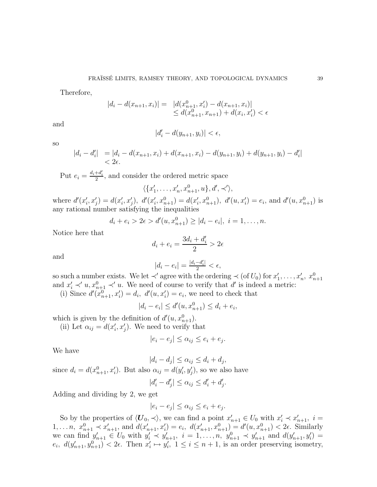Therefore,

$$
|d_i - d(x_{n+1}, x_i)| = |d(x_{n+1}^0, x_i') - d(x_{n+1}, x_i)|
$$
  
\n
$$
\leq d(x_{n+1}^0, x_{n+1}) + d(x_i, x_i') < \epsilon
$$

and

so

$$
|d_i'-d(y_{n+1},y_i)|<\epsilon,
$$

$$
\begin{aligned} |d_i - d'_i| &= |d_i - d(x_{n+1}, x_i) + d(x_{n+1}, x_i) - d(y_{n+1}, y_i) + d(y_{n+1}, y_i) - d'_i| \\ &< 2\epsilon. \end{aligned}
$$

Put  $e_i = \frac{d_i + d_i'}{2}$ , and consider the ordered metric space

$$
\langle \{x'_1, \ldots, x'_n, x_{n+1}^0, u\}, d', \prec' \rangle,
$$

where  $d'(x'_i, x'_j) = d(x'_i, x'_j)$ ,  $d'(x'_i, x^0_{n+1}) = d(x'_i, x^0_{n+1})$ ,  $d'(u, x'_i) = e_i$ , and  $d'(u, x^0_{n+1})$  is any rational number satisfying the inequalities

$$
d_i + e_i > 2\epsilon > d'(u, x_{n+1}^0) \ge |d_i - e_i|, i = 1, ..., n.
$$

Notice here that

$$
d_i + e_i = \frac{3d_i + d'_i}{2} > 2\epsilon
$$

and

$$
|d_i-e_i|=\tfrac{|d_i-d_i'|}{2}<\epsilon,
$$

so such a number exists. We let  $\prec'$  agree with the ordering  $\prec$  (of  $U_0$ ) for  $x'_1, \ldots, x'_n, x_{n+1}^0$ and  $x'_i \prec' u, x_{n+1}^0 \prec' u$ . We need of course to verify that d' is indeed a metric: (i) Since  $d'(x_{n+1}^0, x'_i) = d_i$ ,  $d'(u, x'_i) = e_i$ , we need to check that

$$
|d_i - e_i| \le d'(u, x_{n+1}^0) \le d_i + e_i,
$$

which is given by the definition of  $d'(u, x_{n+1}^0)$ .

(ii) Let  $\alpha_{ij} = d(x'_i, x'_j)$ . We need to verify that

$$
|e_i - e_j| \le \alpha_{ij} \le e_i + e_j.
$$

We have

$$
|d_i - d_j| \le \alpha_{ij} \le d_i + d_j,
$$

since  $d_i = d(x_{n+1}^0, x_i')$ . But also  $\alpha_{ij} = d(y_i', y_j')$ , so we also have

$$
|d_i'-d_j'| \leq \alpha_{ij} \leq d_i'+d_j'.
$$

Adding and dividing by 2, we get

$$
|e_i - e_j| \le \alpha_{ij} \le e_i + e_j.
$$

So by the properties of  $\langle U_0, \prec \rangle$ , we can find a point  $x'_{n+1} \in U_0$  with  $x'_i \prec x'_{n+1}$ ,  $i =$ 1, ... n,  $x_{n+1}^0 \prec x'_{n+1}$ , and  $d(x'_{n+1}, x'_i) = e_i$ ,  $d(x'_{n+1}, x_{n+1}^0) = d'(u, x_{n+1}^0) < 2\epsilon$ . Similarly we can find  $y'_{n+1} \in U_0$  with  $y'_i \prec y'_{n+1}$ ,  $i = 1, ..., n$ ,  $y^n_{n+1} \prec y'_{n+1}$  and  $d(y'_{n+1}, y'_i) =$  $e_i, d(y'_{n+1}, y_{n+1}^0) < 2\epsilon$ . Then  $x'_i \mapsto y'_i, 1 \le i \le n+1$ , is an order preserving isometry,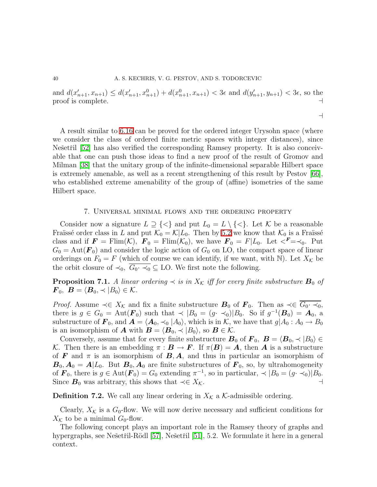and  $d(x'_{n+1}, x_{n+1}) \leq d(x'_{n+1}, x_{n+1}) + d(x_{n+1}^0, x_{n+1}) < 3\epsilon$  and  $d(y'_{n+1}, y_{n+1}) < 3\epsilon$ , so the proof is complete. ⊣

⊣

A result similar to [6.16](#page-36-0) can be proved for the ordered integer Urysohn space (where we consider the class of ordered finite metric spaces with integer distances), since Nešetřil [\[52\]](#page-71-0) has also verified the corresponding Ramsey property. It is also conceivable that one can push those ideas to find a new proof of the result of Gromov and Milman [\[38\]](#page-71-1) that the unitary group of the infinite-dimensional separable Hilbert space is extremely amenable, as well as a recent strengthening of this result by Pestov [\[66\]](#page-72-2), who established extreme amenability of the group of (affine) isometries of the same Hilbert space.

### 7. Universal minimal flows and the ordering property

Consider now a signature  $L \supseteq \{<\}$  and put  $L_0 = L \setminus \{<\}$ . Let K be a reasonable Fraïssé order class in L and put  $\mathcal{K}_0 = \mathcal{K}|L_0$ . Then by [5.2](#page-25-0) we know that  $\mathcal{K}_0$  is a Fraïssé class and if  $\mathbf{F} = \text{Flim}(\mathcal{K})$ ,  $\mathbf{F}_0 = \text{Flim}(\mathcal{K}_0)$ , we have  $\mathbf{F}_0 = F|L_0$ . Let  $\langle \mathbf{F} = \langle 0, \cdot \rangle$  Put  $G_0 = \text{Aut}(\mathbf{F}_0)$  and consider the logic action of  $G_0$  on LO, the compact space of linear orderings on  $F_0 = F$  (which of course we can identify, if we want, with N). Let  $X_K$  be the orbit closure of  $\prec_0$ ,  $\overline{G_0 \cdot \prec_0} \subseteq$  LO. We first note the following.

**Proposition 7.1.** A linear ordering  $\prec$  is in  $X_K$  iff for every finite substructure  $B_0$  of  $\boldsymbol{F}_0, \ \boldsymbol{B} = \langle \boldsymbol{B}_0, \prec |B_0\rangle \in \mathcal{K}.$ 

*Proof.* Assume  $\prec \in X_K$  and fix a finite substructure  $B_0$  of  $\mathbf{F}_0$ . Then as  $\prec \in \overline{G_0 \cdot \prec_0}$ , there is  $g \in G_0 = \text{Aut}(\mathbf{F}_0)$  such that  $\prec |B_0 = (g \prec_0)|B_0$ . So if  $g^{-1}(\mathbf{B}_0) = \mathbf{A}_0$ , a substructure of  $\mathbf{F}_0$ , and  $\mathbf{A} = \langle \mathbf{A}_0, \prec_0 |A_0\rangle$ , which is in K, we have that  $g|A_0 : A_0 \to B_0$ is an isomorphism of **A** with  $\mathbf{B} = \langle \mathbf{B}_0, \prec |B_0\rangle$ , so  $\mathbf{B} \in \mathcal{K}$ .

Conversely, assume that for every finite substructure  $B_0$  of  $\mathbf{F}_0$ ,  $B = \langle B_0, \prec |B_0 \rangle \in$ K. Then there is an embedding  $\pi : \mathbf{B} \to \mathbf{F}$ . If  $\pi(\mathbf{B}) = \mathbf{A}$ , then  $\mathbf{A}$  is a substructure of F and  $\pi$  is an isomorphism of  $B$ , A, and thus in particular an isomorphism of  $\mathbf{B}_0$ ,  $\mathbf{A}_0 = \mathbf{A}|L_0$ . But  $\mathbf{B}_0$ ,  $\mathbf{A}_0$  are finite substructures of  $\mathbf{F}_0$ , so, by ultrahomogeneity of  $\mathbf{F}_0$ , there is  $g \in \text{Aut}(\mathbf{F}_0) = G_0$  extending  $\pi^{-1}$ , so in particular,  $\prec |B_0 = (g \cdot \prec_0)|B_0$ . Since  $B_0$  was arbitrary, this shows that  $\prec \in X_K$ .

**Definition 7.2.** We call any linear ordering in  $X_K$  a K-admissible ordering.

Clearly,  $X_K$  is a  $G_0$ -flow. We will now derive necessary and sufficient conditions for  $X_K$  to be a minimal  $G_0$ -flow.

<span id="page-39-0"></span>The following concept plays an important role in the Ramsey theory of graphs and hypergraphs, see Nešetřil-Rödl [\[57\]](#page-71-2), Nešetřil [\[51\]](#page-71-3), 5.2. We formulate it here in a general context.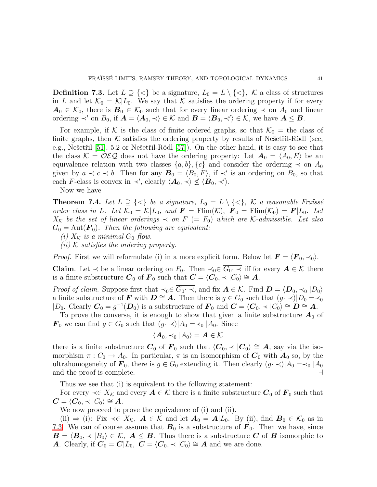**Definition 7.3.** Let  $L \supseteq {\langle} \{\langle\}$  be a signature,  $L_0 = L \setminus {\langle} \{\langle\} \rangle$ ,  $K$  a class of structures in L and let  $\mathcal{K}_0 = \mathcal{K}|L_0$ . We say that K satisfies the ordering property if for every  $A_0 \in \mathcal{K}_0$ , there is  $B_0 \in \mathcal{K}_0$  such that for every linear ordering  $\prec$  on  $A_0$  and linear ordering  $\prec'$  on  $B_0$ , if  $\mathbf{A} = \langle \mathbf{A}_0, \prec \rangle \in \mathcal{K}$  and  $\mathbf{B} = \langle \mathbf{B}_0, \prec' \rangle \in \mathcal{K}$ , we have  $\mathbf{A} \leq \mathbf{B}$ .

For example, if K is the class of finite ordered graphs, so that  $\mathcal{K}_0 =$  the class of finite graphs, then  $K$  satisfies the ordering property by results of Nešetřil-Rödl (see, e.g., Nešetřil  $[51]$ , 5.2 or Nešetřil-Rödl  $[57]$ ). On the other hand, it is easy to see that the class  $\mathcal{K} = \mathcal{OEQ}$  does not have the ordering property: Let  $\mathbf{A}_0 = \langle A_0, E \rangle$  be an equivalence relation with two classes  $\{a, b\}, \{c\}$  and consider the ordering  $\prec$  on  $A_0$ given by  $a \prec c \prec b$ . Then for any  $\mathcal{B}_0 = \langle B_0, F \rangle$ , if  $\prec'$  is an ordering on  $B_0$ , so that each F-class is convex in  $\prec'$ , clearly  $\langle A_0, \prec \rangle \nleq \langle B_0, \prec' \rangle$ .

Now we have

<span id="page-40-0"></span>**Theorem 7.4.** Let  $L \supseteq {\{\leq\}}$  be a signature,  $L_0 = L \setminus {\{\leq\}}$ , K a reasonable Fraüssé *order class in L. Let*  $\mathcal{K}_0 = \mathcal{K}|L_0$ *, and*  $\mathbf{F} = \text{Flim}(\mathcal{K})$ *,*  $\mathbf{F}_0 = \text{Flim}(\mathcal{K}_0) = \mathbf{F}|L_0$ *. Let*  $X_K$  be the set of linear orderings  $\prec$  on  $F$  (=  $F_0$ ) which are K-admissible. Let also  $G_0 = \text{Aut}(\mathbf{F}_0)$ . Then the following are equivalent:

- *(i)*  $X_K$  *is a minimal*  $G_0$ -flow.
- *(ii)* K *satisfies the ordering property.*

*Proof.* First we will reformulate (i) in a more explicit form. Below let  $\mathbf{F} = \langle \mathbf{F}_0, \prec_0 \rangle$ .

Claim. Let  $\prec$  be a linear ordering on  $F_0$ . Then  $\prec_0 \in \overline{G_0 \cdot \prec}$  iff for every  $A \in \mathcal{K}$  there is a finite substructure  $C_0$  of  $\mathbf{F}_0$  such that  $\mathbf{C} = \langle \mathbf{C}_0, \prec |C_0\rangle \cong \mathbf{A}$ .

*Proof of claim.* Suppose first that  $\prec_0 \in \overline{G_0 \cdot \prec}$ , and fix  $\mathbf{A} \in \mathcal{K}$ . Find  $\mathbf{D} = \langle \mathbf{D}_0, \prec_0 | D_0 \rangle$ a finite substructure of **F** with  $D \cong A$ . Then there is  $g \in G_0$  such that  $(g \cdot \prec)|D_0 = \prec_0$  $|D_0$ . Clearly  $\mathbf{C}_0 = g^{-1}(\mathbf{D}_0)$  is a substructure of  $\mathbf{F}_0$  and  $\mathbf{C} = \langle \mathbf{C}_0, \prec | C_0 \rangle \cong \mathbf{D} \cong \mathbf{A}$ .

To prove the converse, it is enough to show that given a finite substructure  $A_0$  of  $\mathbf{F}_0$  we can find  $g \in G_0$  such that  $(g \cdot \prec)|A_0 = \prec_0 |A_0|$ . Since

$$
\langle \mathbf{A}_0, \prec_0 | A_0 \rangle = \mathbf{A} \in \mathcal{K}
$$

there is a finite substructure  $C_0$  of  $F_0$  such that  $\langle C_0, \prec | C_0 \rangle \cong A$ , say via the isomorphism  $\pi: C_0 \to A_0$ . In particular,  $\pi$  is an isomorphism of  $C_0$  with  $A_0$  so, by the ultrahomogeneity of  $\mathbf{F}_0$ , there is  $g \in G_0$  extending it. Then clearly  $(g \cdot \prec)|A_0 = \prec_0 |A_0|$ <br>and the proof is complete. and the proof is complete.

Thus we see that (i) is equivalent to the following statement:

For every  $\prec \in X_{\mathcal{K}}$  and every  $A \in \mathcal{K}$  there is a finite substructure  $C_0$  of  $F_0$  such that  $\mathbf{C} = \langle \mathbf{C}_0, \prec | C_0 \rangle \cong \mathbf{A}.$ 

We now proceed to prove the equivalence of (i) and (ii).

(ii)  $\Rightarrow$  (i): Fix  $\prec \in X_K$ ,  $A \in \mathcal{K}$  and let  $A_0 = A | L_0$ . By (ii), find  $B_0 \in \mathcal{K}_0$  as in [7.3.](#page-39-0) We can of course assume that  $B_0$  is a substructure of  $\mathbf{F}_0$ . Then we have, since  $\mathbf{B} = \langle \mathbf{B}_0, \prec |B_0\rangle \in \mathcal{K}, \ \mathbf{A} \leq \mathbf{B}$ . Thus there is a substructure C of B isomorphic to A. Clearly, if  $C_0 = C|L_0, C = \langle C_0, \prec | C_0 \rangle \cong A$  and we are done.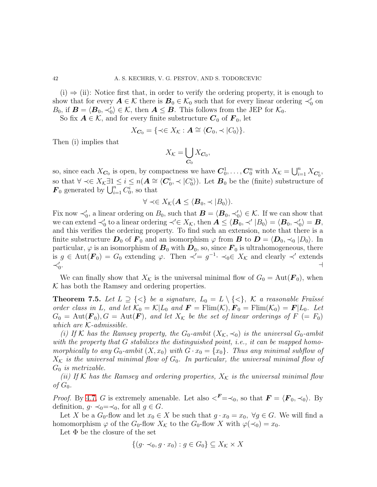$(i) \Rightarrow (ii)$ : Notice first that, in order to verify the ordering property, it is enough to show that for every  $A \in \mathcal{K}$  there is  $B_0 \in \mathcal{K}_0$  such that for every linear ordering  $\prec'_0$  on  $B_0$ , if  $\mathbf{B} = \langle \mathbf{B}_0, \prec'_0 \rangle \in \mathcal{K}$ , then  $\mathbf{A} \leq \mathbf{B}$ . This follows from the JEP for  $\mathcal{K}_0$ .

So fix  $A \in \mathcal{K}$ , and for every finite substructure  $C_0$  of  $F_0$ , let

$$
X_{\mathbf{C}_0} = \{ \prec \in X_{\mathcal{K}} : \mathbf{A} \cong \langle \mathbf{C}_0, \prec |C_0 \rangle \}.
$$

Then (i) implies that

$$
X_{\mathcal{K}}=\bigcup_{\mathbf{C}_0}X_{\mathbf{C}_0},
$$

so, since each  $X_{C_0}$  is open, by compactness we have  $C_0^1, \ldots, C_0^n$  with  $X_{\mathcal{K}} = \bigcup_{i=1}^n X_{C_0^i}$ , so that  $\forall \prec \in X_{\mathcal{K}}$  ∃1 ≤  $i \leq n(A \cong \langle C_0^i, \prec | C_0^i \rangle)$ . Let  $B_0$  be the (finite) substructure of  $\mathbf{F}_0$  generated by  $\bigcup_{i=1}^n C_0^i$ , so that

$$
\forall \prec \in X_{\mathcal{K}}(\mathbf{A} \leq \langle \mathbf{B}_0, \prec |B_0 \rangle).
$$

Fix now  $\prec_0'$ , a linear ordering on  $B_0$ , such that  $\mathbf{B} = \langle \mathbf{B}_0, \prec_0' \rangle \in \mathcal{K}$ . If we can show that we can extend  $\prec_0'$  to a linear ordering  $\prec' \in X_{\mathcal{K}}$ , then  $\mathbf{A} \leq \langle \mathbf{B}_0, \prec' | B_0 \rangle = \langle \mathbf{B}_0, \prec'_0 \rangle = \mathbf{B}$ , and this verifies the ordering property. To find such an extension, note that there is a finite substructure  $D_0$  of  $F_0$  and an isomorphism  $\varphi$  from  $B$  to  $D = \langle D_0, \prec_0 | D_0 \rangle$ . In particular,  $\varphi$  is an isomorphism of  $B_0$  with  $D_0$ , so, since  $F_0$  is ultrahomogeneous, there is  $g \in \text{Aut}(\mathbf{F}_0) = G_0$  extending  $\varphi$ . Then  $\prec' = g^{-1} \prec_0 \in X_{\mathcal{K}}$  and clearly  $\prec'$  extends  $\prec'_0$ . ⊣

<span id="page-41-0"></span>We can finally show that  $X_{\mathcal{K}}$  is the universal minimal flow of  $G_0 = \text{Aut}(\mathbf{F}_0)$ , when  $K$  has both the Ramsey and ordering properties.

**Theorem 7.5.** Let  $L \supseteq {\{\leq\}}$  be a signature,  $L_0 = L \setminus {\{\leq\}}$ , K a reasonable Fraüssé *order class in* L, and let  $\mathcal{K}_0 = \mathcal{K}|L_0$  and  $\mathbf{F} = \text{Flim}(\mathcal{K}), \mathbf{F}_0 = \text{Flim}(\mathcal{K}_0) = \mathbf{F}|L_0$ . Let  $G_0 = \text{Aut}(\mathbf{F}_0), G = \text{Aut}(\mathbf{F})$ , and let  $X_K$  be the set of linear orderings of  $F = F_0$ ) *which are* K*-admissible.*

*(i)* If K has the Ramsey property, the  $G_0$ -ambit  $(X_K, \prec_0)$  *is the universal*  $G_0$ -ambit *with the property that* G *stabilizes the distinguished point, i.e., it can be mapped homomorphically to any*  $G_0$ -ambit  $(X, x_0)$  *with*  $G \cdot x_0 = \{x_0\}$ . Thus any minimal subflow of  $X_K$  *is the universal minimal flow of*  $G_0$ *. In particular, the universal minimal flow of* G<sup>0</sup> *is metrizable.*

*(ii)* If K has the Ramsey and ordering properties,  $X_K$  is the universal minimal flow  $of G_0$ .

*Proof.* By [4.7,](#page-24-0) G is extremely amenable. Let also  $\langle F = \prec_0$ , so that  $F = \langle F_0, \prec_0 \rangle$ . By definition,  $g \cdot \prec_0 = \prec_0$ , for all  $g \in G$ .

Let X be a  $G_0$ -flow and let  $x_0 \in X$  be such that  $g \cdot x_0 = x_0$ ,  $\forall g \in G$ . We will find a homomorphism  $\varphi$  of the  $G_0$ -flow  $X_K$  to the  $G_0$ -flow X with  $\varphi(\prec_0) = x_0$ .

Let  $\Phi$  be the closure of the set

$$
\{(g \cdot \prec_0, g \cdot x_0) : g \in G_0\} \subseteq X_{\mathcal{K}} \times X
$$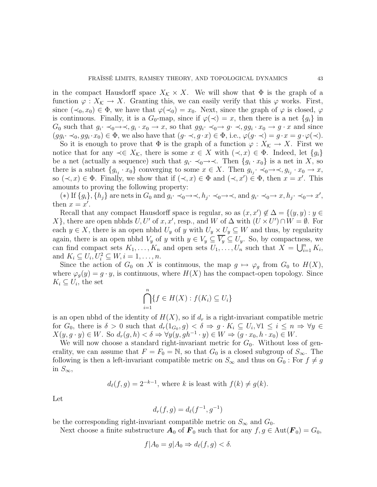in the compact Hausdorff space  $X_K \times X$ . We will show that  $\Phi$  is the graph of a function  $\varphi: X_{\mathcal{K}} \to X$ . Granting this, we can easily verify that this  $\varphi$  works. First, since  $({\prec}_0, x_0) \in \Phi$ , we have that  $\varphi({\prec}_0) = x_0$ . Next, since the graph of  $\varphi$  is closed,  $\varphi$ is continuous. Finally, it is a  $G_0$ -map, since if  $\varphi(\prec) = x$ , then there is a net  $\{g_i\}$  in  $G_0$  such that  $g_i \rightarrow \neg \neg \neg, g_i \cdot x_0 \rightarrow x$ , so that  $gg_i \rightarrow \neg g \cdot \neg, gg_i \cdot x_0 \rightarrow g \cdot x$  and since  $(gg_i \prec_0, gg_i \cdot x_0) \in \Phi$ , we also have that  $(g \prec g \cdot x) \in \Phi$ , i.e.,  $\varphi(g \cdot \prec) = g \cdot x = g \cdot \varphi(\prec)$ .

So it is enough to prove that  $\Phi$  is the graph of a function  $\varphi: X_{\mathcal{K}} \to X$ . First we notice that for any  $\prec \in X_{\mathcal{K}}$ , there is some  $x \in X$  with  $(\prec, x) \in \Phi$ . Indeed, let  $\{g_i\}$ be a net (actually a sequence) such that  $g_i \prec_0 \rightarrow \prec$ . Then  $\{g_i \cdot x_0\}$  is a net in X, so there is a subnet  $\{g_{i_j} \cdot x_0\}$  converging to some  $x \in X$ . Then  $g_{i_j} \cdot \neg \neg \neg \neg, g_{i_j} \cdot x_0 \rightarrow x$ , so  $(\prec, x) \in \Phi$ . Finally, we show that if  $(\prec, x) \in \Phi$  and  $(\prec, x') \in \Phi$ , then  $x = x'$ . This amounts to proving the following property:

(\*) If  $\{g_i\}$ ,  $\{h_j\}$  are nets in  $G_0$  and  $g_i \cdot \prec_0 \rightarrow \prec, h_j \cdot \prec_0 \rightarrow \prec,$  and  $g_i \cdot \prec_0 \rightarrow x, h_j \cdot \prec_0 \rightarrow x'$ , then  $x = x'$ .

Recall that any compact Hausdorff space is regular, so as  $(x, x') \notin \Delta = \{(y, y) : y \in \Delta\}$ X}, there are open nbhds  $U, U'$  of  $x, x'$ , resp., and  $W$  of  $\Delta$  with  $(U \times U') \cap W = \emptyset$ . For each  $y \in X$ , there is an open nbhd  $U_y$  of y with  $U_y \times U_y \subseteq W$  and thus, by regularity again, there is an open nbhd  $V_y$  of y with  $y \in V_y \subseteq V_y \subseteq U_y$ . So, by compactness, we can find compact sets  $K_1, \ldots, K_n$  and open sets  $U_1, \ldots, U_n$  such that  $X = \bigcup_{i=1}^n K_i$ , and  $K_i \subseteq U_i, U_i^2 \subseteq W, i = 1, \ldots, n$ .

Since the action of  $G_0$  on X is continuous, the map  $g \mapsto \varphi_g$  from  $G_0$  to  $H(X)$ , where  $\varphi_q(y) = g \cdot y$ , is continuous, where  $H(X)$  has the compact-open topology. Since  $K_i \subseteq U_i$ , the set

$$
\bigcap_{i=1}^{n} \{f \in H(X) : f(K_i) \subseteq U_i\}
$$

is an open nbhd of the identity of  $H(X)$ , so if  $d<sub>r</sub>$  is a right-invariant compatible metric for  $G_0$ , there is  $\delta > 0$  such that  $d_r(1_{G_0}, g) < \delta \Rightarrow g \cdot K_i \subseteq U_i, \forall 1 \leq i \leq n \Rightarrow \forall y \in \mathbb{R}$  $X(y, g \cdot y) \in W$ . So  $d_r(g, h) < \delta \Rightarrow \forall y (y, gh^{-1} \cdot y) \in W \Rightarrow (g \cdot x_0, h \cdot x_0) \in W$ .

We will now choose a standard right-invariant metric for  $G_0$ . Without loss of generality, we can assume that  $F = F_0 = \mathbb{N}$ , so that  $G_0$  is a closed subgroup of  $S_{\infty}$ . The following is then a left-invariant compatible metric on  $S_{\infty}$  and thus on  $G_0$ : For  $f \neq g$ in  $S_{\infty}$ ,

$$
d_{\ell}(f,g) = 2^{-k-1}
$$
, where k is least with  $f(k) \neq g(k)$ .

Let

$$
d_r(f,g) = d_{\ell}(f^{-1},g^{-1})
$$

be the corresponding right-invariant compatible metric on  $S_{\infty}$  and  $G_0$ .

Next choose a finite substructure  $A_0$  of  $\mathbf{F}_0$  such that for any  $f, g \in Aut(\mathbf{F}_0) = G_0$ ,

$$
f|A_0 = g|A_0 \Rightarrow d_{\ell}(f,g) < \delta.
$$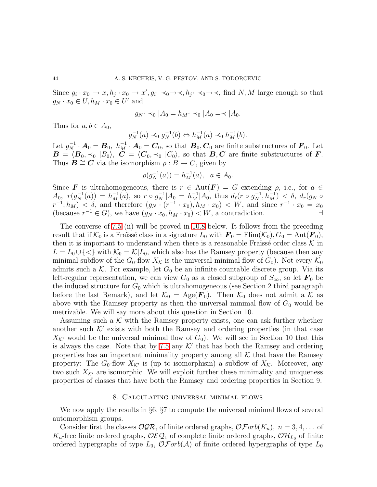Since  $g_i \cdot x_0 \to x, h_j \cdot x_0 \to x', g_i \cdot \prec_0 \to \prec, h_j \cdot \prec_0 \to \prec$ , find N, M large enough so that  $g_N \cdot x_0 \in U, h_M \cdot x_0 \in U'$  and

$$
g_N \cdot \prec_0 |A_0 = h_M \cdot \prec_0 |A_0 = \prec |A_0.
$$

Thus for  $a, b \in A_0$ ,

$$
g_N^{-1}(a) \prec_0 g_N^{-1}(b) \Leftrightarrow h_M^{-1}(a) \prec_0 h_M^{-1}(b).
$$

Let  $g_N^{-1} \cdot \mathbf{A}_0 = \mathbf{B}_0$ ,  $h_M^{-1} \cdot \mathbf{A}_0 = \mathbf{C}_0$ , so that  $\mathbf{B}_0, \mathbf{C}_0$  are finite substructures of  $\mathbf{F}_0$ . Let  $\bm{B} = \langle \bm{B}_0, \prec_0 |B_0\rangle, \ \bm{C} = \langle \bm{C}_0, \prec_0 |C_0\rangle, \text{ so that } \bm{B}, \bm{C} \text{ are finite substructures of } \bm{F}.$ Thus  $\mathbf{B} \cong \mathbf{C}$  via the isomorphism  $\rho : B \to C$ , given by

$$
\rho(g_N^{-1}(a)) = h_M^{-1}(a), \ \ a \in A_0.
$$

Since **F** is ultrahomogeneous, there is  $r \in Aut(F) = G$  extending  $\rho$ , i.e., for  $a \in$  $A_0, r(g_N^{-1}(a)) = h_M^{-1}(a), \text{ so } r \circ g_N^{-1}|A_0 = h_M^{-1}|A_0, \text{ thus } d_\ell(r \circ g_N^{-1}, h_M^{-1}) < \delta, d_r(g_N \circ g_N^{-1}, h_M^{-1})$  $(r^{-1}, h_M) < \delta$ , and therefore  $(g_N \cdot (r^{-1} \cdot x_0), h_M \cdot x_0) < W$ , and since  $r^{-1} \cdot x_0 = x_0$ (because  $r^{-1} \in G$ ), we have  $(g_N \cdot x_0, h_M \cdot x_0) < W$ , a contradiction.  $\dashv$ 

The converse of [7.5](#page-41-0) (ii) will be proved in [10.8](#page-59-0) below. It follows from the preceding result that if  $\mathcal{K}_0$  is a Fraüssé class in a signature  $L_0$  with  $\mathbf{F}_0 = \text{Flim}(\mathcal{K}_0), G_0 = \text{Aut}(\mathbf{F}_0)$ , then it is important to understand when there is a reasonable Fraüssé order class  $\mathcal K$  in  $L = L_0 \cup \{<\}$  with  $\mathcal{K}_0 = \mathcal{K}|L_0$ , which also has the Ramsey property (because then any minimal subflow of the  $G_0$ -flow  $X_K$  is the universal minimal flow of  $G_0$ ). Not every  $\mathcal{K}_0$ admits such a K. For example, let  $G_0$  be an infinite countable discrete group. Via its left-regular representation, we can view  $G_0$  as a closed subgroup of  $S_{\infty}$ , so let  $\mathbf{F}_0$  be the induced structure for  $G_0$  which is ultrahomogeneous (see Section 2 third paragraph before the last Remark), and let  $\mathcal{K}_0 = \text{Age}(\mathbf{F}_0)$ . Then  $\mathcal{K}_0$  does not admit a  $\mathcal{K}$  as above with the Ramsey property as then the universal minimal flow of  $G_0$  would be metrizable. We will say more about this question in Section 10.

Assuming such a  $K$  with the Ramsey property exists, one can ask further whether another such  $\mathcal{K}'$  exists with both the Ramsey and ordering properties (in that case  $X_{\mathcal{K}'}$  would be the universal minimal flow of  $G_0$ ). We will see in Section 10 that this is always the case. Note that by [7.5](#page-41-0) any  $K'$  that has both the Ramsey and ordering properties has an important minimality property among all  $K$  that have the Ramsey property: The  $G_0$ -flow  $X_{\mathcal{K}'}$  is (up to isomorphism) a subflow of  $X_{\mathcal{K}}$ . Moreover, any two such  $X_{\mathcal{K}'}$  are isomorphic. We will exploit further these minimality and uniqueness properties of classes that have both the Ramsey and ordering properties in Section 9.

#### 8. Calculating universal minimal flows

We now apply the results in §6, §7 to compute the universal minimal flows of several automorphism groups.

Consider first the classes  $OGR$ , of finite ordered graphs,  $\mathcal{OF}orb(K_n)$ ,  $n = 3, 4, \ldots$  of  $K_n$ -free finite ordered graphs,  $\mathcal{OEQ}_1$  of complete finite ordered graphs,  $\mathcal{OH}_{L_0}$  of finite ordered hypergraphs of type  $L_0$ ,  $\mathcal{O}$ Forb(A) of finite ordered hypergraphs of type  $L_0$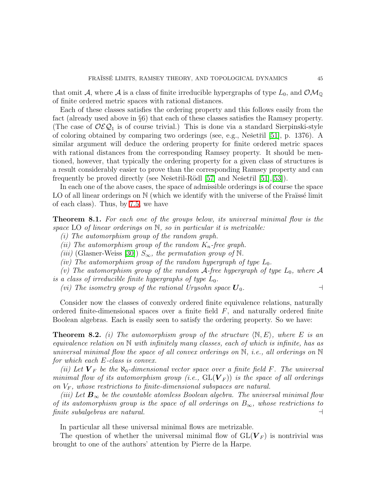that omit A, where A is a class of finite irreducible hypergraphs of type  $L_0$ , and  $\mathcal{OM}_{\mathbb{Q}}$ of finite ordered metric spaces with rational distances.

Each of these classes satisfies the ordering property and this follows easily from the fact (already used above in §6) that each of these classes satisfies the Ramsey property. (The case of  $\mathcal{OEQ}_1$  is of course trivial.) This is done via a standard Sierpinski-style of coloring obtained by comparing two orderings (see, e.g., Nešetřil [\[51\]](#page-71-3), p. 1376). A similar argument will deduce the ordering property for finite ordered metric spaces with rational distances from the corresponding Ramsey property. It should be mentioned, however, that typically the ordering property for a given class of structures is a result considerably easier to prove than the corresponding Ramsey property and can frequently be proved directly (see Nešetřil-Rödl  $[57]$  and Nešetřil  $[51]$ ,  $[53]$ ).

In each one of the above cases, the space of admissible orderings is of course the space LO of all linear orderings on  $\mathbb N$  (which we identify with the universe of the Fraüssé limit of each class). Thus, by [7.5,](#page-41-0) we have

<span id="page-44-0"></span>Theorem 8.1. *For each one of the groups below, its universal minimal flow is the space* LO *of linear orderings on* N*, so in particular it is metrizable:*

*(i) The automorphism group of the random graph.*

*(ii)* The automorphism group of the random  $K_n$ -free graph.

*(iii)* (Glasner-Weiss [\[30\]](#page-70-2))  $S_{\infty}$ , the permutation group of N.

*(iv)* The automorphism group of the random hypergraph of type  $L_0$ .

*(v)* The automorphism group of the random  $A$ -free hypergraph of type  $L_0$ , where  $A$ *is a class of irreducible finite hypergraphs of type*  $L_0$ .

*(vi)* The isometry group of the rational Urysohn space  $U_0$ .

Consider now the classes of convexly ordered finite equivalence relations, naturally ordered finite-dimensional spaces over a finite field  $F$ , and naturally ordered finite Boolean algebras. Each is easily seen to satisfy the ordering property. So we have:

**Theorem 8.2.** *(i)* The automorphism group of the structure  $\langle \mathbb{N}, E \rangle$ , where E is an *equivalence relation on* N *with infinitely many classes, each of which is infinite, has as universal minimal flow the space of all convex orderings on* N*, i.e., all orderings on* N *for which each* E*-class is convex.*

*(ii)* Let  $V_F$  be the  $\aleph_0$ -dimensional vector space over a finite field F. The universal *minimal flow of its automorphism group (i.e.,*  $GL(V_F)$ ) *is the space of all orderings on*  $V_F$ , whose restrictions to finite-dimensional subspaces are natural.

*(iii)* Let  $B_{\infty}$  be the countable atomless Boolean algebra. The universal minimal flow *of its automorphism group is the space of all orderings on* B∞*, whose restrictions to finite subalgebras are natural.* ⊣

In particular all these universal minimal flows are metrizable.

The question of whether the universal minimal flow of  $GL(V_F)$  is nontrivial was brought to one of the authors' attention by Pierre de la Harpe.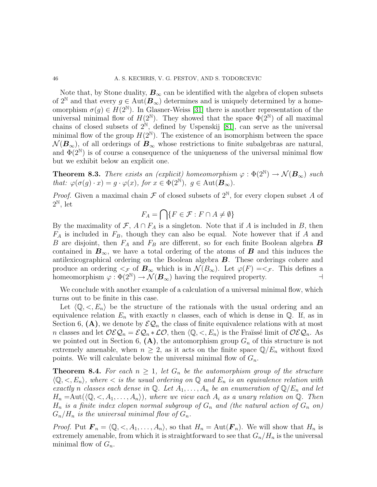Note that, by Stone duality,  $B_{\infty}$  can be identified with the algebra of clopen subsets of  $2^{\mathbb{N}}$  and that every  $g \in \text{Aut}(\mathbf{B}_{\infty})$  determines and is uniquely determined by a homeomorphism  $\sigma(g) \in H(2^{\mathbb{N}})$ . In Glasner-Weiss [\[31\]](#page-71-5) there is another representation of the universal minimal flow of  $H(2^{\mathbb{N}})$ . They showed that the space  $\Phi(2^{\mathbb{N}})$  of all maximal chains of closed subsets of  $2^{\mathbb{N}}$ , defined by Uspenskij [\[81\]](#page-72-3), can serve as the universal minimal flow of the group  $H(2^{\mathbb{N}})$ . The existence of an isomorphism between the space  $\mathcal{N}(\mathbf{B}_{\infty})$ , of all orderings of  $\mathbf{B}_{\infty}$  whose restrictions to finite subalgebras are natural, and  $\Phi(2^{\mathbb{N}})$  is of course a consequence of the uniqueness of the universal minimal flow but we exhibit below an explicit one.

**Theorem 8.3.** *There exists an (explicit) homeomorphism*  $\varphi : \Phi(2^{\mathbb{N}}) \to \mathcal{N}(\mathbf{B}_{\infty})$  *such that:*  $\varphi(\sigma(g) \cdot x) = g \cdot \varphi(x)$ , for  $x \in \Phi(2^{\mathbb{N}})$ ,  $g \in \text{Aut}(\mathcal{B}_{\infty})$ .

*Proof.* Given a maximal chain  $\mathcal F$  of closed subsets of  $2^{\mathbb N}$ , for every clopen subset A of  $2^{\mathbb{N}}, \text{ let }$ 

$$
F_A = \bigcap \{ F \in \mathcal{F} : F \cap A \neq \emptyset \}
$$

By the maximality of  $\mathcal{F}, A \cap F_A$  is a singleton. Note that if A is included in B, then  $F_A$  is included in  $F_B$ , though they can also be equal. Note however that if A and B are disjoint, then  $F_A$  and  $F_B$  are different, so for each finite Boolean algebra **B** contained in  $B_{\infty}$ , we have a total ordering of the atoms of B and this induces the antilexicographical ordering on the Boolean algebra B. These orderings cohere and produce an ordering  $\lt_{\mathcal{F}}$  of  $\mathbf{B}_{\infty}$  which is in  $\mathcal{N}(B_{\infty})$ . Let  $\varphi(F) = \lt_{\mathcal{F}}$ . This defines a homeomorphism  $\varphi : \Phi(2^{\mathbb{N}}) \to \mathcal{N}(\mathbf{B}_{\infty})$  having the required property. homeomorphism  $\varphi : \Phi(2^{\mathbb{N}}) \to \mathcal{N}(\mathcal{B}_{\infty})$  having the required property.

We conclude with another example of a calculation of a universal minimal flow, which turns out to be finite in this case.

Let  $\langle \mathbb{Q}, \langle E_n \rangle$  be the structure of the rationals with the usual ordering and an equivalence relation  $E_n$  with exactly n classes, each of which is dense in  $\mathbb{Q}$ . If, as in Section 6,  $(A)$ , we denote by  $\mathcal{EQ}_n$  the class of finite equivalence relations with at most n classes and let  $\mathcal{OEQ}_n = \mathcal{EQ}_n * \mathcal{LO}$ , then  $\langle \mathbb{Q}, \langle E_n \rangle$  is the Fraüssé limit of  $\mathcal{OEQ}_n$ . As we pointed out in Section 6,  $(A)$ , the automorphism group  $G_n$  of this structure is not extremely amenable, when  $n \geq 2$ , as it acts on the finite space  $\mathbb{Q}/E_n$  without fixed points. We will calculate below the universal minimal flow of  $G_n$ .

**Theorem 8.4.** For each  $n \geq 1$ , let  $G_n$  be the automorphism group of the structure  $\langle \mathbb{Q}, \langle E_n \rangle$ , where  $\langle E_n \rangle$  *is the usual ordering on*  $\mathbb{Q}$  *and*  $E_n$  *is an equivalence relation with exactly n classes each dense in*  $\mathbb{Q}$ *. Let*  $A_1, \ldots, A_n$  *be an enumeration of*  $\mathbb{Q}/E_n$  *and let*  $H_n = \text{Aut}(\langle \mathbb{Q}, \langle A_1, \ldots, A_n \rangle)$ , where we view each  $A_i$  as a unary relation on  $\mathbb{Q}$ . Then  $H_n$  *is a finite index clopen normal subgroup of*  $G_n$  *and (the natural action of*  $G_n$  *on)*  $G_n/H_n$  *is the universal minimal flow of*  $G_n$ .

*Proof.* Put  $\mathbf{F}_n = \langle \mathbb{Q}, \langle A_1, \ldots, A_n \rangle$ , so that  $H_n = \text{Aut}(\mathbf{F}_n)$ . We will show that  $H_n$  is extremely amenable, from which it is straightforward to see that  $G_n/H_n$  is the universal minimal flow of  $G_n$ .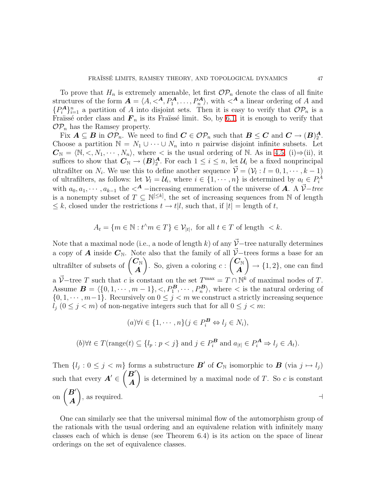To prove that  $H_n$  is extremely amenable, let first  $\mathcal{OP}_n$  denote the class of all finite structures of the form  $A = \langle A, \langle A, P_1^A, \dots, P_n^A \rangle$ , with  $\langle A \rangle$  a linear ordering of A and  ${P_A^A}_{i=1}^n$  a partition of A into disjoint sets. Then it is easy to verify that  $\mathcal{OP}_n$  is a Fraïssé order class and  $\mathbf{F}_n$  is its Fraïssé limit. So, by [6.1,](#page-27-0) it is enough to verify that  $\mathcal{OP}_n$  has the Ramsey property.

Fix  $A \subseteq B$  in  $\mathcal{OP}_n$ . We need to find  $C \in \mathcal{OP}_n$  such that  $B \leq C$  and  $C \to (B)_2^A$  $\frac{\boldsymbol{A}}{2}$ . Choose a partition  $\mathbb{N} = N_1 \cup \cdots \cup N_n$  into *n* pairwise disjoint infinite subsets. Let  $\mathbf{C}_{\mathbb{N}} = \langle \mathbb{N}, \langle X_1, \cdots, X_n \rangle$ , where  $\langle X \rangle$  is the usual ordering of N. As in [4.5,](#page-23-0) (i)⇒(ii), it suffices to show that  $\mathbf{C}_{\mathbb{N}} \to (\mathbf{B})_2^{\mathbf{A}}$  $\frac{A}{2}$ . For each  $1 \leq i \leq n$ , let  $\mathcal{U}_i$  be a fixed nonprincipal ultrafilter on  $N_i$ . We use this to define another sequence  $\vec{\mathcal{V}} = (\mathcal{V}_l : l = 0, 1, \dots, k-1)$ of ultrafilters, as follows: let  $V_l = U_i$ , where  $i \in \{1, \dots, n\}$  is determined by  $a_l \in P_i^A$ with  $a_0, a_1, \cdots, a_{k-1}$  the  $\lt^A$  −increasing enumeration of the universe of **A**. A  $\vec{\mathcal{V}}$ −tree is a nonempty subset of  $T \subseteq \mathbb{N}^{\leq k}$ , the set of increasing sequences from N of length  $\leq k$ , closed under the restrictions  $t \to t/l$ , such that, if  $|t| =$  length of t,

$$
A_t = \{ m \in \mathbb{N} : t^{\wedge} m \in T \} \in \mathcal{V}_{|t|}, \text{ for all } t \in T \text{ of length } < k.
$$

Note that a maximal node (i.e., a node of length k) of any  $\vec{V}$  – tree naturally determines a copy of A inside  $C_N$ . Note also that the family of all  $\vec{\mathcal{V}}$ −trees forms a base for an ultrafilter of subsets of  $\begin{pmatrix} C_{\mathbb{N}} \\ A \end{pmatrix}$ A  $\lambda$ . So, given a coloring  $c$ :  $\overline{\mathcal{C}}_{\mathbb{N}}$ A  $\setminus$  $\rightarrow$  {1, 2}, one can find a  $\vec{V}$ -tree T such that c is constant on the set  $T^{\max} = T \cap \mathbb{N}^k$  of maximal nodes of T. Assume  $\mathbf{B} = \langle \{0, 1, \cdots, m - 1\}, \langle P_1^{\mathbf{B}}, \cdots, P_n^{\mathbf{B}} \rangle$ , where  $\langle P_2^{\mathbf{B}}, \cdots, P_n^{\mathbf{B}} \rangle$  $\{0, 1, \dots, m-1\}$ . Recursively on  $0 \leq j < m$  we construct a strictly increasing sequence  $l_j$   $(0 \leq j < m)$  of non-negative integers such that for all  $0 \leq j < m$ :

$$
(a)\forall i \in \{1, \cdots, n\}(j \in P_i^{\mathbf{B}} \Leftrightarrow l_j \in N_i),
$$

$$
(b) \forall t \in T(\text{range}(t) \subseteq \{l_p : p < j\} \text{ and } j \in P_i^{\mathbf{B}} \text{ and } a_{|t|} \in P_i^{\mathbf{A}} \Rightarrow l_j \in A_t).
$$

Then  $\{l_j : 0 \leq j < m\}$  forms a substructure  $\mathbf{B}'$  of  $\mathbf{C}_{\mathbb{N}}$  isomorphic to  $\mathbf{B}$  (via  $j \mapsto l_j$ ) such that every  $\boldsymbol{A}' \in$  $(B^{\prime})$ A  $\lambda$ is determined by a maximal node of  $T$ . So  $c$  is constant on  $\begin{pmatrix} B' \\ A \end{pmatrix}$ A  $\lambda$ , as required.  $\Box$ 

One can similarly see that the universal minimal flow of the automorphism group of the rationals with the usual ordering and an equivalene relation with infinitely many classes each of which is dense (see Theorem 6.4) is its action on the space of linear orderings on the set of equivalence classes.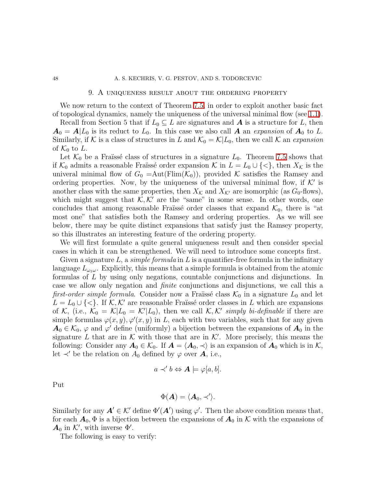### 48 A. S. KECHRIS, V. G. PESTOV, AND S. TODORCEVIC

## 9. A uniqueness result about the ordering property

We now return to the context of Theorem [7.5,](#page-41-0) in order to exploit another basic fact of topological dynamics, namely the uniqueness of the universal minimal flow (see [1.1\)](#page-9-0).

Recall from Section 5 that if  $L_0 \subseteq L$  are signatures and **A** is a structure for L, then  $A_0 = A | L_0$  is its reduct to  $L_0$ . In this case we also call A an *expansion* of  $A_0$  to L. Similarly, if K is a class of structures in L and  $\mathcal{K}_0 = \mathcal{K}|L_0$ , then we call K an *expansion* of  $\mathcal{K}_0$  to L.

Let  $\mathcal{K}_0$  be a Fraïssé class of structures in a signature  $L_0$ . Theorem [7.5](#page-41-0) shows that if  $\mathcal{K}_0$  admits a reasonable Fraïssé order expansion  $\mathcal{K}$  in  $L = L_0 \cup \{ \leq \}$ , then  $X_{\mathcal{K}}$  is the univeral minimal flow of  $G_0 = \text{Aut}(\text{Film}(\mathcal{K}_0))$ , provided K satisfies the Ramsey and ordering properties. Now, by the uniqueness of the universal minimal flow, if  $K'$  is another class with the same properties, then  $X_{\mathcal{K}}$  and  $X_{\mathcal{K}'}$  are isomorphic (as  $G_0$ -flows), which might suggest that  $K, K'$  are the "same" in some sense. In other words, one concludes that among reasonable Fraïssé order classes that expand  $\mathcal{K}_0$ , there is "at most one" that satisfies both the Ramsey and ordering properties. As we will see below, there may be quite distinct expansions that satisfy just the Ramsey property, so this illustrates an interesting feature of the ordering property.

We will first formulate a quite general uniqueness result and then consider special cases in which it can be strengthened. We will need to introduce some concepts first.

Given a signature  $L$ , a *simple formula* in  $L$  is a quantifier-free formula in the infinitary language  $L_{\omega_1\omega}$ . Explicitly, this means that a simple formula is obtained from the atomic formulas of L by using only negations, countable conjunctions and disjunctions. In case we allow only negation and *finite* conjunctions and disjunctions, we call this a *first-order simple formula*. Consider now a Fraüssé class  $\mathcal{K}_0$  in a signature  $L_0$  and let  $L = L_0 \cup \{<\}\.$  If  $K, K'$  are reasonable Fraïssé order classes in L which are expansions of K, (i.e.,  $\mathcal{K}_0 = \mathcal{K}|L_0 = \mathcal{K}'|L_0$ ), then we call  $\mathcal{K}, \mathcal{K}'$  simply bi-definable if there are simple formulas  $\varphi(x, y), \varphi'(x, y)$  in L, each with two variables, such that for any given  $A_0 \in \mathcal{K}_0$ ,  $\varphi$  and  $\varphi'$  define (uniformly) a bijection between the expansions of  $A_0$  in the signature L that are in K with those that are in K'. More precisely, this means the following: Consider any  $A_0 \in \mathcal{K}_0$ . If  $A = \langle A_0, \prec \rangle$  is an expansion of  $A_0$  which is in K, let  $\prec'$  be the relation on  $A_0$  defined by  $\varphi$  over **A**, i.e.,

$$
a \prec' b \Leftrightarrow A \models \varphi[a, b].
$$

Put

$$
\Phi(\boldsymbol{A})=\langle \boldsymbol{A}_0, \prec'\rangle.
$$

Similarly for any  $A' \in \mathcal{K}'$  define  $\Phi'(A')$  using  $\varphi'$ . Then the above condition means that, for each  $A_0$ ,  $\Phi$  is a bijection between the expansions of  $A_0$  in K with the expansions of  $\mathbf{A}_0$  in  $\mathcal{K}'$ , with inverse  $\Phi'$ .

The following is easy to verify: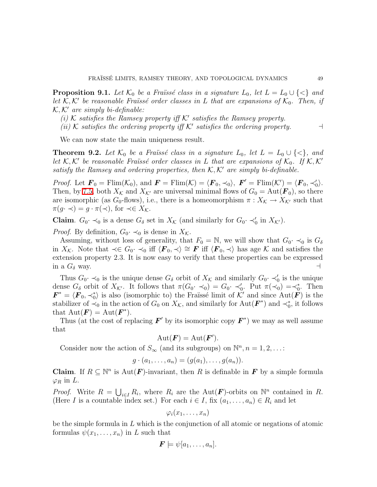**Proposition 9.1.** Let  $\mathcal{K}_0$  be a Fraïssé class in a signature  $L_0$ , let  $L = L_0 \cup \{ \leq \}$  and *let*  $K, K'$  be reasonable Fraüssé order classes in L that are expansions of  $K_0$ . Then, if K, K′ *are simply bi-definable:*

*(i)* K *satisfies the Ramsey property iff* K′ *satisfies the Ramsey property.*

*(ii)*  $K$  *satisfies the ordering property iff*  $K'$  *satisfies the ordering property.*  $\rightarrow$ 

We can now state the main uniqueness result.

<span id="page-48-0"></span>**Theorem 9.2.** Let  $\mathcal{K}_0$  be a Fraüssé class in a signature  $L_0$ , let  $L = L_0 \cup \{<\}$ , and *let*  $K, K'$  be reasonable Fraüssé order classes in L that are expansions of  $K_0$ . If  $K, K'$ *satisfy the Ramsey and ordering properties, then* K, K′ *are simply bi-definable.*

*Proof.* Let  $\mathbf{F}_0 = \text{Elim}(\mathcal{K}_0)$ , and  $\mathbf{F} = \text{Elim}(\mathcal{K}) = \langle \mathbf{F}_0, \prec_0 \rangle$ ,  $\mathbf{F}' = \text{Elim}(\mathcal{K}') = \langle \mathbf{F}_0, \prec'_0 \rangle$ . Then, by [7.5,](#page-41-0) both  $X_K$  and  $X_{K'}$  are universal minimal flows of  $G_0 = \text{Aut}(\mathbf{F}_0)$ , so there are isomorphic (as  $G_0$ -flows), i.e., there is a homeomorphism  $\pi : X_{\mathcal{K}} \to X_{\mathcal{K}'}$  such that  $\pi(g \cdot \prec) = g \cdot \pi(\prec)$ , for  $\prec \in X_{\mathcal{K}}$ .

**Claim.**  $G_0 \cdot \prec_0$  is a dense  $G_\delta$  set in  $X_\mathcal{K}$  (and similarly for  $G_0 \cdot \prec_0'$  in  $X_{\mathcal{K}'}$ ).

*Proof.* By definition,  $G_0 \cdot \prec_0$  is dense in  $X_{\mathcal{K}}$ .

Assuming, without loss of generality, that  $F_0 = \mathbb{N}$ , we will show that  $G_0 \cdot \prec_0$  is  $G_\delta$ in  $X_{\mathcal{K}}$ . Note that  $\prec \in G_0$ .  $\prec_0$  iff  $\langle \mathbf{F}_0, \prec \rangle \cong \mathbf{F}$  iff  $\langle \mathbf{F}_0, \prec \rangle$  has age K and satisfies the extension property 2.3. It is now easy to verify that these properties can be expressed in a  $G_{\delta}$  way.  $\rightarrow$ 

Thus  $G_0 \prec_0$  is the unique dense  $G_\delta$  orbit of  $X_\mathcal{K}$  and similarly  $G_0 \prec_0'$  is the unique dense  $G_{\delta}$  orbit of  $X_{\mathcal{K}'}$ . It follows that  $\pi(G_0 \cdot \prec_0) = G_0 \cdot \prec_0'$ . Put  $\pi(\prec_0) = \prec_0^*$ . Then  $\mathbf{F}^* = \langle \mathbf{F}_0, \prec_0^* \rangle$  is also (isomorphic to) the Fraüssé limit of K' and since Aut $(\mathbf{F})$  is the stabilizer of  $\prec_0$  in the action of  $G_0$  on  $X_{\mathcal{K}}$ , and similarly for  $Aut(\mathbf{F}^*)$  and  $\prec_0^*$ , it follows that  $\mathrm{Aut}(\mathbf{F}) = \mathrm{Aut}(\mathbf{F}^*)$ .

Thus (at the cost of replacing  $\boldsymbol{F}'$  by its isomorphic copy  $\boldsymbol{F}^*$ ) we may as well assume that

$$
Aut(\boldsymbol{F}) = Aut(\boldsymbol{F}').
$$

Consider now the action of  $S_{\infty}$  (and its subgroups) on  $\mathbb{N}^n, n = 1, 2, \ldots$ :

$$
g\cdot (a_1,\ldots,a_n)=(g(a_1),\ldots,g(a_n)).
$$

**Claim.** If  $R \subseteq \mathbb{N}^n$  is  $Aut(F)$ -invariant, then R is definable in **F** by a simple formula  $\varphi_R$  in L.

*Proof.* Write  $R = \bigcup_{i \in I} R_i$ , where  $R_i$  are the Aut(**F**)-orbits on  $\mathbb{N}^n$  contained in R. (Here I is a countable index set.) For each  $i \in I$ , fix  $(a_1, \ldots, a_n) \in R_i$  and let

$$
\varphi_i(x_1,\ldots,x_n)
$$

be the simple formula in  $L$  which is the conjunction of all atomic or negations of atomic formulas  $\psi(x_1, \ldots, x_n)$  in L such that

$$
\boldsymbol{F} \models \psi[a_1,\ldots,a_n].
$$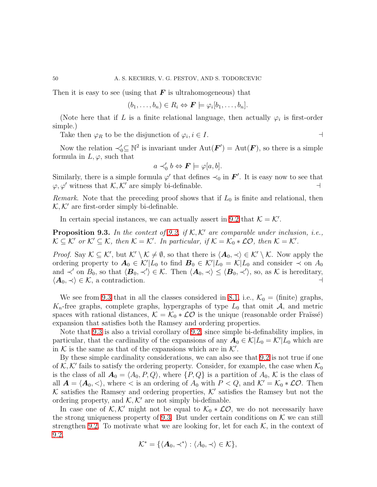Then it is easy to see (using that  $\bm{F}$  is ultrahomogeneous) that

$$
(b_1,\ldots,b_n)\in R_i \Leftrightarrow \boldsymbol{F} \models \varphi_i[b_1,\ldots,b_n].
$$

(Note here that if L is a finite relational language, then actually  $\varphi_i$  is first-order simple.)

Take then  $\varphi_R$  to be the disjunction of  $\varphi_i, i \in I$ .

Now the relation  $\prec_0' \subseteq \mathbb{N}^2$  is invariant under  $\mathrm{Aut}(\mathbf{F}') = \mathrm{Aut}(\mathbf{F})$ , so there is a simple formula in  $L, \varphi$ , such that

$$
a \prec_0' b \Leftrightarrow \mathbf{F} \models \varphi[a, b].
$$

Similarly, there is a simple formula  $\varphi'$  that defines  $\prec_0$  in  $\mathbf{F}'$ . It is easy now to see that  $\varphi, \varphi'$  witness that  $\mathcal{K}, \mathcal{K}'$  are simply bi-definable.  $\Box$ 

*Remark*. Note that the preceding proof shows that if  $L_0$  is finite and relational, then  $K, K'$  are first-order simply bi-definable.

In certain special instances, we can actually assert in [9.2](#page-48-0) that  $K = \mathcal{K}'$ .

<span id="page-49-0"></span>Proposition 9.3. *In the context of [9.2,](#page-48-0) if* K, K′ *are comparable under inclusion, i.e.,*  $\mathcal{K} \subseteq \mathcal{K}'$  or  $\mathcal{K}' \subseteq \mathcal{K}$ , then  $\mathcal{K} = \mathcal{K}'$ . In particular, if  $\mathcal{K} = \mathcal{K}_0 * \mathcal{L}O$ , then  $\mathcal{K} = \mathcal{K}'$ .

*Proof.* Say  $\mathcal{K} \subseteq \mathcal{K}'$ , but  $\mathcal{K}' \setminus \mathcal{K} \neq \emptyset$ , so that there is  $\langle A_0, \prec \rangle \in \mathcal{K}' \setminus \mathcal{K}$ . Now apply the ordering property to  $A_0 \in \mathcal{K}'|L_0$  to find  $B_0 \in \mathcal{K}'|L_0 = \mathcal{K}|L_0$  and consider  $\prec$  on  $A_0$ and  $\prec'$  on  $B_0$ , so that  $\langle \mathbf{B}_0, \prec' \rangle \in \mathcal{K}$ . Then  $\langle \mathbf{A}_0, \prec \rangle \leq \langle \mathbf{B}_0, \prec' \rangle$ , so, as K is hereditary,  $\langle A_0, \prec \rangle \in \mathcal{K}$ , a contradiction.  $\rightarrow$ 

We see from [9.3](#page-49-0) that in all the classes considered in [8.1,](#page-44-0) i.e.,  $\mathcal{K}_0 =$  (finite) graphs,  $K_n$ -free graphs, complete graphs, hypergraphs of type  $L_0$  that omit A, and metric spaces with rational distances,  $\mathcal{K} = \mathcal{K}_0 * \mathcal{L}O$  is the unique (reasonable order Fraüssé) expansion that satisfies both the Ramsey and ordering properties.

Note that [9.3](#page-49-0) is also a trivial corollary of [9.2,](#page-48-0) since simple bi-definability implies, in particular, that the cardinality of the expansions of any  $A_0 \in \mathcal{K}|L_0 = \mathcal{K}'|L_0$  which are in K is the same as that of the expansions which are in  $K'$ .

By these simple cardinality considerations, we can also see that [9.2](#page-48-0) is not true if one of K, K' fails to satisfy the ordering property. Consider, for example, the case when  $\mathcal{K}_0$ is the class of all  $A_0 = \langle A_0, P, Q \rangle$ , where  $\{P, Q\}$  is a partition of  $A_0, \mathcal{K}$  is the class of all  $A = \langle A_0, \langle \rangle$ , where  $\langle \rangle$  is an ordering of  $A_0$  with  $P \langle Q \rangle$ , and  $\mathcal{K}' = \mathcal{K}_0 * \mathcal{LO}$ . Then  $K$  satisfies the Ramsey and ordering properties,  $K'$  satisfies the Ramsey but not the ordering property, and  $K, K'$  are not simply bi-definable.

In case one of K, K' might not be equal to  $\mathcal{K}_0 * \mathcal{LO}$ , we do not necessarily have the strong uniqueness property of [9.3.](#page-49-0) But under certain conditions on  $K$  we can still strengthen [9.2.](#page-48-0) To motivate what we are looking for, let for each  $K$ , in the context of [9.2,](#page-48-0)

$$
\mathcal{K}^* = \{ \langle \mathbf{A}_0, \prec^* \rangle : \langle A_0, \prec \rangle \in \mathcal{K} \},\
$$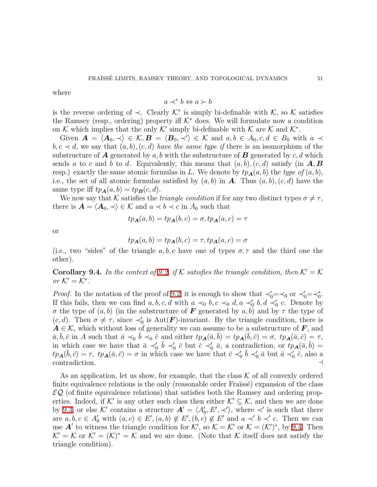where

$$
a \prec^* b \Leftrightarrow a \succ b
$$

is the reverse ordering of  $\prec$ . Clearly  $\mathcal{K}^*$  is simply bi-definable with  $\mathcal{K}$ , so  $\mathcal{K}$  satisfies the Ramsey (resp., ordering) property iff  $K^*$  does. We will formulate now a condition on K which implies that the only K' simply bi-definable with K are K and  $\mathcal{K}^*$ .

Given  $\mathbf{A} = \langle \mathbf{A}_0, \prec \rangle \in \mathcal{K}, \mathbf{B} = \langle \mathbf{B}_0, \prec' \rangle \in \mathcal{K}$  and  $a, b \in A_0, c, d \in B_0$  with  $a \prec$  $b, c \prec d$ , we say that  $(a, b), (c, d)$  *have the same type if* there is an isomorphism of the substructure of **A** generated by a, b with the substructure of **B** generated by c, d which sends a to c and b to d. Equivalently, this means that  $(a, b), (c, d)$  satisfy (in  $A, B$ resp.) exactly the same atomic formulas in L. We denote by  $tp_{\mathbf{A}}(a, b)$  the *type* of  $(a, b)$ , i.e., the set of all atomic formulas satisfied by  $(a, b)$  in  $\mathbf{A}$ . Thus  $(a, b)$ ,  $(c, d)$  have the same type iff  $tp_{\mathbf{A}}(a, b) = tp_{\mathbf{B}}(c, d)$ .

We now say that K satisfies the *triangle condition* if for any two distinct types  $\sigma \neq \tau$ , there is  $\mathbf{A} = \langle \mathbf{A}_0, \prec \rangle \in \mathcal{K}$  and  $a \prec b \prec c$  in  $A_0$  such that

$$
tp_{\mathbf{A}}(a,b) = tp_{\mathbf{A}}(b,c) = \sigma, tp_{\mathbf{A}}(a,c) = \tau
$$

or

$$
tp_{\mathbf{A}}(a,b) = tp_{\mathbf{A}}(b,c) = \tau, tp_{\mathbf{A}}(a,c) = \sigma
$$

<span id="page-50-0"></span>(i.e., two "sides" of the triangle a, b, c have one of types  $\sigma, \tau$  and the third one the other).

**Corollary 9.4.** In the context of [9.2,](#page-48-0) if K satisfies the triangle condition, then  $K' = K$ *or*  $K' = K^*$ .

*Proof.* In the notation of the proof of [9.2,](#page-48-0) it is enough to show that  $\prec'_0 = \prec_0$  or  $\prec'_0 = \prec_0^*$ . If this fails, then we can find  $a, b, c, d$  with  $a \prec_0 b, c \prec_0 d, a \prec_0' b, d \prec_0' c$ . Denote by σ the type of  $(a, b)$  (in the substructure of **F** generated by  $a, b$ ) and by  $\tau$  the type of  $(c, d)$ . Then  $\sigma \neq \tau$ , since  $\prec'_{0}$  is Aut(**F**)-invariant. By the triangle condition, there is  $A \in \mathcal{K}$ , which without loss of generality we can assume to be a substructure of  $\mathbf{F}$ , and  $\bar{a}, \bar{b}, \bar{c}$  in A such that  $\bar{a} \prec_0 \bar{b} \prec_0 \bar{c}$  and either  $tp_{\mathbf{A}}(\bar{a}, \bar{b}) = tp_{\mathbf{A}}(\bar{b}, \bar{c}) = \sigma$ ,  $tp_{\mathbf{A}}(\bar{a}, \bar{c}) = \tau$ , in which case we have that  $\bar{a} \prec_0' \bar{b} \prec_0' \bar{c}$  but  $\bar{c} \prec_0' \bar{a}$ , a contradiction, or  $tp_{\mathbf{A}}(\bar{a}, \bar{b}) =$  $tp_{\mathbf{A}}(\bar{b}, \bar{c}) = \tau$ ,  $tp_{\mathbf{A}}(\bar{a}, \bar{c}) = \sigma$  in which case we have that  $\bar{c} \prec_0' \bar{b} \prec_0' \bar{a}$  but  $\bar{a} \prec_0' \bar{c}$ , also a contradiction. ⊣

As an application, let us show, for example, that the class  $K$  of all convexly ordered finite equivalence relations is the only (reasonable order Fraïssé) expansion of the class  $\mathcal{EQ}$  (of finite equivalence relations) that satisfies both the Ramsey and ordering properties. Indeed, if K' is any other such class then either  $\mathcal{K}' \subseteq \mathcal{K}$ , and then we are done by [9.3,](#page-49-0) or else K' contains a structure  $A' = \langle A'_0, E', \prec' \rangle$ , where  $\prec'$  is such that there are  $a, b, c \in A'_0$  with  $(a, c) \in E', (a, b) \notin E', (b, c) \notin E'$  and  $a \prec' b \prec' c$ . Then we can use **A'** to witness the triangle condition for  $K'$ , so  $K = K'$  or  $K = (K')^*$ , by [9.4.](#page-50-0) Then  $\mathcal{K}' = \mathcal{K}$  or  $\mathcal{K}' = (\mathcal{K})^* = \mathcal{K}$  and we are done. (Note that  $\mathcal{K}$  itself does not satisfy the triangle condition).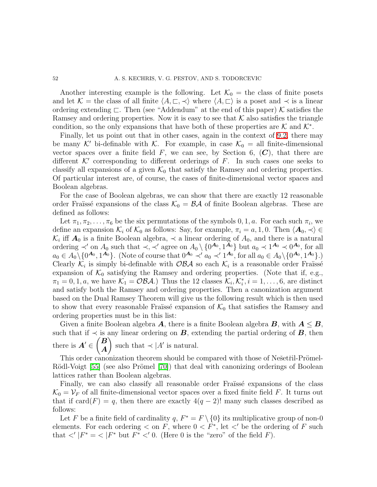Another interesting example is the following. Let  $\mathcal{K}_0 =$  the class of finite posets and let K = the class of all finite  $\langle A, \sqsubset, \prec \rangle$  where  $\langle A, \sqsubset \rangle$  is a poset and  $\prec$  is a linear ordering extending  $\Box$ . Then (see "Addendum" at the end of this paper) K satisfies the Ramsey and ordering properties. Now it is easy to see that  $K$  also satisfies the triangle condition, so the only expansions that have both of these properties are K and  $\mathcal{K}^*$ .

Finally, let us point out that in other cases, again in the context of [9.2,](#page-48-0) there may be many K' bi-definable with K. For example, in case  $\mathcal{K}_0 =$  all finite-dimensional vector spaces over a finite field  $F$ , we can see, by Section 6,  $(C)$ , that there are different  $K'$  corresponding to different orderings of  $F$ . In such cases one seeks to classify all expansions of a given  $\mathcal{K}_0$  that satisfy the Ramsey and ordering properties. Of particular interest are, of course, the cases of finite-dimensional vector spaces and Boolean algebras.

For the case of Boolean algebras, we can show that there are exactly 12 reasonable order Fraïssé expansions of the class  $\mathcal{K}_0 = \mathcal{B} \mathcal{A}$  of finite Boolean algebras. These are defined as follows:

Let  $\pi_1, \pi_2, \ldots, \pi_6$  be the six permutations of the symbols 0, 1, a. For each such  $\pi_i$ , we define an expansion  $\mathcal{K}_i$  of  $\mathcal{K}_0$  as follows: Say, for example,  $\pi_i = a, 1, 0$ . Then  $\langle A_0, \prec \rangle \in$  $\mathcal{K}_i$  iff  $\mathbf{A}_0$  is a finite Boolean algebra,  $\prec$  a linear ordering of  $A_0$ , and there is a natural ordering  $\prec'$  on  $A_0$  such that  $\prec, \prec'$  agree on  $A_0 \setminus \{0^{A_0}, 1^{A_0}\}\$  but  $a_0 \prec 1^{A_0} \prec 0^{A_0}$ , for all  $a_0 \in A_0 \setminus \{0^{A_0}, 1^{A_0}\}.$  (Note of course that  $0^{A_0} \prec' a_0 \prec' 1^{A_0}$ , for all  $a_0 \in A_0 \setminus \{0^{A_0}, 1^{A_0}\}.$ ) Clearly  $\mathcal{K}_i$  is simply bi-definable with  $\mathcal{OBA}$  so each  $\mathcal{K}_i$  is a reasonable order Fraüssé expansion of  $\mathcal{K}_0$  satisfying the Ramsey and ordering properties. (Note that if, e.g.,  $\pi_1 = 0, 1, a$ , we have  $\mathcal{K}_1 = \mathcal{OBA}$ . Thus the 12 classes  $\mathcal{K}_i, \mathcal{K}_i^*, i = 1, \ldots, 6$ , are distinct and satisfy both the Ramsey and ordering properties. Then a canonization argument based on the Dual Ramsey Theorem will give us the following result which is then used to show that every reasonable Fraïssé expansion of  $\mathcal{K}_0$  that satisfies the Ramsey and ordering properties must be in this list:

Given a finite Boolean algebra  $A$ , there is a finite Boolean algebra  $B$ , with  $A \leq B$ , such that if  $\prec$  is any linear ordering on **B**, extending the partial ordering of **B**, then there is  $A' \in$  $\overline{B}$ A  $\setminus$ such that  $\prec |A'$  is natural.

This order canonization theorem should be compared with those of Nešetřil-Prömel-Rödl-Voigt [\[55\]](#page-71-6) (see also Prömel [\[70\]](#page-72-4)) that deal with canonizing orderings of Boolean lattices rather than Boolean algebras.

Finally, we can also classify all reasonable order Fraüssé expansions of the class  $\mathcal{K}_0 = \mathcal{V}_F$  of all finite-dimensional vector spaces over a fixed finite field F. It turns out that if  $card(F) = q$ , then there are exactly  $4(q - 2)!$  many such classes described as follows:

Let F be a finite field of cardinality q,  $F^* = F \setminus \{0\}$  its multiplicative group of non-0 elements. For each ordering  $\lt$  on F, where  $0 \lt F^*$ , let  $\lt'$  be the ordering of F such that  $\langle |F^* \rangle = \langle |F^* \rangle$  but  $F^* \langle 0 \rangle$ . (Here 0 is the "zero" of the field F).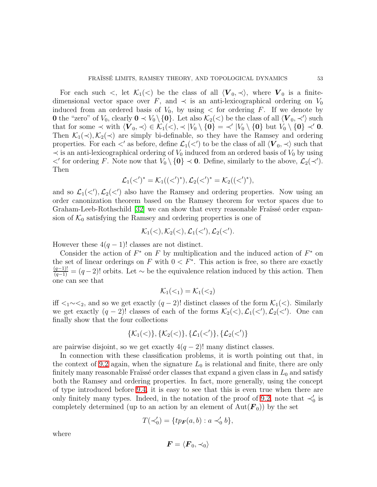For each such  $\lt$ , let  $\mathcal{K}_1(\lt)$  be the class of all  $\langle V_0, \prec \rangle$ , where  $V_0$  is a finitedimensional vector space over F, and  $\prec$  is an anti-lexicographical ordering on  $V_0$ induced from an ordered basis of  $V_0$ , by using  $\lt$  for ordering F. If we denote by 0 the "zero" of  $V_0$ , clearly  $0 \prec V_0 \setminus \{0\}$ . Let also  $\mathcal{K}_2(\le)$  be the class of all  $\langle V_0, \prec' \rangle$  such that for some  $\prec$  with  $\langle V_0, \prec \rangle \in \mathcal{K}_1(\prec), \prec |V_0 \setminus \{0\} = \prec' |V_0 \setminus \{0\}$  but  $V_0 \setminus \{0\} \prec' 0$ . Then  $\mathcal{K}_1(\prec), \mathcal{K}_2(\prec)$  are simply bi-definable, so they have the Ramsey and ordering properties. For each  $\lt'$  as before, define  $\mathcal{L}_1(\lt')$  to be the class of all  $\langle V_0, \prec \rangle$  such that  $\prec$  is an anti-lexicographical ordering of  $V_0$  induced from an ordered basis of  $V_0$  by using  $\lt'$  for ordering F. Note now that  $V_0 \setminus \{0\} \lt 0$ . Define, similarly to the above,  $\mathcal{L}_2(\lt'')$ . Then

$$
\mathcal{L}_1(<')^* = \mathcal{K}_1((<')^*), \mathcal{L}_2(<')^* = \mathcal{K}_2((<')^*),
$$

and so  $\mathcal{L}_1(\langle\ \rangle,\mathcal{L}_2(\langle\ \rangle)$  also have the Ramsey and ordering properties. Now using an order canonization theorem based on the Ramsey theorem for vector spaces due to Graham-Leeb-Rothschild  $[32]$  we can show that every reasonable Fraissé order expansion of  $\mathcal{K}_0$  satisfying the Ramsey and ordering properties is one of

$$
\mathcal{K}_1(<), \mathcal{K}_2(<), \mathcal{L}_1(<'), \mathcal{L}_2(<').
$$

However these  $4(q-1)!$  classes are not distinct.

Consider the action of  $F^*$  on F by multiplication and the induced action of  $F^*$  on the set of linear orderings on F with  $0 < F^*$ . This action is free, so there are exactly  $\frac{(q-1)!}{(q-1)!} = (q-2)!$  orbits. Let  $\sim$  be the equivalence relation induced by this action. Then one can see that

$$
\mathcal{K}_1(\langle \cdot_1 \rangle = \mathcal{K}_1(\langle \cdot_2 \rangle
$$

iff  $\langle 1/\langle 2 \rangle$  and so we get exactly  $(q-2)!$  distinct classes of the form  $\mathcal{K}_1(\langle \rangle)$ . Similarly we get exactly  $(q-2)!$  classes of each of the forms  $\mathcal{K}_2(\langle), \mathcal{L}_1(\langle'), \mathcal{L}_2(\langle'), \text{ One can}$ finally show that the four collections

$$
\{\mathcal{K}_1(<)\},\{\mathcal{K}_2(<)\},\{\mathcal{L}_1(<')\},\{\mathcal{L}_2(<')\}
$$

are pairwise disjoint, so we get exactly  $4(q-2)!$  many distinct classes.

In connection with these classification problems, it is worth pointing out that, in the context of [9.2](#page-48-0) again, when the signature  $L_0$  is relational and finite, there are only finitely many reasonable Fraïssé order classes that expand a given class in  $L_0$  and satisfy both the Ramsey and ordering properties. In fact, more generally, using the concept of type introduced before [9.4,](#page-50-0) it is easy to see that this is even true when there are only finitely many types. Indeed, in the notation of the proof of [9.2,](#page-48-0) note that  $\prec'_0$  is completely determined (up to an action by an element of  $Aut(\mathbf{F}_0)$ ) by the set

$$
T(\prec_0') = \{tp_F(a, b) : a \prec_0' b\},\
$$

where

$$
\boldsymbol{F} = \langle \boldsymbol{F}_0, \prec_0 \rangle
$$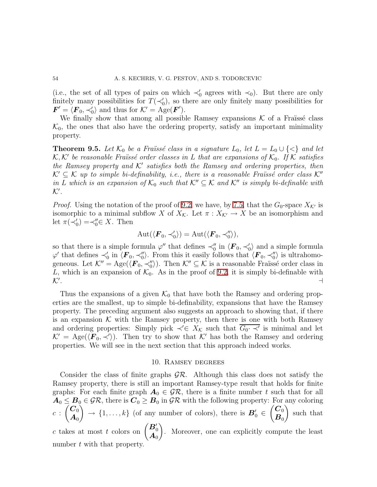(i.e., the set of all types of pairs on which  $\prec'_0$  agrees with  $\prec_0$ ). But there are only finitely many possibilities for  $T(\prec_0')$ , so there are only finitely many possibilities for  $\mathbf{F}' = \langle \mathbf{F}_0, \prec'_0 \rangle$  and thus for  $\mathcal{K}' = \text{Age}(\mathbf{F}')$ .

We finally show that among all possible Ramsey expansions  $K$  of a Fraüssé class  $\mathcal{K}_0$ , the ones that also have the ordering property, satisfy an important minimality property.

<span id="page-53-0"></span>**Theorem 9.5.** Let  $\mathcal{K}_0$  be a Fraïssé class in a signature  $L_0$ , let  $L = L_0 \cup \{ \leq \}$  and let  $K, K'$  be reasonable Fraüssé order classes in L that are expansions of  $K_0$ . If K satisfies *the Ramsey property and*  $K'$  *satisfies both the Ramsey and ordering properties, then*  $\mathcal{K}' \subset \mathcal{K}$  *up to simple bi-definability, i.e., there is a reasonable Fraïssé order class*  $\mathcal{K}''$ *in* L which is an expansion of  $\mathcal{K}_0$  such that  $\mathcal{K}'' \subseteq \mathcal{K}$  and  $\mathcal{K}''$  is simply bi-definable with K′ *.*

*Proof.* Using the notation of the proof of [9.2,](#page-48-0) we have, by [7.5,](#page-41-0) that the  $G_0$ -space  $X_{\mathcal{K}'}$  is isomorphic to a minimal subflow X of  $X_{\mathcal{K}}$ . Let  $\pi : X_{\mathcal{K}'} \to X$  be an isomorphism and let  $\pi(\prec_0') = \prec_0'' \in X$ . Then

$$
Aut(\langle \boldsymbol{F}_0, \prec_0' \rangle) = Aut(\langle \boldsymbol{F}_0, \prec_0'' \rangle),
$$

so that there is a simple formula  $\varphi''$  that defines  $\prec_0''$  in  $\langle \mathbf{F}_0, \prec_0' \rangle$  and a simple formula  $\varphi'$  that defines  $\prec_0'$  in  $\langle F_0, \prec_0'' \rangle$ . From this it easily follows that  $\langle F_0, \prec_0'' \rangle$  is ultrahomogeneous. Let  $\mathcal{K}'' = \text{Age}(\langle \mathbf{F}_0, \prec_0'' \rangle)$ . Then  $\mathcal{K}'' \subseteq \mathcal{K}$  is a reasonable Fraüssé order class in L, which is an expansion of  $\mathcal{K}_0$ . As in the proof of [9.2,](#page-48-0) it is simply bi-definable with  $\mathcal{K}'$ .  $\mathcal{K}^{\prime}$ . . ⊣

Thus the expansions of a given  $\mathcal{K}_0$  that have both the Ramsey and ordering properties are the smallest, up to simple bi-definability, expansions that have the Ramsey property. The preceding argument also suggests an approach to showing that, if there is an expansion  $K$  with the Ramsey property, then there is one with both Ramsey and ordering properties: Simply pick  $\prec' \in X_{\mathcal{K}}$  such that  $\overline{G_0 \cdot \prec'}$  is minimal and let  $\mathcal{K}' = \text{Age}(\langle \mathbf{F}_0, \prec' \rangle)$ . Then try to show that  $\mathcal{K}'$  has both the Ramsey and ordering properties. We will see in the next section that this approach indeed works.

# 10. Ramsey degrees

Consider the class of finite graphs  $\mathcal{GR}$ . Although this class does not satisfy the Ramsey property, there is still an important Ramsey-type result that holds for finite graphs: For each finite graph  $A_0 \in \mathcal{GR}$ , there is a finite number t such that for all  $A_0 \leq B_0 \in \mathcal{GR}$ , there is  $C_0 \geq B_0$  in  $\mathcal{GR}$  with the following property: For any coloring  $c$  :  $\overline{\mathcal{C}}_0$  $\boldsymbol{A}_0$ Ň  $\rightarrow$  {1,...,k} (of any number of colors), there is  $B'_0 \in$  $\overline{\mathcal{C}}_0$  $\boldsymbol{B}_0$  $\setminus$ such that c takes at most t colors on  $\begin{pmatrix} B'_0 \\ A_0 \end{pmatrix}$  $\setminus$ . Moreover, one can explicitly compute the least number t with that property.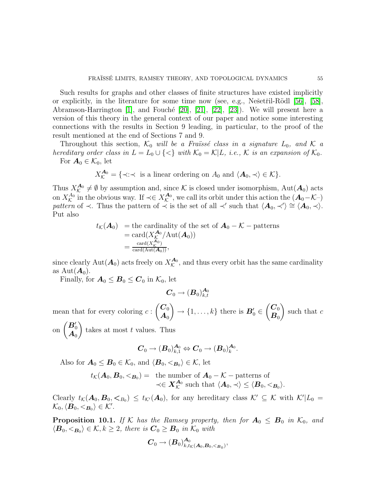Such results for graphs and other classes of finite structures have existed implicitly or explicitly, in the literature for some time now (see, e.g., Nešetřil-Rödl [\[56\]](#page-71-8), [\[58\]](#page-72-5), Abramson-Harrington  $[1]$ , and Fouché  $[20]$ ,  $[21]$ ,  $[22]$ ,  $[23]$ ). We will present here a version of this theory in the general context of our paper and notice some interesting connections with the results in Section 9 leading, in particular, to the proof of the result mentioned at the end of Sections 7 and 9.

Throughout this section,  $K_0$  *will be a Fraüssé class in a signature*  $L_0$ *, and*  $K$  *a hereditary order class in*  $L = L_0 \cup \{<\}$  *with*  $\mathcal{K}_0 = \mathcal{K}|L$ *, i.e.,*  $\mathcal{K}$  *is an expansion of*  $\mathcal{K}_0$ *.* For  $A_0 \in \mathcal{K}_0$ , let

 $X_{\mathcal{K}}^{\mathbf{A}_0} = \{ \prec : \prec \text{ is a linear ordering on } A_0 \text{ and } \langle \mathbf{A}_0, \prec \rangle \in \mathcal{K} \}.$ 

Thus  $X_{\mathcal{K}}^{\mathbf{A}_0}$  $\mathcal{A}_0^{\mathbf{A}_0} \neq \emptyset$  by assumption and, since K is closed under isomorphism, Aut $(\mathbf{A}_0)$  acts on  $X_\mathcal{K}^{A_0}$  $\kappa^{A_0}$  in the obvious way. If  $\prec \in X_{\mathcal{K}}^{\mathcal{A}_0}$  $\mathcal{A}_0^{\mathbf{A}_0}$ , we call its orbit under this action the  $(\mathbf{A}_0 - \mathcal{K}_0)$ *pattern* of  $\prec$ . Thus the pattern of  $\prec$  is the set of all  $\prec'$  such that  $\langle A_0, \prec' \rangle \cong \langle A_0, \prec \rangle$ . Put also

$$
t_{\mathcal{K}}(\mathbf{A}_0) = \text{the cardinality of the set of } \mathbf{A}_0 - \mathcal{K} - \text{patterns}
$$
  
= 
$$
\text{card}(X_{\mathcal{K}}^{\mathbf{A}_0}/\text{Aut}(\mathbf{A}_0))
$$
  
= 
$$
\frac{\text{card}(X_{\mathcal{K}}^{\mathbf{A}_0})}{\text{card}(\text{Aut}(\mathbf{A}_0))},
$$

since clearly  $\text{Aut}(\mathbf{A}_0)$  acts freely on  $X_{\mathcal{K}}^{\mathbf{A}_0}$  $\mathcal{L}_{\mathcal{K}}^{A_0}$ , and thus every orbit has the same cardinality as  $Aut(\mathbf{A}_0)$ .

Finally, for  $\mathbf{A}_0 \leq \mathbf{B}_0 \leq \mathbf{C}_0$  in  $\mathcal{K}_0$ , let

$$
\boldsymbol{C}_0 \to (\boldsymbol{B}_0)^{\boldsymbol{A}_0}_{k,t}
$$

mean that for every coloring  $c$ :  $\bigg(C_0$  $\boldsymbol{A}_0$  $\setminus$  $\rightarrow$  {1, ..., k} there is  $B'_0 \in$  $\bigg(C_0$  $\boldsymbol{B}_0$  $\setminus$ such that  $c$  $\overline{ }$ 

on  $\begin{pmatrix} \boldsymbol{B}'_0 \ \boldsymbol{A}_0 \end{pmatrix}$ takes at most  $t$  values. Thus

$$
\boldsymbol{C}_0 \to (\boldsymbol{B}_0)^{\boldsymbol{A}_0}_{k,1} \Leftrightarrow \boldsymbol{C}_0 \to (\boldsymbol{B}_0)^{\boldsymbol{A}_0}_{k}.
$$

Also for  $A_0 \leq B_0 \in \mathcal{K}_0$ , and  $\langle B_0, \langle B_0 \rangle \in \mathcal{K}$ , let

$$
t_{\mathcal{K}}(\boldsymbol{A}_0,\boldsymbol{B}_0,\boldsymbol{<}_{\boldsymbol{B}_0}) = \text{ the number of } \boldsymbol{A}_0 - \mathcal{K} - \text{patterns of} \prec \in \boldsymbol{X}_{\mathcal{K}}^{\boldsymbol{A}_0} \text{ such that } \langle \boldsymbol{A}_0, \prec \rangle \leq \langle \boldsymbol{B}_0, \boldsymbol{<}_{\boldsymbol{B}_0} \rangle.
$$

Clearly  $t_{\mathcal{K}}(\mathbf{A}_0, \mathbf{B}_0, \mathbf{<}_{B_0}) \leq t_{\mathcal{K}'}(\mathbf{A}_0)$ , for any hereditary class  $\mathcal{K}' \subseteq \mathcal{K}$  with  $\mathcal{K}'|L_0 =$  $\mathcal{K}_0, \langle \boldsymbol{B}_0, <_{\boldsymbol{B}_0} \rangle \in \mathcal{K}'$ .

<span id="page-54-0"></span>**Proposition 10.1.** *If* K *has the Ramsey property, then for*  $A_0 \leq B_0$  *in*  $K_0$ *, and*  $\langle \mathbf{B}_0, \langle \mathbf{B}_0 \rangle \in \mathcal{K}, k \geq 2$ , there is  $\mathbf{C}_0 \geq \mathbf{B}_0$  in  $\mathcal{K}_0$  with

$$
\pmb{C}_0 \to (\pmb{B}_0)_{k,t_\mathcal{K}(\pmb{A}_0,\pmb{B}_0,<_{\pmb{B}_0})}^{\pmb{A}_0},
$$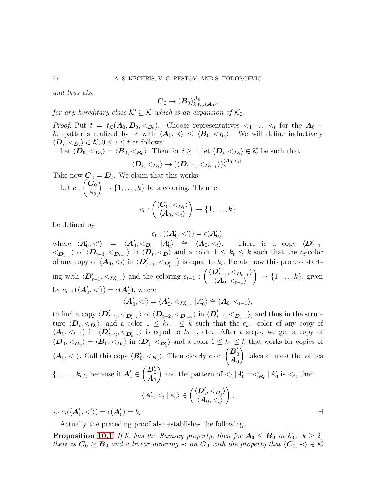*and thus also*

$$
\boldsymbol{C}_0 \rightarrow (\boldsymbol{B}_0)^{\boldsymbol{A}_0}_{k,t_{\mathcal{K}'}(\boldsymbol{A}_0)},
$$

*for any hereditary class*  $K' \subseteq K$  *which is an expansion of*  $K_0$ *.* 

*Proof.* Put  $t = t_{\mathcal{K}}(A_0, B_0, \langle B_0 \rangle)$ . Choose representatives  $\langle 1, \ldots, \langle B_0 \rangle$  for the  $A_0$ K–patterns realized by  $\prec$  with  $\langle A_0, \prec \rangle \leq \langle B_0, \langle B_0 \rangle$ . We will define inductively  $\langle \mathbf{D}_i, \langle \mathbf{D}_i \rangle \in \mathcal{K}, 0 \leq i \leq t$  as follows:

Let  $\langle D_0, \langle D_0 \rangle = \langle B_0, \langle B_0 \rangle$ . Then for  $i \geq 1$ , let  $\langle D_i, \langle D_i \rangle \in \mathcal{K}$  be such that

$$
\langle \boldsymbol{D}_i, <_{\boldsymbol{D}_i} \rangle \rightarrow (\langle \boldsymbol{D}_{i-1}, <_{\boldsymbol{D}_{i-1}} \rangle)^{\langle \boldsymbol{A}_0, <_i \rangle}_{k}.
$$

Take now  $\mathbf{C}_0 = \mathbf{D}_t$ . We claim that this works: Let  $c$  :  $\tilde{\ket{C_0}}$  $A_0$  $\setminus$  $\rightarrow \{1, \ldots, k\}$  be a coloring. Then let  $\sqrt{ }$  $\lambda$ 

$$
c_t: \begin{pmatrix} \langle \boldsymbol{C}_0, \leq \boldsymbol{D}_t \rangle \\ \langle \boldsymbol{A}_0, \leq t \rangle \end{pmatrix} \rightarrow \{1, \ldots, k\}
$$

be defined by

$$
c_t: (\langle \mathbf{A}'_0, \langle \rangle) = c(\mathbf{A}'_0),
$$

where  $\langle A'_0, \langle \rangle = \langle A'_0, \langle D_t | A'_0 \rangle \cong \langle A_0, \langle \rangle$ . There is a copy  $\langle D'_{t-1}, \rangle$  $\langle D_{t-1} \rangle$  of  $\langle D_{t-1}, \langle D_{t-1} \rangle$  in  $\langle D_t, \langle D_t \rangle$  and a color  $1 \leq k_t \leq k$  such that the  $c_t$ -color of any copy of  $\langle A_0, \lt_t \rangle$  in  $\langle D'_{t-1}, \lt_{D'_{t-1}} \rangle$  is equal to  $k_t$ . Iterate now this process starting with  $\langle \mathbf{D}'_{t-1}, \lt_{\mathbf{D}'_{t-1}} \rangle$  and the coloring  $c_{t-1}$ :  $\left\langle \left\langle D'_{t-1},<_{D_{t-1}}\right\rangle \right\rangle$  $\langle \bm A_0, <_{t-1} \rangle$  $\setminus$  $\rightarrow \{1, \ldots, k\}$ , given by  $c_{t-1}(\langle \mathbf{A}'_0, \langle \rangle) = c(\mathbf{A}'_0)$ , where

$$
\langle A'_0, \langle \rangle = \langle A'_0, \langle B_{t-1} | A'_0 \rangle \cong \langle A_0, \langle A_{t-1} \rangle,
$$

to find a copy  $\langle D'_{t-2}, \langle D'_{t-2} \rangle$  of  $\langle D_{t-2}, \langle D_{t-2} \rangle$  in  $\langle D'_{t-1}, \langle D'_{t-1} \rangle$ , and thus in the structure  $\langle \mathbf{D}_t, \langle \mathbf{D}_t \rangle$ , and a color  $1 \leq k_{t-1} \leq k$  such that the  $c_{t-1}$ -color of any copy of  $\langle A_0, \langle t-1 \rangle$  in  $\langle D'_{t-2}, \langle D'_{t-2} \rangle$  is equal to  $k_{t-1}$ , etc. After t steps, we get a copy of  $\langle \mathbf{D}_0, \langle \mathbf{D}_0 \rangle = \langle \mathbf{B}_0, \langle \mathbf{B}_0 \rangle$  in  $\langle \mathbf{D}_1', \langle \mathbf{D}_1' \rangle$  and a color  $1 \leq k_1 \leq k$  that works for copies of  $\langle A_0, \lt_1 \rangle$ . Call this copy  $\langle B'_0, \lt_{B'_0} \rangle$ . Then clearly c on  $\begin{pmatrix} B'_0 \\ A_0 \end{pmatrix}$  $\setminus$ takes at most the values  $\{1, \ldots, k_t\}$ , because if  $A'_0 \in$  $\begin{pmatrix} B_0' \ A_0 \end{pmatrix}$  $\overline{ }$ and the pattern of  $\lt_t | A'_0 = \lt'_{\mathbf{B}_0} | A'_0$  is  $\lt_i$ , then  $\langle A'_0, <_t | A'_0 \rangle \in \binom{\langle D'_i, <_{D'_i} \rangle}{\langle A_0, <_i \rangle}$  $\langle A_0, <_i \rangle$  $\setminus$ , . ⊣

so  $c_i(\langle \mathbf{A}'_0, \langle \mathbf{B}' \rangle) = c(\mathbf{A}'_0) = k_i$ 

Actually the preceding proof also establishes the following.

**Proposition [10.1](#page-54-0)'** If K has the Ramsey property, then for  $A_0 \leq B_0$  in  $K_0$ ,  $k \geq 2$ , *there is*  $C_0 \geq B_0$  *and a linear ordering*  $\prec$  *on*  $C_0$  *with the property that*  $\langle C_0, \prec \rangle \in \mathcal{K}$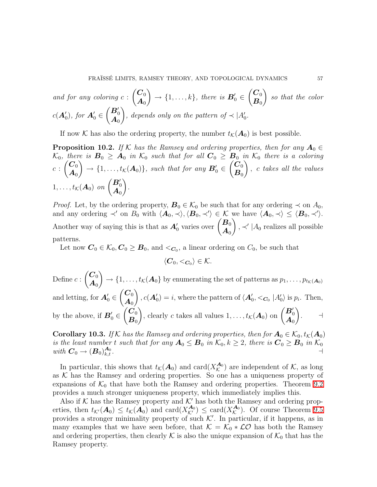and for any coloring 
$$
c: \begin{pmatrix} C_0 \\ A_0 \end{pmatrix} \to \{1, ..., k\}
$$
, there is  $B'_0 \in \begin{pmatrix} C_0 \\ B_0 \end{pmatrix}$  so that the color  $c(A'_0)$ , for  $A'_0 \in \begin{pmatrix} B'_0 \\ A_0 \end{pmatrix}$ , depends only on the pattern of  $\prec |A'_0$ .

If now K has also the ordering property, the number  $t_K(\mathbf{A}_0)$  is best possible.

<span id="page-56-1"></span>**Proposition 10.2.** *If* K has the Ramsey and ordering properties, then for any  $A_0 \in$  $K_0$ , there is  $B_0 \geq A_0$  in  $K_0$  such that for all  $C_0 \geq B_0$  in  $K_0$  there is a coloring  $c$  :  $\overline{\mathcal{C}}_0$  $\boldsymbol{A}_0$  $\lambda$  $\rightarrow$  {1,...,  $t_K(\boldsymbol{A}_0)$ }, such that for any  $\boldsymbol{B}'_0 \in$  $\tilde{\ket{C_0}}$  $\boldsymbol{B}_0$  $\lambda$ , c *takes all the values*  $1, \ldots, t_{\mathcal{K}}(\boldsymbol{A}_0)$  on  $\begin{pmatrix} \boldsymbol{B}'_0 \\ \boldsymbol{A}_0 \end{pmatrix}$  $\setminus$ *.*

*Proof.* Let, by the ordering property,  $\mathbf{B}_0 \in \mathcal{K}_0$  be such that for any ordering  $\prec$  on  $A_0$ , and any ordering  $\prec'$  on  $B_0$  with  $\langle A_0, \prec \rangle$ ,  $\langle B_0, \prec' \rangle \in \mathcal{K}$  we have  $\langle A_0, \prec \rangle \leq \langle B_0, \prec' \rangle$ . Another way of saying this is that as  $A'_0$  varies over  $\begin{pmatrix} B_0 \\ A_1 \end{pmatrix}$  $\boldsymbol{A}_0$  $\lambda$ , ≺' | $A_0$  realizes all possible patterns.

Let now  $C_0 \in \mathcal{K}_0, C_0 \geq B_0$ , and  $\lt_{C_0}$ , a linear ordering on  $C_0$ , be such that

 $\langle \boldsymbol{C}_0, <_{\boldsymbol{C}_0} \rangle \in \mathcal{K}.$ 

Define  $c$  :  $\overline{\mathcal{C}}_0$  $\boldsymbol{A}_0$  $\lambda$  $\rightarrow \{1, \ldots, t_{\mathcal{K}}(\mathbf{A}_0)\}$  by enumerating the set of patterns as  $p_1, \ldots, p_{t_{\mathcal{K}}(\mathbf{A}_0)}\}$ and letting, for  $A'_0 \in$  $\overline{\mathcal{C}}_0$  $\boldsymbol{A}_0$  $\lambda$  $c(\mathbf{A}'_0) = i$ , where the pattern of  $\langle \mathbf{A}'_0, \langle \mathbf{C}_0 | A'_0 \rangle$  is  $p_i$ . Then, by the above, if  $\mathbf{B}'_0 \in$  $\bigg(C_0$  $\boldsymbol{B}_0$ ), clearly c takes all values  $1, \ldots, t_{\mathcal{K}}(A_0)$  on  $\begin{pmatrix} B'_0 \\ A_0 \end{pmatrix}$  $\lambda$ . ⊣

<span id="page-56-0"></span>**Corollary 10.3.** *If* K *has the Ramsey and ordering properties, then for*  $A_0 \in \mathcal{K}_0$ ,  $t_{\mathcal{K}}(A_0)$ *is the least number* t *such that for any*  $A_0 \leq B_0$  *in*  $\mathcal{K}_0$ ,  $k \geq 2$ , *there is*  $C_0 \geq B_0$  *in*  $\mathcal{K}_0$ *with*  $C_0 \rightarrow (B_0)_{k,t}^{A_0}$  $A_0$ ,  $k, t$   $\cdot$ 

In particular, this shows that  $t_{\mathcal{K}}(A_0)$  and  $card(X_{\mathcal{K}}^{A_0})$  $\mathcal{L}_{\mathcal{K}}^{A_0}$  are independent of  $\mathcal{K}$ , as long as  $K$  has the Ramsey and ordering properties. So one has a uniqueness property of expansions of  $\mathcal{K}_0$  that have both the Ramsey and ordering properties. Theorem [9.2](#page-48-0) provides a much stronger uniqueness property, which immediately implies this.

Also if K has the Ramsey property and  $\mathcal{K}'$  has both the Ramsey and ordering properties, then  $t_{\mathcal{K}}(A_0) \leq t_{\mathcal{K}}(A_0)$  and  $card(X_{\mathcal{K}}^{A_0}) \leq card(X_{\mathcal{K}}^{A_0})$  $K^{A_0}$ ). Of course Theorem [9.5](#page-53-0) provides a stronger minimality property of such  $K'$ . In particular, if it happens, as in many examples that we have seen before, that  $\mathcal{K} = \mathcal{K}_0 * \mathcal{L}O$  has both the Ramsey and ordering properties, then clearly  $\mathcal K$  is also the unique expansion of  $\mathcal K_0$  that has the Ramsey property.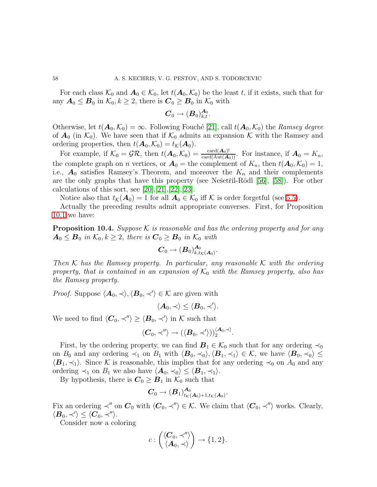For each class  $\mathcal{K}_0$  and  $\mathbf{A}_0 \in \mathcal{K}_0$ , let  $t(\mathbf{A}_0, \mathcal{K}_0)$  be the least t, if it exists, such that for any  $A_0 \leq B_0$  in  $\mathcal{K}_0, k \geq 2$ , there is  $C_0 \geq B_0$  in  $\mathcal{K}_0$  with

$$
\boldsymbol{C}_0 \to (\boldsymbol{B}_0)^{\boldsymbol{A}_0}_{k,t}.
$$

Otherwise, let  $t(\mathbf{A}_0, \mathcal{K}_0) = \infty$ . Following Fouché [\[21\]](#page-70-4), call  $t(\mathbf{A}_0, \mathcal{K}_0)$  the *Ramsey degree* of  $A_0$  (in  $\mathcal{K}_0$ ). We have seen that if  $\mathcal{K}_0$  admits an expansion K with the Ramsey and ordering properties, then  $t(\mathbf{A}_0, \mathcal{K}_0) = t_{\mathcal{K}}(\mathbf{A}_0)$ .

For example, if  $\mathcal{K}_0 = \mathcal{GR}$ , then  $t(\mathbf{A}_0, \mathcal{K}_0) = \frac{\text{card}(\mathbf{A}_0)!}{\text{card}(\text{Aut}(\mathbf{A}_0))}$ . For instance, if  $\mathbf{A}_0 = K_n$ , the complete graph on *n* vertices, or  $\mathbf{A}_0$  = the complement of  $K_n$ , then  $t(\mathbf{A}_0, \mathcal{K}_0) = 1$ , i.e.,  $A_0$  satisfies Ramsey's Theorem, and moreover the  $K_n$  and their complements are the only graphs that have this property (see Ne $\check{\rm set}$ ril-Rödl [\[56\]](#page-71-8), [\[58\]](#page-72-5)). For other calculations of this sort, see  $[20], [21], [22], [23].$  $[20], [21], [22], [23].$  $[20], [21], [22], [23].$  $[20], [21], [22], [23].$  $[20], [21], [22], [23].$  $[20], [21], [22], [23].$  $[20], [21], [22], [23].$ 

Notice also that  $t_{\mathcal{K}}(A_0) = 1$  for all  $A_0 \in \mathcal{K}_0$  iff  $\mathcal{K}$  is order forgetful (see [5.5\)](#page-27-1).

<span id="page-57-0"></span>Actually the preceding results admit appropriate converses. First, for Proposition [10.1](#page-54-0) we have:

Proposition 10.4. *Suppose* K *is reasonable and has the ordering property and for any*  $A_0 \leq B_0$  in  $\mathcal{K}_0, k \geq 2$ , there is  $C_0 \geq B_0$  in  $\mathcal{K}_0$  with

$$
\boldsymbol{C}_0 \to (\boldsymbol{B}_0)^{\boldsymbol{A}_0}_{k,t_\mathcal{K}(\boldsymbol{A}_0)}.
$$

*Then* K *has the Ramsey property. In particular, any reasonable* K *with the ordering property, that is contained in an expansion of*  $K_0$  *with the Ramsey property, also has the Ramsey property.*

*Proof.* Suppose  $\langle A_0, \prec \rangle$ ,  $\langle B_0, \prec' \rangle \in \mathcal{K}$  are given with

$$
\langle \boldsymbol{A}_0, \prec \rangle \leq \langle \boldsymbol{B}_0, \prec' \rangle.
$$

We need to find  $\langle \mathbf{C}_0, \prec'' \rangle \ge \langle \mathbf{B}_0, \prec' \rangle$  in K such that

$$
\langle \boldsymbol{C}_0, \prec'' \rangle \rightarrow (\langle \boldsymbol{B}_0, \prec' \rangle))_2^{\langle \boldsymbol{A}_0, \prec \rangle}.
$$

First, by the ordering property, we can find  $\mathbf{B}_1 \in \mathcal{K}_0$  such that for any ordering  $\prec_0$ on  $B_0$  and any ordering  $\prec_1$  on  $B_1$  with  $\langle \mathbf{B}_0, \prec_0 \rangle, \langle \mathbf{B}_1, \prec_1 \rangle \in \mathcal{K}$ , we have  $\langle \mathbf{B}_0, \prec_0 \rangle \leq$  $\langle B_1, \prec_1 \rangle$ . Since K is reasonable, this implies that for any ordering  $\prec_0$  on  $A_0$  and any ordering  $\prec_1$  on  $B_1$  we also have  $\langle A_0, \prec_0 \rangle \leq \langle B_1, \prec_1 \rangle$ .

By hypothesis, there is  $C_0 \geq B_1$  in  $\mathcal{K}_0$  such that

$$
\boldsymbol{C}_0 \rightarrow (\boldsymbol{B}_1)_{t_{\mathcal{K}}(\boldsymbol{A}_0)+1,t_{\mathcal{K}}(\boldsymbol{A}_0)}^{\boldsymbol{A}_0}.
$$

Fix an ordering  $\prec''$  on  $C_0$  with  $\langle C_0, \prec'' \rangle \in \mathcal{K}$ . We claim that  $\langle C_0, \prec'' \rangle$  works. Clearly,  $\langle \boldsymbol{B}_0, \prec'\rangle \leq \langle \boldsymbol{C}_0, \prec''\rangle.$ 

Consider now a coloring

$$
c: \begin{pmatrix} \langle \mathbf{C}_0, \prec'' \rangle \\ \langle \mathbf{A}_0, \prec \rangle \end{pmatrix} \to \{1, 2\}.
$$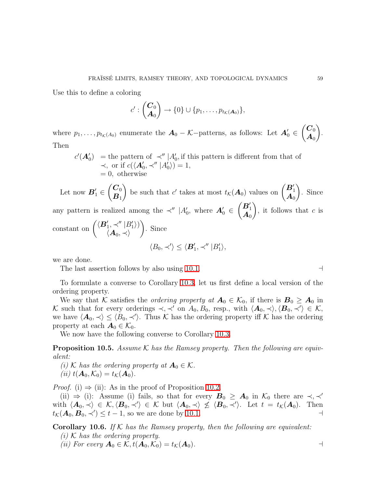Use this to define a coloring

$$
c':\begin{pmatrix} \mathbf{C}_0\\ \mathbf{A}_0 \end{pmatrix} \to \{0\} \cup \{p_1,\ldots,p_{t_{\mathcal{K}}(\mathbf{A}_0)}\},\
$$

where  $p_1, \ldots, p_{t_{\mathcal{K}}(A_0)}$  enumerate the  $A_0 - \mathcal{K}$ -patterns, as follows: Let  $A'_0 \in$  $\overline{C_0}$  $\boldsymbol{A}_0$  $\lambda$ . Then

$$
c'(\mathbf{A}'_0) =
$$
 the pattern of  $\prec'' |A'_0$ , if this pattern is different from that of  $\prec$ , or if  $c(\langle \mathbf{A}'_0, \prec'' | A'_0 \rangle) = 1$ ,  $= 0$ , otherwise

Let now  $\boldsymbol{B}'_1 \in$  $\overline{\mathcal{C}}_0$  $\boldsymbol{B}_1$  $\lambda$ be such that  $c'$  takes at most  $t_{\mathcal{K}}(A_0)$  values on  $\begin{pmatrix} B'_1 \\ A_0 \end{pmatrix}$  $\lambda$ . Since any pattern is realized among the  $\prec''$  |A'<sub>0</sub>, where  $A'_0 \in$  $\begin{pmatrix} B_1' \ A_0 \end{pmatrix}$  $\lambda$ , it follows that  $c$  is

constant on 
$$
\begin{pmatrix} \langle \mathbf{B}'_1, \prec'' | B'_1 \rangle \\ \langle \mathbf{A}_0, \prec \rangle \end{pmatrix}
$$
. Since  
 $\langle B_0, \prec' \rangle \leq \langle \mathbf{B}'_1, \prec'' | B'_1 \rangle$ ,

we are done.

The last assertion follows by also using [10.1.](#page-54-0) ⊣

To formulate a converse to Corollary [10.3,](#page-56-0) let us first define a local version of the ordering property.

We say that K satisfies the *ordering property at*  $A_0 \in \mathcal{K}_0$ , if there is  $B_0 \geq A_0$  in K such that for every orderings  $\prec, \prec'$  on  $A_0, B_0$ , resp., with  $\langle A_0, \prec \rangle, \langle B_0, \prec' \rangle \in \mathcal{K}$ , we have  $\langle A_0, \prec \rangle \leq \langle B_0, \prec' \rangle$ . Thus K has the ordering property iff K has the ordering property at each  $A_0 \in \mathcal{K}_0$ .

We now have the following converse to Corollary [10.3.](#page-56-0)

Proposition 10.5. *Assume* K *has the Ramsey property. Then the following are equivalent:*

- *(i)* K has the ordering property at  $A_0 \in \mathcal{K}$ .
- *(ii)*  $t(\mathbf{A}_0, \mathcal{K}_0) = t_{\mathcal{K}}(\mathbf{A}_0)$ .

*Proof.* (i)  $\Rightarrow$  (ii): As in the proof of Proposition [10.2.](#page-56-1)

(ii)  $\Rightarrow$  (i): Assume (i) fails, so that for every  $B_0 \geq A_0$  in  $\mathcal{K}_0$  there are  $\prec, \prec'$ with  $\langle \mathbf{A}_0, \prec \rangle \in \mathcal{K}, \langle \mathbf{B}_0, \prec' \rangle \in \mathcal{K}$  but  $\langle \mathbf{A}_0, \prec \rangle \not\leq \langle \mathbf{B}_0, \prec' \rangle$ . Let  $t = t_{\mathcal{K}}(\mathbf{A}_0)$ . Then  $t_{\mathcal{K}}(\mathbf{A}_0, \mathbf{B}_0, \prec') \leq t - 1$ , so we are done by [10.1.](#page-54-0)

Corollary 10.6. *If* K *has the Ramsey property, then the following are equivalent:*

*(i)* K *has the ordering property.*

(ii) For every 
$$
\mathbf{A}_0 \in \mathcal{K}
$$
,  $t(\mathbf{A}_0, \mathcal{K}_0) = t_{\mathcal{K}}(\mathbf{A}_0)$ .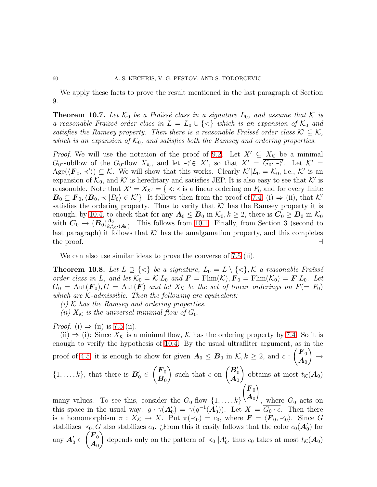We apply these facts to prove the result mentioned in the last paragraph of Section 9.

**Theorem 10.7.** Let  $K_0$  be a Fraïssé class in a signature  $L_0$ , and assume that K is *a reasonable Fraïssé order class in*  $L = L_0 \cup \{<\}$  which is an expansion of  $\mathcal{K}_0$  and *satisfies the Ramsey property. Then there is a reasonable Fraüssé order class*  $K' \subseteq K$ , *which is an expansion of*  $K_0$ *, and satisfies both the Ramsey and ordering properties.* 

*Proof.* We will use the notation of the proof of [9.2.](#page-48-0) Let  $X' \subseteq X_K$  be a minimal  $G_0$ -subflow of the  $G_0$ -flow  $X_{\mathcal{K}}$ , and let  $\prec' \in X'$ , so that  $X' = \overline{G_0 \cdot \prec'}$ . Let  $\mathcal{K}' =$ Age( $\langle \mathbf{F}_0, \prec' \rangle$ )  $\subseteq \mathcal{K}$ . We will show that this works. Clearly  $\mathcal{K}'|L_0 = \mathcal{K}_0$ , i.e.,  $\mathcal{K}'$  is an expansion of  $\mathcal{K}_0$ , and  $\mathcal{K}'$  is hereditary and satisfies JEP. It is also easy to see that  $\mathcal{K}'$  is reasonable. Note that  $X' = X_{\mathcal{K}'} = \{\prec : \prec \text{ is a linear ordering on } F_0 \text{ and for every finite }$  $\mathbf{B}_0 \subseteq \mathbf{F}_0, \langle \mathbf{B}_0, \prec |B_0\rangle \in \mathcal{K}'\}$ . It follows then from the proof of [7.4,](#page-40-0) (i)  $\Rightarrow$  (ii), that K' satisfies the ordering property. Thus to verify that  $K'$  has the Ramsey property it is enough, by [10.4,](#page-57-0) to check that for any  $A_0 \leq B_0$  in  $\mathcal{K}_0, k \geq 2$ , there is  $C_0 \geq B_0$  in  $\mathcal{K}_0$ with  $\overset{\circ}{\bm{C}}_{0} \rightarrow (\bm{B}_{0})_{k,t}^{\bm{A}_{0}}$  $A_0$ <sub>k,t<sub>K'</sub>( $A_0$ ). This follows from [10.1.](#page-54-0) Finally, from Section 3 (second to</sub> last paragraph) it follows that  $K'$  has the amalgamation property, and this completes the proof. the proof.  $\rightarrow$ 

We can also use similar ideas to prove the converse of [7.5](#page-41-0) (ii).

<span id="page-59-0"></span>**Theorem 10.8.** Let  $L \supseteq {\langle \langle} \rangle$  be a signature,  $L_0 = L \setminus {\langle} \langle \rangle$ , K a reasonable Fraüssé *order class in* L, and let  $\mathcal{K}_0 = \mathcal{K}|L_0$  and  $\mathbf{F} = \text{Flim}(\mathcal{K}), \mathbf{F}_0 = \text{Flim}(\mathcal{K}_0) = \mathbf{F}|L_0$ . Let  $G_0 = \text{Aut}(\mathbf{F}_0), G = \text{Aut}(\mathbf{F})$  and let  $X_K$  be the set of linear orderings on  $F(=F_0)$ *which are* K*-admissible. Then the following are equivalent:*

- *(i)* K *has the Ramsey and ordering properties.*
- *(ii)*  $X_K$  *is the universal minimal flow of*  $G_0$ *.*

*Proof.* (i)  $\Rightarrow$  (ii) is [7.5](#page-41-0) (ii).

(ii)  $\Rightarrow$  (i): Since  $X_K$  is a minimal flow, K has the ordering property by [7.4.](#page-40-0) So it is enough to verify the hypothesis of [10.4.](#page-57-0) By the usual ultrafilter argument, as in the proof of [4.5,](#page-23-0) it is enough to show for given  $\mathbf{A}_0 \leq \mathbf{B}_0$  in  $\mathcal{K}, k \geq 2$ , and c:  $\sqrt{F_0}$  $\boldsymbol{A}_0$  $\lambda$  $\rightarrow$  $\{1,\ldots,k\}$ , that there is  $\mathbf{B}'_0 \in$  $\sqrt{F_0}$  $\boldsymbol{B}_0$ ) such that c on  $\begin{pmatrix} B'_0 \\ A_0 \end{pmatrix}$  $\lambda$ obtains at most  $t_{\mathcal{K}}(\mathbf{A}_0)$  $\sqrt{ }$  $\left(\frac{F_0}{\Lambda}\right)$  $\sqrt{2}$ 

many values. To see this, consider the  $G_0$ -flow  $\{1, \ldots, k\}$  $\boldsymbol{A}_0$  $\int$ , where  $G_0$  acts on this space in the usual way:  $g \cdot \gamma(\mathbf{A}'_0) = \gamma(g^{-1}(\mathbf{A}'_0))$ . Let  $X = \overline{G_0 \cdot c}$ . Then there is a homomorphism  $\pi : X_{\mathcal{K}} \to X$ . Put  $\pi(\prec_0) = c_0$ , where  $\mathbf{F} = \langle \mathbf{F}_0, \prec_0 \rangle$ . Since G stabilizes  $\prec_0, G$  also stabilizes  $c_0$ . ¿From this it easily follows that the color  $c_0(\mathbf{A}'_0)$  for any  $\mathbf{A}'_0 \in$  $\overline{F}_0$  $\boldsymbol{A}_0$  $\lambda$ depends only on the pattern of  $\prec_0 |A'_0$ , thus  $c_0$  takes at most  $t_{\mathcal{K}}(\mathbf{A}_0)$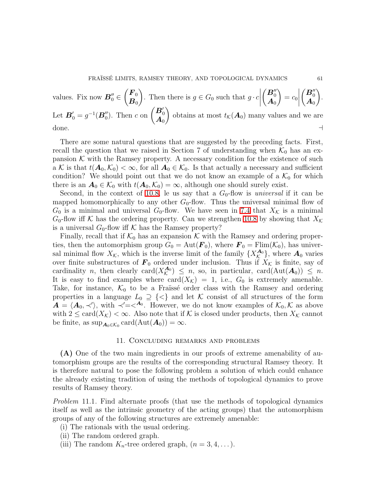values. Fix now 
$$
\mathbf{B}_0'' \in \begin{pmatrix} \mathbf{F}_0 \\ \mathbf{B}_0 \end{pmatrix}
$$
. Then there is  $g \in G_0$  such that  $g \cdot c \left| \begin{pmatrix} \mathbf{B}_0'' \\ \mathbf{A}_0 \end{pmatrix} = c_0 \right| \begin{pmatrix} \mathbf{B}_0'' \\ \mathbf{A}_0 \end{pmatrix}$ . Let  $\mathbf{B}_0' = g^{-1}(\mathbf{B}_0'')$ . Then  $c$  on  $\begin{pmatrix} \mathbf{B}_0' \\ \mathbf{A}_0 \end{pmatrix}$  obtains at most  $t_{\mathcal{K}}(\mathbf{A}_0)$  many values and we are done.

There are some natural questions that are suggested by the preceding facts. First, recall the question that we raised in Section 7 of understanding when  $\mathcal{K}_0$  has an expansion  $K$  with the Ramsey property. A necessary condition for the existence of such a K is that  $t(\mathbf{A}_0, \mathcal{K}_0) < \infty$ , for all  $\mathbf{A}_0 \in \mathcal{K}_0$ . Is that actually a necessary and sufficient condition? We should point out that we do not know an example of a  $\mathcal{K}_0$  for which there is an  $A_0 \in \mathcal{K}_0$  with  $t(A_0, \mathcal{K}_0) = \infty$ , although one should surely exist.

Second, in the context of [10.8,](#page-59-0) le us say that a  $G_0$ -flow is *universal* if it can be mapped homomorphically to any other  $G_0$ -flow. Thus the universal minimal flow of  $G_0$  is a minimal and universal  $G_0$ -flow. We have seen in [7.4](#page-40-0) that  $X_K$  is a minimal  $G_0$ -flow iff K has the ordering property. Can we strengthen [10.8](#page-59-0) by showing that  $X_K$ is a universal  $G_0$ -flow iff K has the Ramsey property?

Finally, recall that if  $\mathcal{K}_0$  has an expansion  $\mathcal K$  with the Ramsey and ordering properties, then the automorphism group  $G_0 = \text{Aut}(\mathbf{F}_0)$ , where  $\mathbf{F}_0 = \text{Flim}(\mathcal{K}_0)$ , has universal minimal flow  $X_{\mathcal{K}}$ , which is the inverse limit of the family  $\{X_{\mathcal{K}}^{\mathbf{A}_0}\}$  $\mathbf{A}_0$ , where  $\mathbf{A}_0$  varies over finite substructures of  $\mathbf{F}_0$  ordered under inclusion. Thus if  $X_{\mathcal{K}}$  is finite, say of cardinality *n*, then clearly card $(X_{\mathcal{K}}^{\mathcal{A}_{0}})$  $\mathcal{A}_0^{(A_0)} \leq n$ , so, in particular, card $(\text{Aut}(A_0)) \leq n$ . It is easy to find examples where  $card(X_{\mathcal{K}}) = 1$ , i.e.,  $G_0$  is extremely amenable. Take, for instance,  $\mathcal{K}_0$  to be a Fraïssé order class with the Ramsey and ordering properties in a language  $L_0 \supseteq \{<\}$  and let K consist of all structures of the form  $\mathbf{A} = \langle \mathbf{A}_0, \prec' \rangle$ , with  $\prec' = \prec^{A_0}$ . However, we do not know examples of  $\mathcal{K}_0, \mathcal{K}$  as above with  $2 \leq \text{card}(X_{\mathcal{K}}) < \infty$ . Also note that if K is closed under products, then  $X_{\mathcal{K}}$  cannot be finite, as  $\sup_{\mathbf{A}_0 \in \mathcal{K}_0} \text{card}(\text{Aut}(\mathbf{A}_0)) = \infty$ .

# 11. Concluding remarks and problems

(A) One of the two main ingredients in our proofs of extreme amenability of automorphism groups are the results of the corresponding structural Ramsey theory. It is therefore natural to pose the following problem a solution of which could enhance the already existing tradition of using the methods of topological dynamics to prove results of Ramsey theory.

<span id="page-60-0"></span>*Problem* 11.1. Find alternate proofs (that use the methods of topological dynamics itself as well as the intrinsic geometry of the acting groups) that the automorphism groups of any of the following structures are extremely amenable:

- (i) The rationals with the usual ordering.
- (ii) The random ordered graph.
- (iii) The random  $K_n$ -tree ordered graph,  $(n = 3, 4, \dots)$ .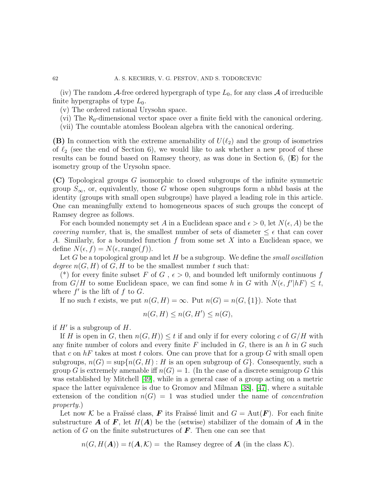(iv) The random A-free ordered hypergraph of type  $L_0$ , for any class A of irreducible finite hypergraphs of type  $L_0$ .

(v) The ordered rational Urysohn space.

(vi) The  $\aleph_0$ -dimensional vector space over a finite field with the canonical ordering.

(vii) The countable atomless Boolean algebra with the canonical ordering.

(B) In connection with the extreme amenability of  $U(\ell_2)$  and the group of isometries of  $\ell_2$  (see the end of Section 6), we would like to ask whether a new proof of these results can be found based on Ramsey theory, as was done in Section 6,  $(E)$  for the isometry group of the Urysohn space.

(C) Topological groups G isomorphic to closed subgroups of the infinite symmetric group  $S_{\infty}$ , or, equivalently, those G whose open subgroups form a nbhd basis at the identity (groups with small open subgroups) have played a leading role in this article. One can meaningfully extend to homogeneous spaces of such groups the concept of Ramsey degree as follows.

For each bounded nonempty set A in a Euclidean space and  $\epsilon > 0$ , let  $N(\epsilon, A)$  be the *covering number,* that is, the smallest number of sets of diameter  $\leq \epsilon$  that can cover A. Similarly, for a bounded function f from some set X into a Euclidean space, we define  $N(\epsilon, f) = N(\epsilon, \text{range}(f)).$ 

Let G be a topological group and let H be a subgroup. We define the *small oscillation degree*  $n(G, H)$  of  $G, H$  to be the smallest number t such that:

(\*) for every finite subset F of G,  $\epsilon > 0$ , and bounded left uniformly continuous f from  $G/H$  to some Euclidean space, we can find some h in G with  $N(\epsilon, f'|hF) \leq t$ , where  $f'$  is the lift of  $f$  to  $G$ .

If no such t exists, we put  $n(G, H) = \infty$ . Put  $n(G) = n(G, \{1\})$ . Note that

$$
n(G, H) \le n(G, H') \le n(G),
$$

if  $H'$  is a subgroup of  $H$ .

If H is open in G, then  $n(G, H) \le t$  if and only if for every coloring c of  $G/H$  with any finite number of colors and every finite  $F$  included in  $G$ , there is an  $h$  in  $G$  such that c on  $hF$  takes at most t colors. One can prove that for a group G with small open subgroups,  $n(G) = \sup\{n(G,H): H$  is an open subgroup of  $G\}$ . Consequently, such a group G is extremely amenable iff  $n(G) = 1$ . (In the case of a discrete semigroup G this was established by Mitchell [\[49\]](#page-71-9), while in a general case of a group acting on a metric space the latter equivalence is due to Gromov and Milman [\[38\]](#page-71-1), [\[47\]](#page-71-10), where a suitable extension of the condition  $n(G) = 1$  was studied under the name of *concentration property.*)

Let now K be a Fraüssé class, F its Fraüssé limit and  $G = Aut(F)$ . For each finite substructure **A** of **F**, let  $H(A)$  be the (setwise) stabilizer of the domain of **A** in the action of G on the finite substructures of  $\bm{F}$ . Then one can see that

 $n(G, H(A)) = t(A, \mathcal{K})$  = the Ramsey degree of **A** (in the class  $\mathcal{K}$ ).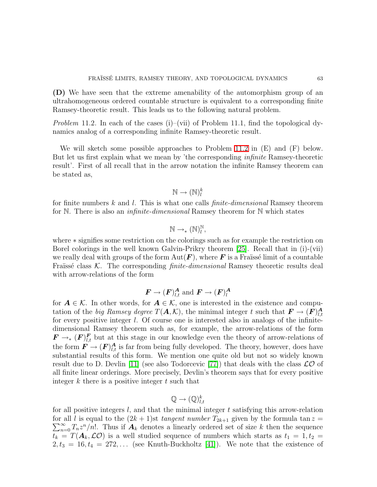(D) We have seen that the extreme amenability of the automorphism group of an ultrahomogeneous ordered countable structure is equivalent to a corresponding finite Ramsey-theoretic result. This leads us to the following natural problem.

<span id="page-62-0"></span>*Problem* 11.2. In each of the cases (i)–(vii) of Problem 11.1, find the topological dynamics analog of a corresponding infinite Ramsey-theoretic result.

We will sketch some possible approaches to Problem [11.2](#page-62-0) in  $(E)$  and  $(F)$  below. But let us first explain what we mean by 'the corresponding *infinite* Ramsey-theoretic result'. First of all recall that in the arrow notation the infinite Ramsey theorem can be stated as,

$$
\mathbb{N} \to (\mathbb{N})_l^k
$$

for finite numbers k and l. This is what one calls *finite-dimensional* Ramsey theorem for N. There is also an *infinite-dimensional* Ramsey theorem for N which states

$$
\mathbb{N} \to_* (\mathbb{N})_l^{\mathbb{N}},
$$

where ∗ signifies some restriction on the colorings such as for example the restriction on Borel colorings in the well known Galvin-Prikry theorem [\[25\]](#page-70-7). Recall that in (i)-(vii) we really deal with groups of the form  $Aut(\mathbf{F})$ , where  $\mathbf{F}$  is a Fraïssé limit of a countable Fraïssé class K. The corresponding *finite-dimensional* Ramsey theoretic results deal with arrow-relations of the form

$$
\boldsymbol{F} \to (\boldsymbol{F})^{\boldsymbol{A}}_{l,t}
$$
 and  $\boldsymbol{F} \to (\boldsymbol{F})^{\boldsymbol{A}}_{l}$ 

for  $A \in \mathcal{K}$ . In other words, for  $A \in \mathcal{K}$ , one is interested in the existence and computation of the *big Ramsey degree*  $T(\mathbf{A}, \mathcal{K})$ , the minimal integer t such that  $\mathbf{F} \to (\mathbf{F})^{\mathbf{A}}_{l,t}$  $_{l,t}$ for every positive integer l. Of course one is interested also in analogs of the infinitedimensional Ramsey theorem such as, for example, the arrow-relations of the form  $\mathbf{F} \to_{*} (\mathbf{F})_{l,t}^{\mathbf{F}}$  but at this stage in our knowledge even the theory of arrow-relations of the form  $\mathbf{F} \to (\mathbf{F})_{l,t}^{\mathbf{A}}$  is far from being fully developed. The theory, however, does have substantial results of this form. We mention one quite old but not so widely known result due to D. Devlin [\[11\]](#page-70-8) (see also Todorcevic [\[77\]](#page-72-6)) that deals with the class  $\mathcal{LO}$  of all finite linear orderings. More precisely, Devlin's theorem says that for every positive integer  $k$  there is a positive integer  $t$  such that

$$
\mathbb{Q} \to (\mathbb{Q})_{l,t}^k
$$

for all positive integers  $l$ , and that the minimal integer  $t$  satisfying this arrow-relation  $\sum_{n=0}^{\infty} T_n z^n/n!$ . Thus if  $A_k$  denotes a linearly ordered set of size k then the sequence for all l is equal to the  $(2k + 1)$ st *tangent number*  $T_{2k+1}$  given by the formula tan  $z =$  $t_k = T(\mathbf{A}_k, \mathcal{LO})$  is a well studied sequence of numbers which starts as  $t_1 = 1, t_2 =$  $2, t_3 = 16, t_4 = 272, \ldots$  (see Knuth-Buckholtz [\[41\]](#page-71-11)). We note that the existence of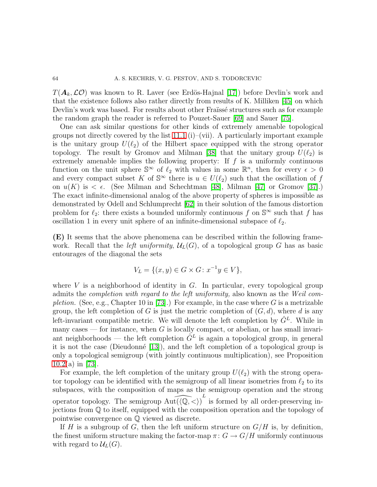$T(\mathbf{A}_k,\mathcal{LO})$  was known to R. Laver (see Erdös-Hajnal [\[17\]](#page-70-9)) before Devlin's work and that the existence follows also rather directly from results of K. Milliken [\[45\]](#page-71-12) on which Devlin's work was based. For results about other Fraïssé structures such as for example the random graph the reader is referred to Pouzet-Sauer [\[69\]](#page-72-7) and Sauer [\[75\]](#page-72-8).

One can ask similar questions for other kinds of extremely amenable topological groups not directly covered by the list [11.1](#page-60-0) (i)–(vii). A particularly important example is the unitary group  $U(\ell_2)$  of the Hilbert space equipped with the strong operator topology. The result by Gromov and Milman [\[38\]](#page-71-1) that the unitary group  $U(\ell_2)$  is extremely amenable implies the following property: If  $f$  is a uniformly continuous function on the unit sphere  $\mathbb{S}^{\infty}$  of  $\ell_2$  with values in some  $\mathbb{R}^n$ , then for every  $\epsilon > 0$ and every compact subset K of  $\mathbb{S}^{\infty}$  there is  $u \in U(\ell_2)$  such that the oscillation of f on  $u(K)$  is  $\lt \epsilon$ . (See Milman and Schechtman [\[48\]](#page-71-13), Milman [\[47\]](#page-71-10) or Gromov [\[37\]](#page-71-14).) The exact infinite-dimensional analog of the above property of spheres is impossible as demonstrated by Odell and Schlumprecht [\[62\]](#page-72-9) in their solution of the famous distortion problem for  $\ell_2$ : there exists a bounded uniformly continuous f on  $\mathbb{S}^{\infty}$  such that f has oscillation 1 in every unit sphere of an infinite-dimensional subspace of  $\ell_2$ .

(E) It seems that the above phenomena can be described within the following framework. Recall that the *left uniformity*,  $\mathcal{U}_L(G)$ , of a topological group G has as basic entourages of the diagonal the sets

$$
V_L = \{ (x, y) \in G \times G \colon x^{-1}y \in V \},\
$$

where  $V$  is a neighborhood of identity in  $G$ . In particular, every topological group admits the *completion with regard to the left uniformity,* also known as the *Weil completion.* (See, e.g., Chapter 10 in [\[73\]](#page-72-10).) For example, in the case where G is a metrizable group, the left completion of G is just the metric completion of  $(G, d)$ , where d is any left-invariant compatible metric. We will denote the left completion by  $\hat{G}^L$ . While in many cases — for instance, when  $G$  is locally compact, or abelian, or has small invariant neighborhoods — the left completion  $\hat{G}^L$  is again a topological group, in general it is not the case (Dieudonné  $[13]$ ), and the left completion of a topological group is only a topological semigroup (with jointly continuous multiplication), see Proposition [10.2\(](#page-56-1)a) in [\[73\]](#page-72-10).

For example, the left completion of the unitary group  $U(\ell_2)$  with the strong operator topology can be identified with the semigroup of all linear isometries from  $\ell_2$  to its subspaces, with the composition of maps as the semigroup operation and the strong operator topology. The semigroup  $Aut(\langle \mathbb{Q}, \langle \rangle)^L$  is formed by all order-preserving injections from Q to itself, equipped with the composition operation and the topology of pointwise convergence on Q viewed as discrete.

If H is a subgroup of G, then the left uniform structure on  $G/H$  is, by definition, the finest uniform structure making the factor-map  $\pi: G \to G/H$  uniformly continuous with regard to  $\mathcal{U}_L(G)$ .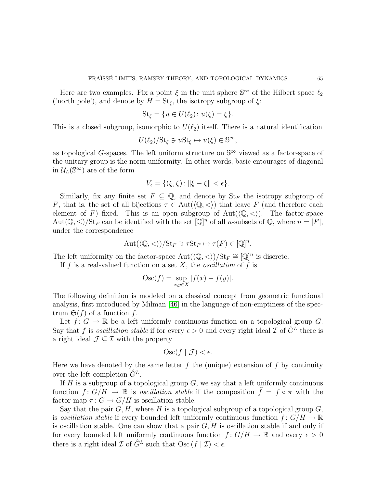Here are two examples. Fix a point  $\xi$  in the unit sphere  $\mathbb{S}^{\infty}$  of the Hilbert space  $\ell_2$ ('north pole'), and denote by  $H = \text{St}_{\xi}$ , the isotropy subgroup of  $\xi$ :

St<sub>\xi</sub> = {
$$
u \in U(\ell_2)
$$
:  $u(\xi) = \xi$  }.

This is a closed subgroup, isomorphic to  $U(\ell_2)$  itself. There is a natural identification

$$
U(\ell_2)/\mathrm{St}_{\xi} \ni u\mathrm{St}_{\xi} \mapsto u(\xi) \in \mathbb{S}^{\infty},
$$

as topological G-spaces. The left uniform structure on  $\mathbb{S}^{\infty}$  viewed as a factor-space of the unitary group is the norm uniformity. In other words, basic entourages of diagonal in  $\mathcal{U}_L(\mathbb{S}^{\infty})$  are of the form

$$
V_{\epsilon} = \{(\xi,\zeta) \colon \|\xi-\zeta\| < \epsilon\}.
$$

Similarly, fix any finite set  $F \subseteq \mathbb{Q}$ , and denote by  $\text{St}_F$  the isotropy subgroup of F, that is, the set of all bijections  $\tau \in \text{Aut}(\langle \mathbb{Q}, \langle \rangle)$  that leave F (and therefore each element of F) fixed. This is an open subgroup of  $Aut(\langle \mathbb{Q}, \langle \rangle)$ . The factor-space Aut $(\mathbb{Q}, \leq)/\text{St}_F$  can be identified with the set  $[\mathbb{Q}]^n$  of all *n*-subsets of  $\mathbb{Q}$ , where  $n = |F|$ , under the correspondence

$$
Aut(\langle \mathbb{Q}, \langle \rangle)/\mathrm{St}_F \ni \tau \mathrm{St}_F \mapsto \tau(F) \in [\mathbb{Q}]^n
$$

.

The left uniformity on the factor-space  $\text{Aut}(\langle \mathbb{Q}, \langle \rangle)/\text{St}_F \cong [\mathbb{Q}]^n$  is discrete.

If f is a real-valued function on a set  $X$ , the *oscillation* of f is

$$
Osc(f) = \sup_{x,y \in X} |f(x) - f(y)|.
$$

The following definition is modeled on a classical concept from geometric functional analysis, first introduced by Milman [\[46\]](#page-71-15) in the language of non-emptiness of the spectrum  $\mathfrak{S}(f)$  of a function f.

Let  $f: G \to \mathbb{R}$  be a left uniformly continuous function on a topological group G. Say that f is *oscillation stable* if for every  $\epsilon > 0$  and every right ideal  $\mathcal{I}$  of  $\hat{G}^L$  there is a right ideal  $\mathcal{J} \subset \mathcal{I}$  with the property

$$
Osc(f \mid \mathcal{J}) < \epsilon.
$$

Here we have denoted by the same letter  $f$  the (unique) extension of  $f$  by continuity over the left completion  $G^L$ .

If  $H$  is a subgroup of a topological group  $G$ , we say that a left uniformly continuous function  $f: G/H \to \mathbb{R}$  is *oscillation stable* if the composition  $\hat{f} = f \circ \pi$  with the factor-map  $\pi: G \to G/H$  is oscillation stable.

Say that the pair  $G, H$ , where H is a topological subgroup of a topological group  $G$ , is *oscillation stable* if every bounded left uniformly continuous function  $f: G/H \to \mathbb{R}$ is oscillation stable. One can show that a pair  $G, H$  is oscillation stable if and only if for every bounded left uniformly continuous function  $f: G/H \to \mathbb{R}$  and every  $\epsilon > 0$ there is a right ideal  $\mathcal I$  of  $\hat G^L$  such that  $\text{Osc}(f | \mathcal I) < \epsilon$ .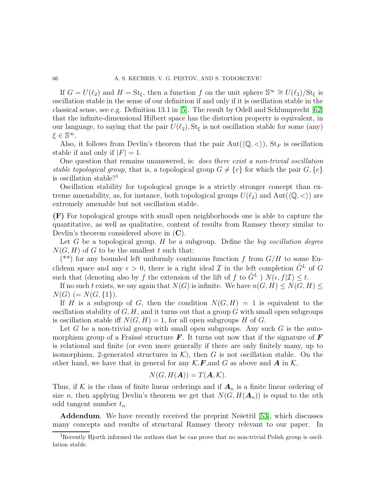If  $G = U(\ell_2)$  and  $H = St_{\xi}$ , then a function f on the unit sphere  $\mathbb{S}^{\infty} \cong U(\ell_2)/St_{\xi}$  is oscillation stable in the sense of our definition if and only if it is oscillation stable in the classical sense, see e.g. Definition 13.1 in [\[5\]](#page-70-11). The result by Odell and Schlumprecht [\[62\]](#page-72-9) that the infinite-dimensional Hilbert space has the distortion property is equivalent, in our language, to saying that the pair  $U(\ell_2)$ ,  $St_{\xi}$  is not oscillation stable for some (any)  $\xi \in \mathbb{S}^{\infty}$ .

Also, it follows from Devlin's theorem that the pair  $Aut(\langle \mathbb{Q}, \langle \rangle), St_F$  is oscillation stable if and only if  $|F| = 1$ .

One question that remains unanswered, is: *does there exist a non-trivial oscillation stable topological group,* that is, a topological group  $G \neq \{e\}$  for which the pair  $G, \{e\}$ is oscillation stable?

Oscillation stability for topological groups is a strictly stronger concept than extreme amenability, as, for instance, both topological groups  $U(\ell_2)$  and  $Aut(\langle \mathbb{Q}, \langle \rangle)$  are extremely amenable but not oscillation stable.

(F) For topological groups with small open neighborhoods one is able to capture the quantitative, as well as qualitative, content of results from Ramsey theory similar to Devlin's theorem considered above in (C).

Let G be a topological group, H be a subgroup. Define the *big oscillation degree*  $N(G, H)$  of G to be the smallest t such that:

(\*\*) for any bounded left uniformly continuous function f from  $G/H$  to some Euclidean space and any  $\epsilon > 0$ , there is a right ideal  $\mathcal I$  in the left completion  $\hat G^L$  of  $G$ such that (denoting also by f the extension of the lift of f to  $\hat{G}^L$ )  $N(\epsilon, f|\mathcal{I}) \leq t$ .

If no such t exists, we say again that  $N(G)$  is infinite. We have  $n(G, H) \leq N(G, H) \leq$  $N(G) (= N(G, \{1\}).$ 

If H is a subgroup of G, then the condition  $N(G, H) = 1$  is equivalent to the oscillation stability of  $G, H$ , and it turns out that a group G with small open subgroups is oscillation stable iff  $N(G, H) = 1$ , for all open subgroups H of G.

Let G be a non-trivial group with small open subgroups. Any such G is the automorphism group of a Fraïssé structure  $\bm{F}$ . It turns out now that if the signature of  $\bm{F}$ is relational and finite (or even more generally if there are only finitely many, up to isomorphism, 2-generated structures in  $K$ ), then G is not oscillation stable. On the other hand, we have that in general for any  $K, F$ , and G as above and A in K,

$$
N(G, H(\mathbf{A})) = T(\mathbf{A}, \mathcal{K}).
$$

Thus, if K is the class of finite linear orderings and if  $A_n$  is a finite linear ordering of size n, then applying Devlin's theorem we get that  $N(G, H(A_n))$  is equal to the nth odd tangent number  $t_n$ .

Addendum. We have recently received the preprint Nešetřil [\[53\]](#page-71-4), which discusses many concepts and results of structural Ramsey theory relevant to our paper. In

<sup>&</sup>lt;sup>1</sup>Recently Hjorth informed the authors that he can prove that no non-trivial Polish group is oscillation stable.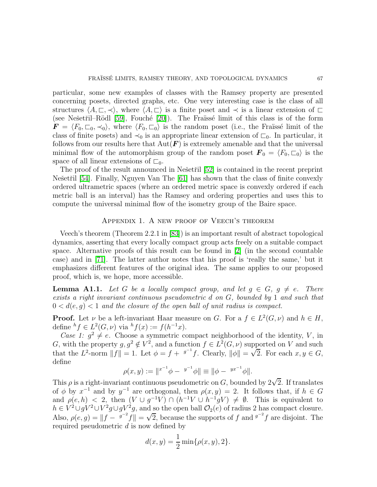particular, some new examples of classes with the Ramsey property are presented concerning posets, directed graphs, etc. One very interesting case is the class of all structures  $\langle A, \sqsubset, \prec \rangle$ , where  $\langle A, \sqsubset \rangle$  is a finite poset and  $\prec$  is a linear extension of  $\square$ (see Nešetřil–Rödl  $[59]$ , Fouché  $[20]$ ). The Fraïssé limit of this class is of the form  $\mathbf{F} = \langle F_0, \overline{\zeta}_0, \prec_0 \rangle$ , where  $\langle F_0, \overline{\zeta}_0 \rangle$  is the random poset (i.e., the Fraüssé limit of the class of finite posets) and  $\prec_0$  is an appropriate linear extension of  $\sqsubset_0$ . In particular, it follows from our results here that  $Aut(F)$  is extremely amenable and that the universal minimal flow of the automorphism group of the random poset  $\mathbf{F}_0 = \langle F_0, \square_0 \rangle$  is the space of all linear extensions of  $\Box_0$ .

The proof of the result announced in Ne $\check{\rm set}$ il [\[52\]](#page-71-0) is contained in the recent preprint Ne $\check{\mathcal{S}}$ esetřil [\[54\]](#page-71-16). Finally, Nguyen Van The [\[61\]](#page-72-12) has shown that the class of finite convexly ordered ultrametric spaces (where an ordered metric space is convexly ordered if each metric ball is an interval) has the Ramsey and ordering properties and uses this to compute the universal minimal flow of the isometry group of the Baire space.

# Appendix 1. A new proof of Veech's theorem

Veech's theorem (Theorem 2.2.1 in [\[83\]](#page-72-13)) is an important result of abstract topological dynamics, asserting that every locally compact group acts freely on a suitable compact space. Alternative proofs of this result can be found in [\[2\]](#page-69-1) (in the second countable case) and in [\[71\]](#page-72-14). The latter author notes that his proof is 'really the same,' but it emphasizes different features of the original idea. The same applies to our proposed proof, which is, we hope, more accessible.

**Lemma A1.1.** Let G be a locally compact group, and let  $g \in G$ ,  $g \neq e$ . There *exists a right invariant continuous pseudometric* d *on* G*, bounded by* 1 *and such that*  $0 < d(e, g) < 1$  and the closure of the open ball of unit radius is compact.

**Proof.** Let  $\nu$  be a left-invariant Haar measure on G. For a  $f \in L^2(G, \nu)$  and  $h \in H$ , define  ${}^h f \in L^2(G, \nu)$  via  ${}^h f(x) := f(h^{-1}x)$ .

*Case 1:*  $g^2 \neq e$ . Choose a symmetric compact neighborhood of the identity, V, in G, with the property  $g, g^2 \notin V^2$ , and a function  $f \in L^2(G, \nu)$  supported on V and such that the L<sup>2</sup>-norm  $||f|| = 1$ . Let  $\phi = f + {}^{g^{-1}}f$ . Clearly,  $||\phi|| = \sqrt{2}$ . For each  $x, y \in G$ , define

$$
\rho(x, y) := \|x^{-1}\phi - x^{-1}\phi\| \equiv \|\phi - x^{-1}\phi\|.
$$

This  $\rho$  is a right-invariant continuous pseudometric on G, bounded by  $2\sqrt{2}$ . If translates of  $\phi$  by  $x^{-1}$  and by  $y^{-1}$  are orthogonal, then  $\rho(x, y) = 2$ . It follows that, if  $h \in G$ and  $\rho(e, h) < 2$ , then  $(V \cup g^{-1}V) \cap (h^{-1}V \cup h^{-1}gV) \neq \emptyset$ . This is equivalent to  $h \in V^2 \cup gV^2 \cup V^2 g \cup gV^2 g$ , and so the open ball  $\mathcal{O}_2(e)$  of radius 2 has compact closure. Also,  $\rho(e, g) = ||f - \frac{g^{-2}}{f}|| = \sqrt{2}$ , because the supports of f and  $\frac{g^{-2}}{f}$  are disjoint. The required pseudometric  $d$  is now defined by

$$
d(x, y) = \frac{1}{2} \min\{\rho(x, y), 2\}.
$$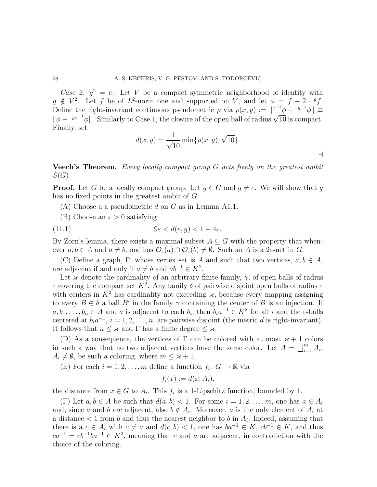*Case 2:*  $g^2 = e$ . Let V be a compact symmetric neighborhood of identity with  $g \notin V^2$ . Let f be of  $L^2$ -norm one and supported on V, and let  $\phi = f + 2 \cdot {}^g f$ . Define the right-invariant continuous pseudometric  $\rho$  via  $\rho(x, y) := \|x^{-1} \phi - y^{-1} \phi\| =$  $\|\phi - y^{x^{-1}}\phi\|$ . Similarly to Case 1, the closure of the open ball of radius  $\sqrt{10}$  is compact. Finally, set

$$
d(x, y) = \frac{1}{\sqrt{10}} \min\{\rho(x, y), \sqrt{10}\}.
$$

Veech's Theorem. *Every locally compact group* G *acts freely on the greatest ambit*  $S(G)$ .

**Proof.** Let G be a locally compact group. Let  $g \in G$  and  $g \neq e$ . We will show that g has no fixed points in the greatest ambit of G.

- $(A)$  Choose a a pseudometric d on G as in Lemma A1.1.
- (B) Choose an  $\varepsilon > 0$  satisfying

(11.1) 
$$
9\varepsilon < d(e, g) < 1 - 4\varepsilon.
$$

By Zorn's lemma, there exists a maximal subset  $A \subseteq G$  with the property that whenever  $a, b \in A$  and  $a \neq b$ , one has  $\mathcal{O}_{\varepsilon}(a) \cap \mathcal{O}_{\varepsilon}(b) \neq \emptyset$ . Such an A is a 2 $\varepsilon$ -net in G.

(C) Define a graph, Γ, whose vertex set is A and such that two vertices,  $a, b \in A$ , are adjacent if and only if  $a \neq b$  and  $ab^{-1} \in K^2$ .

Let  $\varkappa$  denote the cardinality of an arbitrary finite family,  $\gamma$ , of open balls of radius  $\varepsilon$  covering the compact set  $K^2$ . Any family  $\delta$  of pairwise disjoint open balls of radius  $\varepsilon$ with centers in  $K^2$  has cardinality not exceeding  $\varkappa$ , because every mapping assigning to every  $B \in \delta$  a ball B' in the family  $\gamma$  containing the center of B is an injection. If  $a, b_1, \ldots, b_n \in A$  and a is adjacent to each  $b_i$ , then  $b_i a^{-1} \in K^2$  for all i and the  $\varepsilon$ -balls centered at  $b_i a^{-1}$ ,  $i = 1, 2, ..., n$ , are pairwise disjoint (the metric d is right-invariant). It follows that  $n \leq \varkappa$  and  $\Gamma$  has a finite degree  $\leq \varkappa$ .

(D) As a consequence, the vertices of  $\Gamma$  can be colored with at most  $\varkappa + 1$  colors in such a way that no two adjacent vertices have the same color. Let  $A = \bigsqcup_{i=1}^{m} A_i$ ,  $A_i \neq \emptyset$ , be such a coloring, where  $m \leq \varkappa + 1$ .

(E) For each  $i = 1, 2, ..., m$  define a function  $f_i: G \to \mathbb{R}$  via

$$
f_i(x) := d(x, A_i),
$$

the distance from  $x \in G$  to  $A_i$ . This  $f_i$  is a 1-Lipschitz function, bounded by 1.

(F) Let  $a, b \in A$  be such that  $d(a, b) < 1$ . For some  $i = 1, 2, ..., m$ , one has  $a \in A_i$ and, since a and b are adjacent, also  $b \notin A_i$ . Moreover, a is the only element of  $A_i$  at a distance  $\lt 1$  from b and thus the nearest neighbor to b in  $A_i$ . Indeed, assuming that there is a  $c \in A_i$  with  $c \neq a$  and  $d(c, b) < 1$ , one has  $ba^{-1} \in K$ ,  $cb^{-1} \in K$ , and thus  $ca^{-1} = cb^{-1}ba^{-1} \in K^2$ , meaning that c and a are adjacent, in contradiction with the choice of the coloring.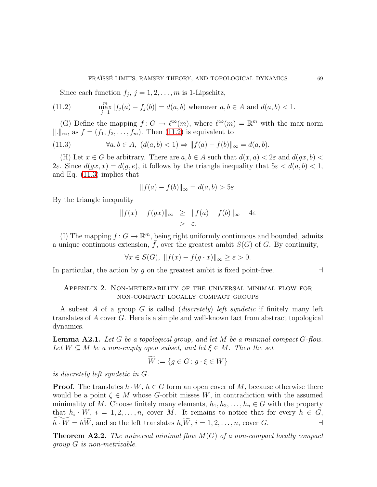Since each function  $f_j$ ,  $j = 1, 2, \ldots, m$  is 1-Lipschitz,

(11.2) 
$$
\max_{j=1}^{m} |f_j(a) - f_j(b)| = d(a, b) \text{ whenever } a, b \in A \text{ and } d(a, b) < 1.
$$

(G) Define the mapping  $f: G \to \ell^{\infty}(m)$ , where  $\ell^{\infty}(m) = \mathbb{R}^m$  with the max norm  $\|\cdot\|_{\infty}$ , as  $f = (f_1, f_2, \ldots, f_m)$ . Then [\(11.2\)](#page-68-0) is equivalent to

(11.3) 
$$
\forall a, b \in A, \ (d(a, b) < 1) \Rightarrow ||f(a) - f(b)||_{\infty} = d(a, b).
$$

(H) Let  $x \in G$  be arbitrary. There are  $a, b \in A$  such that  $d(x, a) < 2\varepsilon$  and  $d(gx, b) <$ 2ε. Since  $d(qx, x) = d(q, e)$ , it follows by the triangle inequality that  $5\varepsilon < d(a, b) < 1$ , and Eq. [\(11.3\)](#page-68-1) implies that

<span id="page-68-1"></span><span id="page-68-0"></span>
$$
||f(a) - f(b)||_{\infty} = d(a, b) > 5\varepsilon.
$$

By the triangle inequality

$$
||f(x) - f(gx)||_{\infty} \ge ||f(a) - f(b)||_{\infty} - 4\varepsilon
$$
  
>  $\varepsilon$ .

(I) The mapping  $f: G \to \mathbb{R}^m$ , being right uniformly continuous and bounded, admits a unique continuous extension,  $\bar{f}$ , over the greatest ambit  $S(G)$  of G. By continuity,

$$
\forall x \in S(G), \ \|f(x) - f(g \cdot x)\|_{\infty} \ge \varepsilon > 0.
$$

In particular, the action by g on the greatest ambit is fixed point-free.  $\Box$ 

# Appendix 2. Non-metrizability of the universal minimal flow for non-compact locally compact groups

A subset A of a group G is called (*discretely*) *left syndetic* if finitely many left translates of A cover G. Here is a simple and well-known fact from abstract topological dynamics.

Lemma A2.1. *Let* G *be a topological group, and let* M *be a minimal compact* G*-flow.* Let  $W \subseteq M$  be a non-empty open subset, and let  $\xi \in M$ . Then the set

$$
W := \{ g \in G \colon g \cdot \xi \in W \}
$$

*is discretely left syndetic in* G*.*

**Proof.** The translates  $h \cdot W$ ,  $h \in G$  form an open cover of M, because otherwise there would be a point  $\zeta \in M$  whose G-orbit misses W, in contradiction with the assumed minimality of M. Choose finitely many elements,  $h_1, h_2, \ldots, h_n \in G$  with the property that  $h_i \cdot W$ ,  $i = 1, 2, ..., n$ , cover M. It remains to notice that for every  $h \in G$ ,  $h \cdot \widetilde{W} = h\widetilde{W}$ , and so the left translates  $h_i\widetilde{W}$ ,  $i = 1, 2, \ldots, n$ , cover G.

Theorem A2.2. *The universal minimal flow* M(G) *of a non-compact locally compact group* G *is non-metrizable.*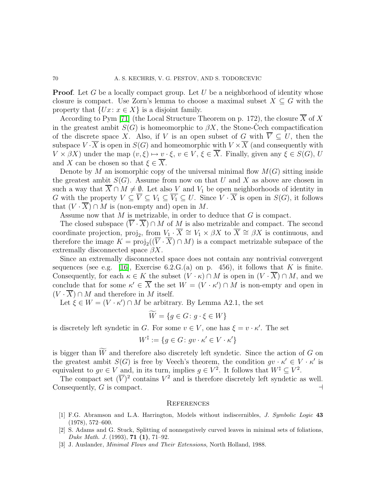**Proof.** Let G be a locally compact group. Let U be a neighborhood of identity whose closure is compact. Use Zorn's lemma to choose a maximal subset  $X \subseteq G$  with the property that  $\{Ux: x \in X\}$  is a disjoint family.

According to Pym [\[71\]](#page-72-14) (the Local Structure Theorem on p. 172), the closure  $\overline{X}$  of X in the greatest ambit  $S(G)$  is homeomorphic to  $\beta X$ , the Stone-Cech compactification of the discrete space X. Also, if V is an open subset of G with  $\overline{V} \subseteq U$ , then the subspace  $V \cdot \overline{X}$  is open in  $S(G)$  and homeomorphic with  $V \times \overline{X}$  (and consequently with  $V \times \beta X$ ) under the map  $(v, \xi) \mapsto v \cdot \xi$ ,  $v \in V$ ,  $\xi \in \overline{X}$ . Finally, given any  $\xi \in S(G)$ , U and X can be chosen so that  $\xi \in X$ .

Denote by M an isomorphic copy of the universal minimal flow  $M(G)$  sitting inside the greatest ambit  $S(G)$ . Assume from now on that U and X as above are chosen in such a way that  $\overline{X} \cap M \neq \emptyset$ . Let also V and  $V_1$  be open neighborhoods of identity in G with the property  $V \subseteq \overline{V} \subseteq V_1 \subseteq V_1 \subseteq U$ . Since  $V \cdot \overline{X}$  is open in  $S(G)$ , it follows that  $(V \cdot \overline{X}) \cap M$  is (non-empty and) open in M.

Assume now that  $M$  is metrizable, in order to deduce that  $G$  is compact.

The closed subspace  $(\overline{V} \cdot \overline{X}) \cap M$  of M is also metrizable and compact. The second coordinate projection, proj<sub>2</sub>, from  $V_1 \t X \cong V_1 \times \beta X$  to  $X \cong \beta X$  is continuous, and therefore the image  $K = \text{proj}_2((V \cdot X) \cap M)$  is a compact metrizable subspace of the extremally disconnected space  $\beta X$ .

Since an extremally disconnected space does not contain any nontrivial convergent sequences (see e.g. [\[16\]](#page-70-12), Exercise  $6.2.G.(a)$  on p. 456), it follows that K is finite. Consequently, for each  $\kappa \in K$  the subset  $(V \cdot \kappa) \cap M$  is open in  $(V \cdot \overline{X}) \cap M$ , and we conclude that for some  $\kappa' \in \overline{X}$  the set  $W = (V \cdot \kappa') \cap M$  is non-empty and open in  $(V \cdot \overline{X}) \cap M$  and therefore in M itself.

Let  $\xi \in W = (V \cdot \kappa') \cap M$  be arbitrary. By Lemma A2.1, the set

$$
W = \{ g \in G \colon g \cdot \xi \in W \}
$$

is discretely left syndetic in G. For some  $v \in V$ , one has  $\xi = v \cdot \kappa'$ . The set

$$
W^{\ddagger} := \{ g \in G \colon gv \cdot \kappa' \in V \cdot \kappa' \}
$$

is bigger than  $\widetilde{W}$  and therefore also discretely left syndetic. Since the action of G on the greatest ambit  $S(G)$  is free by Veech's theorem, the condition  $gv \cdot \kappa' \in V \cdot \kappa'$  is equivalent to  $gv \in V$  and, in its turn, implies  $g \in V^2$ . It follows that  $W^{\ddagger} \subseteq V^2$ .

The compact set  $(\overline{V})^2$  contains  $V^2$  and is therefore discretely left syndetic as well. Consequently, G is compact.  $\Box$ 

#### **REFERENCES**

- <span id="page-69-0"></span>[1] F.G. Abramson and L.A. Harrington, Models without indiscernibles, *J. Symbolic Logic* 43 (1978), 572–600.
- <span id="page-69-1"></span>[2] S. Adams and G. Stuck, Splitting of nonnegatively curved leaves in minimal sets of foliations, *Duke Math. J.* (1993), 71 (1), 71–92.
- [3] J. Auslander, *Minimal Flows and Their Extensions*, North Holland, 1988.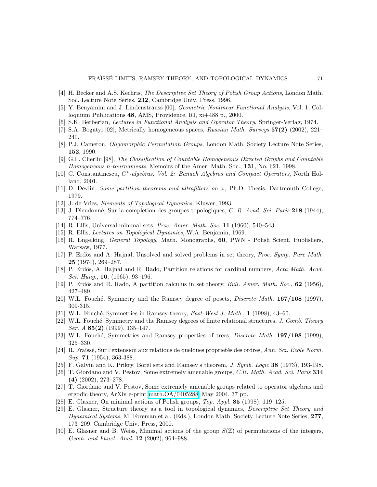- [4] H. Becker and A.S. Kechris, *The Descriptive Set Theory of Polish Group Actions*, London Math. Soc. Lecture Note Series, 232, Cambridge Univ. Press, 1996.
- <span id="page-70-11"></span>[5] Y. Benyamini and J. Lindenstrauss [00], *Geometric Nonlinear Functional Analysis,* Vol. 1, Colloquium Publications 48, AMS, Providence, RI, xi+488 p., 2000.
- <span id="page-70-1"></span>[6] S.K. Berberian, *Lectures in Functional Analysis and Operator Theory*, Springer-Verlag, 1974.
- <span id="page-70-0"></span>[7] S.A. Bogatyi [02], Metrically homogeneous spaces, *Russian Math. Surveys* 57(2) (2002), 221– 240.
- [8] P.J. Cameron, *Oligomorphic Permutation Groups*, London Math. Society Lecture Note Series, 152, 1990.
- [9] G.L. Cherlin [98], *The Classification of Countable Homogeneous Directed Graphs and Countable Homogeneous* n*-tournaments*, Memoirs of the Amer. Math. Soc., 131, No. 621, 1998.
- [10] C. Constantinescu, C<sup>\*</sup>-algebras, Vol. 2: Banach Algebras and Compact Operators, North Holland, 2001.
- <span id="page-70-8"></span>[11] D. Devlin, *Some partition theorems and ultrafilters on* ω, Ph.D. Thesis, Dartmouth College, 1979.
- <span id="page-70-10"></span>[12] J. de Vries, *Elements of Topological Dynamics*, Kluwer, 1993.
- [13] J. Dieudonn´e, Sur la completion des groupes topologiques, *C. R. Acad. Sci. Paris* 218 (1944), 774–776.
- [14] R. Ellis, Universal minimal sets, *Proc. Amer. Math. Soc.* 11 (1960), 540–543.
- <span id="page-70-12"></span>[15] R. Ellis, *Lectures on Topological Dynamics*, W.A. Benjamin, 1969.
- [16] R. Engelking, *General Topology*, Math. Monographs, 60, PWN Polish Scient. Publishers, Warsaw, 1977.
- <span id="page-70-9"></span>[17] P. Erdös and A. Hajnal, Unsolved and solved problems in set theory, *Proc. Symp. Pure Math.* 25 (1974), 269–287.
- [18] P. Erdös, A. Hajnal and R. Rado, Partition relations for cardinal numbers, *Acta Math. Acad. Sci. Hung.*, 16, (1965), 93–196.
- <span id="page-70-3"></span>[19] P. Erdös and R. Rado, A partition calculus in set theory, *Bull. Amer. Math. Soc.*, **62** (1956), 427–489.
- <span id="page-70-4"></span>[20] W.L. Fouch´e, Symmetry and the Ramsey degree of posets, *Discrete Math.* 167/168 (1997), 309-315.
- <span id="page-70-5"></span>[21] W.L. Fouch´e, Symmetries in Ramsey theory, *East-West J. Math.*, 1 (1998), 43–60.
- [22] W.L. Fouch´e, Symmetry and the Ramsey degrees of finite relational structures, *J. Comb. Theory Ser. A* 85(2) (1999), 135–147.
- <span id="page-70-6"></span>[23] W.L. Fouch´e, Symmetries and Ramsey properties of trees, *Discrete Math.* 197/198 (1999), 325–330.
- [24] R. Fra¨ıss´e, Sur l'extension aux relations de quelques propriet´es des ordres, *Ann. Sci. Ecole Norm. ´ Sup.* 71 (1954), 363-388.
- <span id="page-70-7"></span>[25] F. Galvin and K. Prikry, Borel sets and Ramsey's theorem, *J. Symb. Logic* 38 (1973), 193-198.
- [26] T. Giordano and V. Pestov, Some extremely amenable groups, *C.R. Math. Acad. Sci. Paris* 334 (4) (2002), 273–278.
- [27] T. Giordano and V. Pestov, Some extremely amenable groups related to operator algebras and ergodic theory, ArXiv e-print [math.OA/0405288,](http://arXiv.org/abs/math/0405288) May 2004, 37 pp.
- [28] E. Glasner, On minimal actions of Polish groups, *Top. Appl.* 85 (1998), 119–125.
- [29] E. Glasner, Structure theory as a tool in topological dynamics, *Descriptive Set Theory and Dynamical Systems*, M. Foreman et al. (Eds.), London Math. Society Lecture Note Series, 277, 173–209, Cambridge Univ. Press, 2000.
- <span id="page-70-2"></span>[30] E. Glasner and B. Weiss, Minimal actions of the group  $S(\mathbb{Z})$  of permutations of the integers, *Geom. and Funct. Anal.* 12 (2002), 964–988.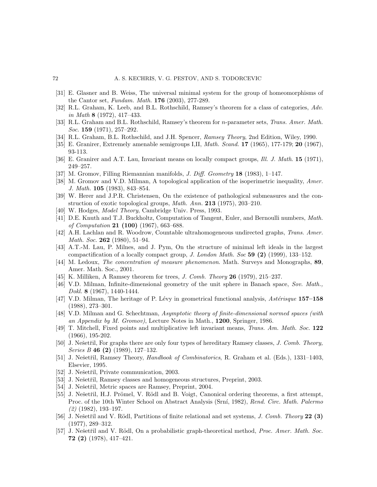- <span id="page-71-7"></span><span id="page-71-5"></span>[31] E. Glasner and B. Weiss, The universal minimal system for the group of homeomorphisms of the Cantor set, *Fundam. Math.* 176 (2003), 277-289.
- [32] R.L. Graham, K. Leeb, and B.L. Rothschild, Ramsey's theorem for a class of categories, *Adv. in Math* 8 (1972), 417–433.
- [33] R.L. Graham and B.L. Rothschild, Ramsey's theorem for n-parameter sets, *Trans. Amer. Math. Soc.* 159 (1971), 257–292.
- [34] R.L. Graham, B.L. Rothschild, and J.H. Spencer, *Ramsey Theory*, 2nd Edition, Wiley, 1990.
- [35] E. Granirer, Extremely amenable semigroups I,II, *Math. Scand.* 17 (1965), 177-179; 20 (1967), 93-113.
- <span id="page-71-14"></span>[36] E. Granirer and A.T. Lau, Invariant means on locally compact groups, *Ill. J. Math*. 15 (1971), 249–257.
- <span id="page-71-1"></span>[37] M. Gromov, Filling Riemannian manifolds, *J. Diff. Geometry* 18 (1983), 1–147.
- [38] M. Gromov and V.D. Milman, A topological application of the isoperimetric inequality, *Amer. J. Math.* 105 (1983), 843–854.
- [39] W. Herer and J.P.R. Christensen, On the existence of pathological submeasures and the construction of exotic topological groups, *Math. Ann.* 213 (1975), 203–210.
- <span id="page-71-11"></span>[40] W. Hodges, *Model Theory*, Cambridge Univ. Press, 1993.
- [41] D.E. Knuth and T.J. Buckholtz, Computation of Tangent, Euler, and Bernoulli numbers, *Math. of Computation* 21 (100) (1967), 663–688.
- [42] A.H. Lachlan and R. Woodrow, Countable ultrahomogeneous undirected graphs, *Trans. Amer. Math. Soc.* 262 (1980), 51–94.
- [43] A.T.-M. Lau, P. Milnes, and J. Pym, On the structure of minimal left ideals in the largest compactification of a locally compact group, *J. London Math. Soc* 59 (2) (1999), 133–152.
- [44] M. Ledoux, *The concentration of measure phenomenon*. Math. Surveys and Monographs, 89, Amer. Math. Soc., 2001.
- <span id="page-71-15"></span><span id="page-71-12"></span>[45] K. Milliken, A Ramsey theorem for trees, *J. Comb. Theory* 26 (1979), 215–237.
- [46] V.D. Milman, Infinite-dimensional geometry of the unit sphere in Banach space, *Sov. Math., Dokl.* 8 (1967), 1440-1444.
- <span id="page-71-10"></span>[47] V.D. Milman, The heritage of P. Lévy in geometrical functional analysis, *Astérisque* 157–158 (1988), 273–301.
- <span id="page-71-13"></span>[48] V.D. Milman and G. Schechtman, *Asymptotic theory of finite-dimensional normed spaces (with an Appendix by M. Gromov)*, Lecture Notes in Math., 1200, Springer, 1986.
- <span id="page-71-9"></span>[49] T. Mitchell, Fixed points and multiplicative left invariant means, *Trans. Am. Math. Soc.* 122 (1966), 195-202.
- [50] J. Nešetřil, For graphs there are only four types of hereditary Ramsey classes, *J. Comb. Theory*, *Series B* 46 (2) (1989), 127–132.
- <span id="page-71-3"></span>[51] J. Nešetřil, Ramsey Theory, *Handbook of Combinatorics*, R. Graham et al. (Eds.), 1331–1403, Elsevier, 1995.
- <span id="page-71-4"></span><span id="page-71-0"></span>[52] J. Nešetřil, Private communication, 2003.
- <span id="page-71-16"></span>[53] J. Nešetřil, Ramsey classes and homogeneous structures, Preprint, 2003.
- <span id="page-71-6"></span>[54] J. Nešetřil, Metric spaces are Ramsey, Preprint, 2004.
- [55] J. Nešetřil, H.J. Prömel, V. Rödl and B. Voigt, Canonical ordering theorems, a first attempt, Proc. of the 10th Winter School on Abstract Analysis (Srn´ı, 1982), *Rend. Circ. Math. Palermo (2)* (1982), 193–197.
- <span id="page-71-8"></span>[56] J. Nešetřil and V. Rödl, Partitions of finite relational and set systems, *J. Comb. Theory* 22 (3) (1977), 289–312.
- <span id="page-71-2"></span>[57] J. Nešetřil and V. Rödl, On a probabilistic graph-theoretical method, *Proc. Amer. Math. Soc.* 72 (2) (1978), 417–421.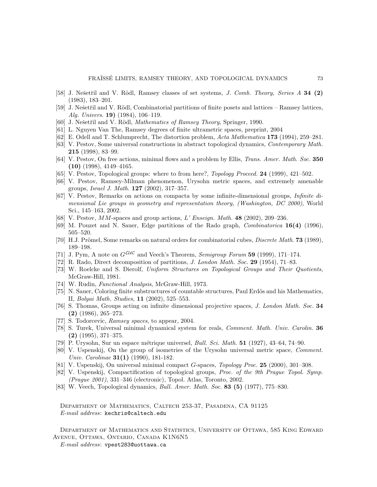- [58] J. Nešetřil and V. Rödl, Ramsey classes of set systems, *J. Comb. Theory, Series A* 34 (2) (1983), 183–201.
- [59] J. Nešetřil and V. Rödl, Combinatorial partitions of finite posets and lattices Ramsey lattices, *Alg. Univers.* 19) (1984), 106–119.
- [60] J. Nešetřil and V. Rödl, *Mathematics of Ramsey Theory*, Springer, 1990.
- [61] L. Nguyen Van The, Ramsey degrees of finite ultrametric spaces, preprint, 2004
- [62] E. Odell and T. Schlumprecht, The distortion problem, *Acta Mathematica* 173 (1994), 259–281.
- [63] V. Pestov, Some universal constructions in abstract topological dynamics, *Contemporary Math.* 215 (1998), 83–99.
- [64] V. Pestov, On free actions, minimal flows and a problem by Ellis, *Trans. Amer. Math. Soc.* 350 (10) (1998), 4149–4165.
- [65] V. Pestov, Topological groups: where to from here?, *Topology Proceed.* 24 (1999), 421–502.
- [66] V. Pestov, Ramsey-Milman phenomenon, Urysohn metric spaces, and extremely amenable groups, *Israel J. Math.* 127 (2002), 317–357.
- [67] V. Pestov, Remarks on actions on compacta by some infinite-dimensional groups, *Infinite dimensional Lie groups in geometry and representation theory, (Washington, DC 2000)*, World Sci., 145–163, 2002.
- [68] V. Pestov, MM-spaces and group actions, *L' Enseign. Math.* 48 (2002), 209–236.
- [69] M. Pouzet and N. Sauer, Edge partitions of the Rado graph, *Combinatorica* 16(4) (1996), 505–520.
- [70] H.J. Prömel, Some remarks on natural orders for combinatorial cubes, *Discrete Math.* **73** (1989), 189–198.
- [71] J. Pym, A note on  $G^{\mathcal{LUC}}$  and Veech's Theorem, *Semigroup Forum* 59 (1999), 171–174.
- [72] R. Rado, Direct decomposition of partitions, *J. London Math. Soc.* 29 (1954), 71–83.
- [73] W. Roelcke and S. Dierolf, *Uniform Structures on Topological Groups and Their Quotients,* McGraw-Hill, 1981.
- [74] W. Rudin, *Functional Analysis*, McGraw-Hill, 1973.
- [75] N. Sauer, Coloring finite substructures of countable structures, Paul Erdös and his Mathematics, II, *Bolyai Math. Studies,* 11 (2002), 525–553.
- [76] S. Thomas, Groups acting on infinite dimensional projective spaces, *J. London Math. Soc.* 34 (2) (1986), 265–273.
- [77] S. Todorcevic, *Ramsey spaces*, to appear, 2004.
- [78] S. Turek, Universal minimal dynamical system for reals, *Comment. Math. Univ. Carolin.* 36 (2) (1995), 371–375.
- [79] P. Urysohn, Sur un espace m´etrique universel, *Bull. Sci. Math.* 51 (1927), 43–64, 74–90.
- [80] V. Uspenskij, On the group of isometries of the Urysohn universal metric space, *Comment. Univ. Carolinae* 31(1) (1990), 181-182.
- [81] V. Uspenskij, On universal minimal compact G-spaces, *Topology Proc.* 25 (2000), 301–308.
- [82] V. Uspenskij, Compactification of topological groups, *Proc. of the 9th Prague Topol. Symp. (Prague 2001)*, 331–346 (electronic), Topol. Atlas, Toronto, 2002.
- [83] W. Veech, Topological dynamics, *Bull. Amer. Math. Soc.* 83 (5) (1977), 775–830.

DEPARTMENT OF MATHEMATICS, CALTECH 253-37, PASADENA, CA 91125 *E-mail address*: kechris@caltech.edu

Department of Mathematics and Statistics, University of Ottawa, 585 King Edward Avenue, Ottawa, Ontario, Canada K1N6N5

*E-mail address*: vpest283@uottawa.ca